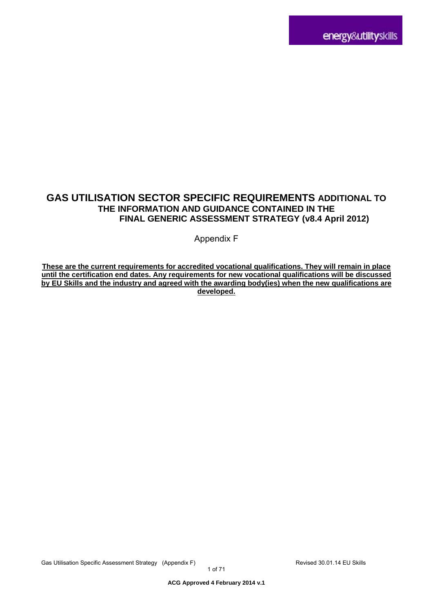# **GAS UTILISATION SECTOR SPECIFIC REQUIREMENTS ADDITIONAL TO THE INFORMATION AND GUIDANCE CONTAINED IN THE FINAL GENERIC ASSESSMENT STRATEGY (v8.4 April 2012)**

Appendix F

**These are the current requirements for accredited vocational qualifications. They will remain in place until the certification end dates. Any requirements for new vocational qualifications will be discussed by EU Skills and the industry and agreed with the awarding body(ies) when the new qualifications are developed.**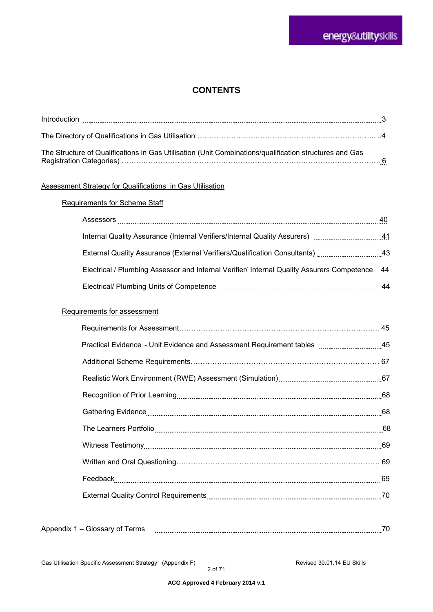### **CONTENTS**

| The Structure of Qualifications in Gas Utilisation (Unit Combinations/qualification structures and Gas |  |
|--------------------------------------------------------------------------------------------------------|--|

#### Assessment Strategy for Qualifications in Gas Utilisation

#### Requirements for Scheme Staff

| Assessors                                                                                                     | 40 |
|---------------------------------------------------------------------------------------------------------------|----|
| Internal Quality Assurance (Internal Verifiers/Internal Quality Assurers) [1111111111111111111111111111111111 | 41 |
| External Quality Assurance (External Verifiers/Qualification Consultants)                                     | 43 |
| Electrical / Plumbing Assessor and Internal Verifier/ Internal Quality Assurers Competence 44                 |    |
|                                                                                                               | 44 |

#### Requirements for assessment

| Realistic Work Environment (RWE) Assessment (Simulation)<br>1997 - Communication (Simulation) |  |
|-----------------------------------------------------------------------------------------------|--|
|                                                                                               |  |
|                                                                                               |  |
|                                                                                               |  |
|                                                                                               |  |
|                                                                                               |  |
|                                                                                               |  |
|                                                                                               |  |
|                                                                                               |  |

| ΩT<br>,,,<br>_<br>_<br>. <i>.</i> .<br>. |  |  |
|------------------------------------------|--|--|
|------------------------------------------|--|--|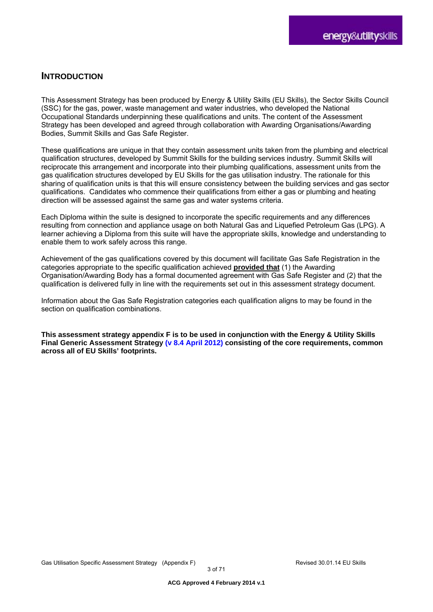### **INTRODUCTION**

This Assessment Strategy has been produced by Energy & Utility Skills (EU Skills), the Sector Skills Council (SSC) for the gas, power, waste management and water industries, who developed the National Occupational Standards underpinning these qualifications and units. The content of the Assessment Strategy has been developed and agreed through collaboration with Awarding Organisations/Awarding Bodies, Summit Skills and Gas Safe Register.

These qualifications are unique in that they contain assessment units taken from the plumbing and electrical qualification structures, developed by Summit Skills for the building services industry. Summit Skills will reciprocate this arrangement and incorporate into their plumbing qualifications, assessment units from the gas qualification structures developed by EU Skills for the gas utilisation industry. The rationale for this sharing of qualification units is that this will ensure consistency between the building services and gas sector qualifications. Candidates who commence their qualifications from either a gas or plumbing and heating direction will be assessed against the same gas and water systems criteria.

Each Diploma within the suite is designed to incorporate the specific requirements and any differences resulting from connection and appliance usage on both Natural Gas and Liquefied Petroleum Gas (LPG). A learner achieving a Diploma from this suite will have the appropriate skills, knowledge and understanding to enable them to work safely across this range.

Achievement of the gas qualifications covered by this document will facilitate Gas Safe Registration in the categories appropriate to the specific qualification achieved **provided that** (1) the Awarding Organisation/Awarding Body has a formal documented agreement with Gas Safe Register and (2) that the qualification is delivered fully in line with the requirements set out in this assessment strategy document.

Information about the Gas Safe Registration categories each qualification aligns to may be found in the section on qualification combinations.

**This assessment strategy appendix F is to be used in conjunction with the Energy & Utility Skills Final Generic Assessment Strategy (v 8.4 April 2012) consisting of the core requirements, common across all of EU Skills' footprints.**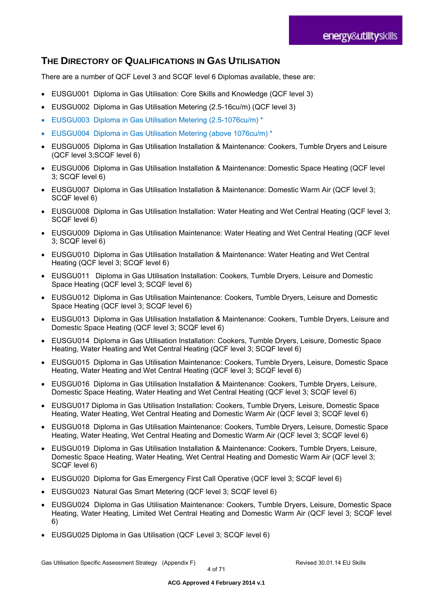# **THE DIRECTORY OF QUALIFICATIONS IN GAS UTILISATION**

There are a number of QCF Level 3 and SCQF level 6 Diplomas available, these are:

- EUSGU001 Diploma in Gas Utilisation: Core Skills and Knowledge (QCF level 3)
- EUSGU002 Diploma in Gas Utilisation Metering (2.5-16cu/m) (QCF level 3)
- EUSGU003 Diploma in Gas Utilisation Metering (2.5-1076cu/m) \*
- EUSGU004 Diploma in Gas Utilisation Metering (above 1076cu/m) \*
- EUSGU005 Diploma in Gas Utilisation Installation & Maintenance: Cookers, Tumble Dryers and Leisure (QCF level 3;SCQF level 6)
- EUSGU006 Diploma in Gas Utilisation Installation & Maintenance: Domestic Space Heating (QCF level 3; SCQF level 6)
- EUSGU007 Diploma in Gas Utilisation Installation & Maintenance: Domestic Warm Air (QCF level 3; SCQF level 6)
- EUSGU008 Diploma in Gas Utilisation Installation: Water Heating and Wet Central Heating (QCF level 3; SCQF level 6)
- EUSGU009 Diploma in Gas Utilisation Maintenance: Water Heating and Wet Central Heating (QCF level 3; SCQF level 6)
- EUSGU010 Diploma in Gas Utilisation Installation & Maintenance: Water Heating and Wet Central Heating (QCF level 3; SCQF level 6)
- EUSGU011 Diploma in Gas Utilisation Installation: Cookers, Tumble Drvers, Leisure and Domestic Space Heating (QCF level 3; SCQF level 6)
- EUSGU012 Diploma in Gas Utilisation Maintenance: Cookers, Tumble Dryers, Leisure and Domestic Space Heating (QCF level 3; SCQF level 6)
- EUSGU013 Diploma in Gas Utilisation Installation & Maintenance: Cookers, Tumble Dryers, Leisure and Domestic Space Heating (QCF level 3; SCQF level 6)
- EUSGU014 Diploma in Gas Utilisation Installation: Cookers, Tumble Dryers, Leisure, Domestic Space Heating, Water Heating and Wet Central Heating (QCF level 3; SCQF level 6)
- EUSGU015 Diploma in Gas Utilisation Maintenance: Cookers, Tumble Dryers, Leisure, Domestic Space Heating, Water Heating and Wet Central Heating (QCF level 3; SCQF level 6)
- EUSGU016 Diploma in Gas Utilisation Installation & Maintenance: Cookers, Tumble Dryers, Leisure, Domestic Space Heating, Water Heating and Wet Central Heating (QCF level 3; SCQF level 6)
- EUSGU017 Diploma in Gas Utilisation Installation: Cookers, Tumble Dryers, Leisure, Domestic Space Heating, Water Heating, Wet Central Heating and Domestic Warm Air (QCF level 3; SCQF level 6)
- EUSGU018 Diploma in Gas Utilisation Maintenance: Cookers, Tumble Dryers, Leisure, Domestic Space Heating, Water Heating, Wet Central Heating and Domestic Warm Air (QCF level 3; SCQF level 6)
- EUSGU019 Diploma in Gas Utilisation Installation & Maintenance: Cookers, Tumble Dryers, Leisure, Domestic Space Heating, Water Heating, Wet Central Heating and Domestic Warm Air (QCF level 3; SCQF level 6)
- EUSGU020 Diploma for Gas Emergency First Call Operative (QCF level 3; SCQF level 6)
- EUSGU023 Natural Gas Smart Metering (QCF level 3; SCQF level 6)
- EUSGU024 Diploma in Gas Utilisation Maintenance: Cookers, Tumble Dryers, Leisure, Domestic Space Heating, Water Heating, Limited Wet Central Heating and Domestic Warm Air (QCF level 3; SCQF level 6)
- EUSGU025 Diploma in Gas Utilisation (QCF Level 3; SCQF level 6)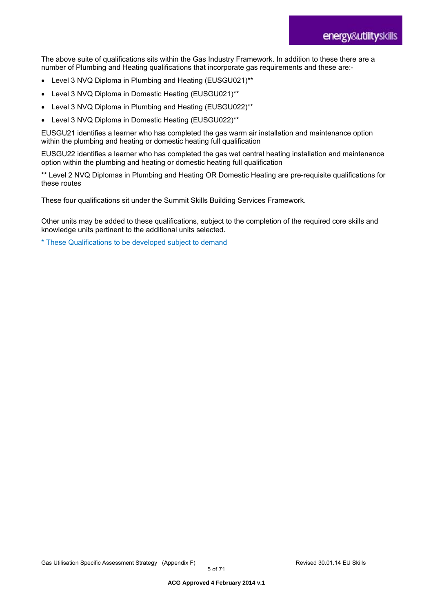The above suite of qualifications sits within the Gas Industry Framework. In addition to these there are a number of Plumbing and Heating qualifications that incorporate gas requirements and these are:-

- Level 3 NVQ Diploma in Plumbing and Heating (EUSGU021)\*\*
- Level 3 NVQ Diploma in Domestic Heating (EUSGU021)\*\*
- Level 3 NVQ Diploma in Plumbing and Heating (EUSGU022)\*\*
- Level 3 NVQ Diploma in Domestic Heating (EUSGU022)\*\*

EUSGU21 identifies a learner who has completed the gas warm air installation and maintenance option within the plumbing and heating or domestic heating full qualification

EUSGU22 identifies a learner who has completed the gas wet central heating installation and maintenance option within the plumbing and heating or domestic heating full qualification

\*\* Level 2 NVQ Diplomas in Plumbing and Heating OR Domestic Heating are pre-requisite qualifications for these routes

These four qualifications sit under the Summit Skills Building Services Framework.

Other units may be added to these qualifications, subject to the completion of the required core skills and knowledge units pertinent to the additional units selected.

\* These Qualifications to be developed subject to demand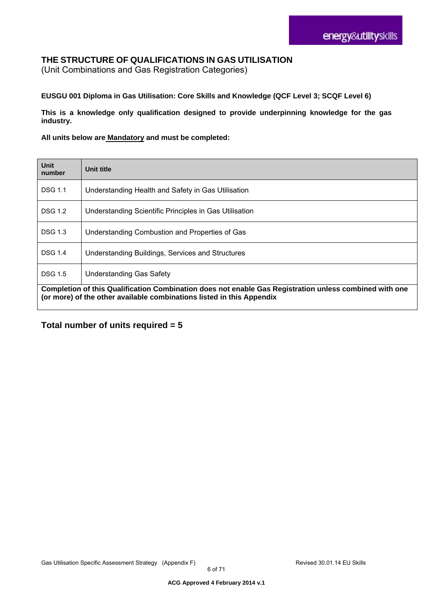### **THE STRUCTURE OF QUALIFICATIONS IN GAS UTILISATION**

(Unit Combinations and Gas Registration Categories)

#### **EUSGU 001 Diploma in Gas Utilisation: Core Skills and Knowledge (QCF Level 3; SCQF Level 6)**

**This is a knowledge only qualification designed to provide underpinning knowledge for the gas industry.** 

#### **All units below are Mandatory and must be completed:**

| <b>Unit</b><br>number                                                                                                                                                           | Unit title                                             |
|---------------------------------------------------------------------------------------------------------------------------------------------------------------------------------|--------------------------------------------------------|
| <b>DSG 1.1</b>                                                                                                                                                                  | Understanding Health and Safety in Gas Utilisation     |
| <b>DSG 1.2</b>                                                                                                                                                                  | Understanding Scientific Principles in Gas Utilisation |
| <b>DSG 1.3</b>                                                                                                                                                                  | Understanding Combustion and Properties of Gas         |
| <b>DSG 1.4</b>                                                                                                                                                                  | Understanding Buildings, Services and Structures       |
| <b>DSG 1.5</b>                                                                                                                                                                  | <b>Understanding Gas Safety</b>                        |
| Completion of this Qualification Combination does not enable Gas Registration unless combined with one<br>(or more) of the other available combinations listed in this Appendix |                                                        |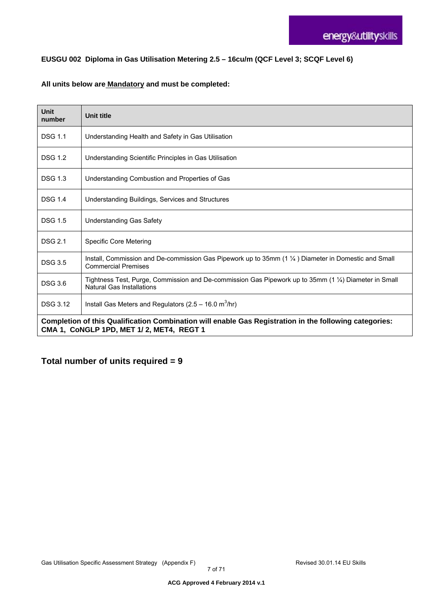#### **EUSGU 002 Diploma in Gas Utilisation Metering 2.5 – 16cu/m (QCF Level 3; SCQF Level 6)**

#### **All units below are Mandatory and must be completed:**

| Unit<br>number                                                                                                                                     | <b>Unit title</b>                                                                                                                           |
|----------------------------------------------------------------------------------------------------------------------------------------------------|---------------------------------------------------------------------------------------------------------------------------------------------|
| <b>DSG 1.1</b>                                                                                                                                     | Understanding Health and Safety in Gas Utilisation                                                                                          |
| <b>DSG 1.2</b>                                                                                                                                     | Understanding Scientific Principles in Gas Utilisation                                                                                      |
| <b>DSG 1.3</b>                                                                                                                                     | Understanding Combustion and Properties of Gas                                                                                              |
| <b>DSG 1.4</b>                                                                                                                                     | Understanding Buildings, Services and Structures                                                                                            |
| <b>DSG 1.5</b>                                                                                                                                     | <b>Understanding Gas Safety</b>                                                                                                             |
| <b>DSG 2.1</b>                                                                                                                                     | Specific Core Metering                                                                                                                      |
| <b>DSG 3.5</b>                                                                                                                                     | Install, Commission and De-commission Gas Pipework up to 35mm $(1\frac{1}{4})$ Diameter in Domestic and Small<br><b>Commercial Premises</b> |
| <b>DSG 3.6</b>                                                                                                                                     | Tightness Test, Purge, Commission and De-commission Gas Pipework up to 35mm (1 1/4) Diameter in Small<br>Natural Gas Installations          |
| <b>DSG 3.12</b>                                                                                                                                    | Install Gas Meters and Regulators ( $2.5 - 16.0$ m <sup>3</sup> /hr)                                                                        |
| Completion of this Qualification Combination will enable Gas Registration in the following categories:<br>CMA 1, CoNGLP 1PD, MET 1/2, MET4, REGT 1 |                                                                                                                                             |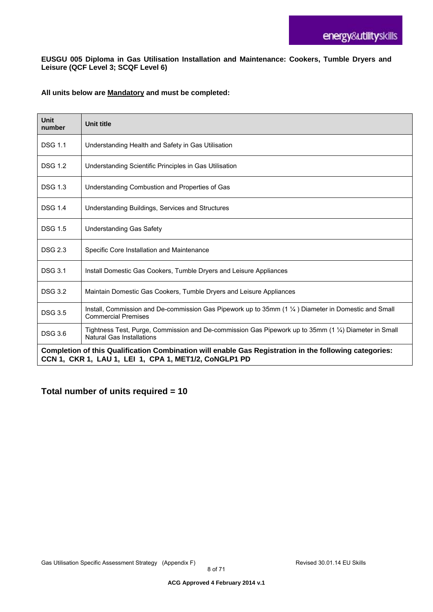#### **EUSGU 005 Diploma in Gas Utilisation Installation and Maintenance: Cookers, Tumble Dryers and Leisure (QCF Level 3; SCQF Level 6)**

#### **All units below are Mandatory and must be completed:**

| Unit<br>number                                                                                                                                                  | <b>Unit title</b>                                                                                                                  |
|-----------------------------------------------------------------------------------------------------------------------------------------------------------------|------------------------------------------------------------------------------------------------------------------------------------|
| <b>DSG 1.1</b>                                                                                                                                                  | Understanding Health and Safety in Gas Utilisation                                                                                 |
| <b>DSG 1.2</b>                                                                                                                                                  | Understanding Scientific Principles in Gas Utilisation                                                                             |
| <b>DSG 1.3</b>                                                                                                                                                  | Understanding Combustion and Properties of Gas                                                                                     |
| <b>DSG 1.4</b>                                                                                                                                                  | Understanding Buildings, Services and Structures                                                                                   |
| <b>DSG 1.5</b>                                                                                                                                                  | <b>Understanding Gas Safety</b>                                                                                                    |
| <b>DSG 2.3</b>                                                                                                                                                  | Specific Core Installation and Maintenance                                                                                         |
| <b>DSG 3.1</b>                                                                                                                                                  | Install Domestic Gas Cookers, Tumble Dryers and Leisure Appliances                                                                 |
| <b>DSG 3.2</b>                                                                                                                                                  | Maintain Domestic Gas Cookers, Tumble Dryers and Leisure Appliances                                                                |
| <b>DSG 3.5</b>                                                                                                                                                  | Install, Commission and De-commission Gas Pipework up to 35mm (1 1/4) Diameter in Domestic and Small<br><b>Commercial Premises</b> |
| <b>DSG 3.6</b>                                                                                                                                                  | Tightness Test, Purge, Commission and De-commission Gas Pipework up to 35mm (1 1/4) Diameter in Small<br>Natural Gas Installations |
| Completion of this Qualification Combination will enable Gas Registration in the following categories:<br>CCN 1, CKR 1, LAU 1, LEI 1, CPA 1, MET1/2, CoNGLP1 PD |                                                                                                                                    |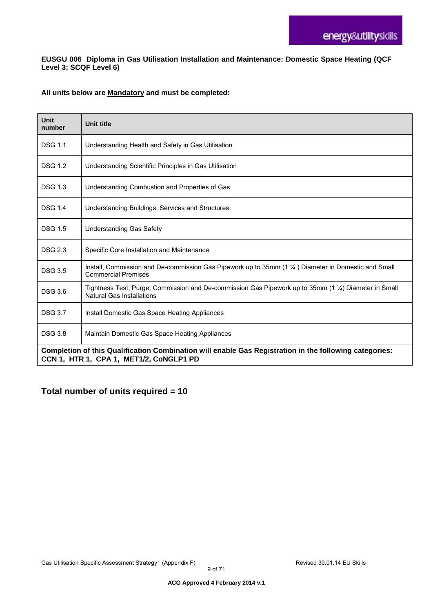**EUSGU 006 Diploma in Gas Utilisation Installation and Maintenance: Domestic Space Heating (QCF Level 3; SCQF Level 6)** 

#### **All units below are Mandatory and must be completed:**

| <b>Unit</b><br>number                                                                                                                             | <b>Unit title</b>                                                                                                                         |
|---------------------------------------------------------------------------------------------------------------------------------------------------|-------------------------------------------------------------------------------------------------------------------------------------------|
| <b>DSG 1.1</b>                                                                                                                                    | Understanding Health and Safety in Gas Utilisation                                                                                        |
| <b>DSG 1.2</b>                                                                                                                                    | Understanding Scientific Principles in Gas Utilisation                                                                                    |
| <b>DSG 1.3</b>                                                                                                                                    | Understanding Combustion and Properties of Gas                                                                                            |
| <b>DSG 1.4</b>                                                                                                                                    | Understanding Buildings, Services and Structures                                                                                          |
| <b>DSG 1.5</b>                                                                                                                                    | <b>Understanding Gas Safety</b>                                                                                                           |
| <b>DSG 2.3</b>                                                                                                                                    | Specific Core Installation and Maintenance                                                                                                |
| <b>DSG 3.5</b>                                                                                                                                    | Install, Commission and De-commission Gas Pipework up to 35mm (1 1/4) Diameter in Domestic and Small<br><b>Commercial Premises</b>        |
| <b>DSG 3.6</b>                                                                                                                                    | Tightness Test, Purge, Commission and De-commission Gas Pipework up to 35mm (1 1/4) Diameter in Small<br><b>Natural Gas Installations</b> |
| <b>DSG 3.7</b>                                                                                                                                    | Install Domestic Gas Space Heating Appliances                                                                                             |
| <b>DSG 3.8</b>                                                                                                                                    | Maintain Domestic Gas Space Heating Appliances                                                                                            |
| Completion of this Qualification Combination will enable Gas Registration in the following categories:<br>CCN 1, HTR 1, CPA 1, MET1/2, CoNGLP1 PD |                                                                                                                                           |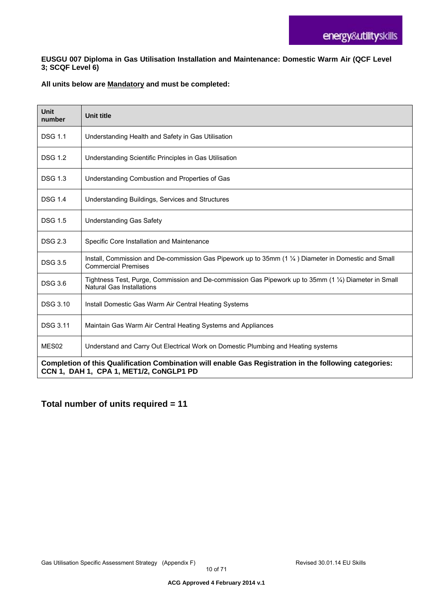#### **EUSGU 007 Diploma in Gas Utilisation Installation and Maintenance: Domestic Warm Air (QCF Level 3; SCQF Level 6)**

#### **All units below are Mandatory and must be completed:**

| <b>Unit</b><br>number                                                                                                                             | <b>Unit title</b>                                                                                                                         |
|---------------------------------------------------------------------------------------------------------------------------------------------------|-------------------------------------------------------------------------------------------------------------------------------------------|
| <b>DSG 1.1</b>                                                                                                                                    | Understanding Health and Safety in Gas Utilisation                                                                                        |
| <b>DSG 1.2</b>                                                                                                                                    | Understanding Scientific Principles in Gas Utilisation                                                                                    |
| <b>DSG 1.3</b>                                                                                                                                    | Understanding Combustion and Properties of Gas                                                                                            |
| <b>DSG 1.4</b>                                                                                                                                    | Understanding Buildings, Services and Structures                                                                                          |
| <b>DSG 1.5</b>                                                                                                                                    | <b>Understanding Gas Safety</b>                                                                                                           |
| <b>DSG 2.3</b>                                                                                                                                    | Specific Core Installation and Maintenance                                                                                                |
| <b>DSG 3.5</b>                                                                                                                                    | Install, Commission and De-commission Gas Pipework up to 35mm (1 1/4) Diameter in Domestic and Small<br><b>Commercial Premises</b>        |
| <b>DSG 3.6</b>                                                                                                                                    | Tightness Test, Purge, Commission and De-commission Gas Pipework up to 35mm (1 1/4) Diameter in Small<br><b>Natural Gas Installations</b> |
| <b>DSG 3.10</b>                                                                                                                                   | Install Domestic Gas Warm Air Central Heating Systems                                                                                     |
| <b>DSG 3.11</b>                                                                                                                                   | Maintain Gas Warm Air Central Heating Systems and Appliances                                                                              |
| MES <sub>02</sub>                                                                                                                                 | Understand and Carry Out Electrical Work on Domestic Plumbing and Heating systems                                                         |
| Completion of this Qualification Combination will enable Gas Registration in the following categories:<br>CCN 1, DAH 1, CPA 1, MET1/2, CoNGLP1 PD |                                                                                                                                           |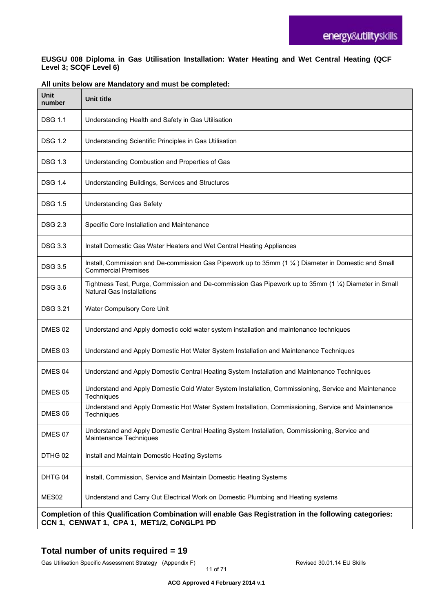#### **EUSGU 008 Diploma in Gas Utilisation Installation: Water Heating and Wet Central Heating (QCF Level 3; SCQF Level 6)**

| Unit<br>number                                                                                                                                       | <b>Unit title</b>                                                                                                                         |
|------------------------------------------------------------------------------------------------------------------------------------------------------|-------------------------------------------------------------------------------------------------------------------------------------------|
| <b>DSG 1.1</b>                                                                                                                                       | Understanding Health and Safety in Gas Utilisation                                                                                        |
| <b>DSG 1.2</b>                                                                                                                                       | Understanding Scientific Principles in Gas Utilisation                                                                                    |
| <b>DSG 1.3</b>                                                                                                                                       | Understanding Combustion and Properties of Gas                                                                                            |
| <b>DSG 1.4</b>                                                                                                                                       | Understanding Buildings, Services and Structures                                                                                          |
| <b>DSG 1.5</b>                                                                                                                                       | <b>Understanding Gas Safety</b>                                                                                                           |
| <b>DSG 2.3</b>                                                                                                                                       | Specific Core Installation and Maintenance                                                                                                |
| <b>DSG 3.3</b>                                                                                                                                       | Install Domestic Gas Water Heaters and Wet Central Heating Appliances                                                                     |
| <b>DSG 3.5</b>                                                                                                                                       | Install, Commission and De-commission Gas Pipework up to 35mm (1 1/4) Diameter in Domestic and Small<br><b>Commercial Premises</b>        |
| <b>DSG 3.6</b>                                                                                                                                       | Tightness Test, Purge, Commission and De-commission Gas Pipework up to 35mm (1 1/4) Diameter in Small<br><b>Natural Gas Installations</b> |
| <b>DSG 3.21</b>                                                                                                                                      | Water Compulsory Core Unit                                                                                                                |
| DMES 02                                                                                                                                              | Understand and Apply domestic cold water system installation and maintenance techniques                                                   |
| DMES 03                                                                                                                                              | Understand and Apply Domestic Hot Water System Installation and Maintenance Techniques                                                    |
| DMES 04                                                                                                                                              | Understand and Apply Domestic Central Heating System Installation and Maintenance Techniques                                              |
| DMES 05                                                                                                                                              | Understand and Apply Domestic Cold Water System Installation, Commissioning, Service and Maintenance<br>Techniques                        |
| DMES 06                                                                                                                                              | Understand and Apply Domestic Hot Water System Installation, Commissioning, Service and Maintenance<br>Techniques                         |
| DMES 07                                                                                                                                              | Understand and Apply Domestic Central Heating System Installation, Commissioning, Service and<br>Maintenance Techniques                   |
| DTHG 02                                                                                                                                              | Install and Maintain Domestic Heating Systems                                                                                             |
| DHTG 04                                                                                                                                              | Install, Commission, Service and Maintain Domestic Heating Systems                                                                        |
| MES <sub>02</sub>                                                                                                                                    | Understand and Carry Out Electrical Work on Domestic Plumbing and Heating systems                                                         |
| Completion of this Qualification Combination will enable Gas Registration in the following categories:<br>CCN 1, CENWAT 1, CPA 1, MET1/2, CoNGLP1 PD |                                                                                                                                           |

#### **All units below are Mandatory and must be completed:**

# **Total number of units required = 19**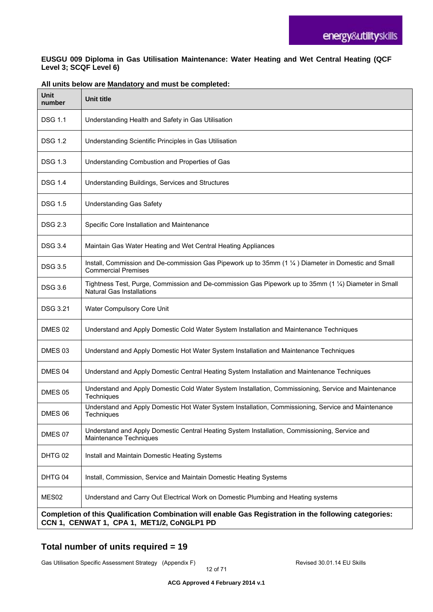#### **EUSGU 009 Diploma in Gas Utilisation Maintenance: Water Heating and Wet Central Heating (QCF Level 3; SCQF Level 6)**

| <b>Unit</b><br>number                                                                                                                                | <b>Unit title</b>                                                                                                                         |
|------------------------------------------------------------------------------------------------------------------------------------------------------|-------------------------------------------------------------------------------------------------------------------------------------------|
| <b>DSG 1.1</b>                                                                                                                                       | Understanding Health and Safety in Gas Utilisation                                                                                        |
| <b>DSG 1.2</b>                                                                                                                                       | Understanding Scientific Principles in Gas Utilisation                                                                                    |
| <b>DSG 1.3</b>                                                                                                                                       | Understanding Combustion and Properties of Gas                                                                                            |
| <b>DSG 1.4</b>                                                                                                                                       | Understanding Buildings, Services and Structures                                                                                          |
| <b>DSG 1.5</b>                                                                                                                                       | <b>Understanding Gas Safety</b>                                                                                                           |
| <b>DSG 2.3</b>                                                                                                                                       | Specific Core Installation and Maintenance                                                                                                |
| <b>DSG 3.4</b>                                                                                                                                       | Maintain Gas Water Heating and Wet Central Heating Appliances                                                                             |
| <b>DSG 3.5</b>                                                                                                                                       | Install, Commission and De-commission Gas Pipework up to 35mm (1 1/4) Diameter in Domestic and Small<br><b>Commercial Premises</b>        |
| <b>DSG 3.6</b>                                                                                                                                       | Tightness Test, Purge, Commission and De-commission Gas Pipework up to 35mm (1 1/4) Diameter in Small<br><b>Natural Gas Installations</b> |
| <b>DSG 3.21</b>                                                                                                                                      | Water Compulsory Core Unit                                                                                                                |
| DMES 02                                                                                                                                              | Understand and Apply Domestic Cold Water System Installation and Maintenance Techniques                                                   |
| DMES 03                                                                                                                                              | Understand and Apply Domestic Hot Water System Installation and Maintenance Techniques                                                    |
| DMES 04                                                                                                                                              | Understand and Apply Domestic Central Heating System Installation and Maintenance Techniques                                              |
| <b>DMES 05</b>                                                                                                                                       | Understand and Apply Domestic Cold Water System Installation, Commissioning, Service and Maintenance<br>Techniques                        |
| DMES 06                                                                                                                                              | Understand and Apply Domestic Hot Water System Installation, Commissioning, Service and Maintenance<br>Techniques                         |
| DMES 07                                                                                                                                              | Understand and Apply Domestic Central Heating System Installation, Commissioning, Service and<br>Maintenance Techniques                   |
| DHTG 02                                                                                                                                              | Install and Maintain Domestic Heating Systems                                                                                             |
| DHTG 04                                                                                                                                              | Install, Commission, Service and Maintain Domestic Heating Systems                                                                        |
| MES02                                                                                                                                                | Understand and Carry Out Electrical Work on Domestic Plumbing and Heating systems                                                         |
| Completion of this Qualification Combination will enable Gas Registration in the following categories:<br>CCN 1, CENWAT 1, CPA 1, MET1/2, CoNGLP1 PD |                                                                                                                                           |

#### **All units below are Mandatory and must be completed:**

# **Total number of units required = 19**

Gas Utilisation Specific Assessment Strategy (Appendix F) **Revised 30.01.14 EU Skills**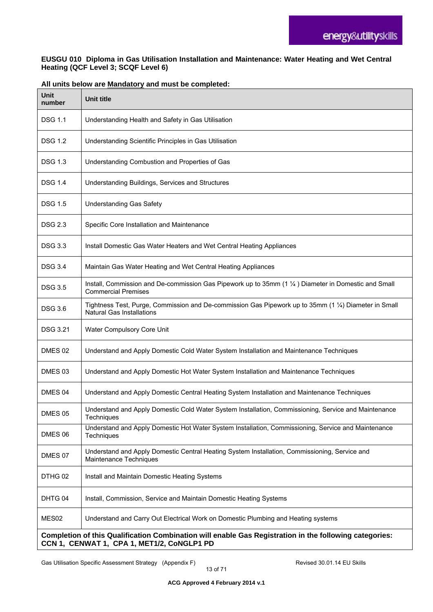#### **EUSGU 010 Diploma in Gas Utilisation Installation and Maintenance: Water Heating and Wet Central Heating (QCF Level 3; SCQF Level 6)**

| <b>Unit</b><br>number                                                                                                                                | <b>Unit title</b>                                                                                                                  |
|------------------------------------------------------------------------------------------------------------------------------------------------------|------------------------------------------------------------------------------------------------------------------------------------|
| <b>DSG 1.1</b>                                                                                                                                       | Understanding Health and Safety in Gas Utilisation                                                                                 |
| <b>DSG 1.2</b>                                                                                                                                       | Understanding Scientific Principles in Gas Utilisation                                                                             |
| <b>DSG 1.3</b>                                                                                                                                       | Understanding Combustion and Properties of Gas                                                                                     |
| <b>DSG 1.4</b>                                                                                                                                       | Understanding Buildings, Services and Structures                                                                                   |
| <b>DSG 1.5</b>                                                                                                                                       | <b>Understanding Gas Safety</b>                                                                                                    |
| <b>DSG 2.3</b>                                                                                                                                       | Specific Core Installation and Maintenance                                                                                         |
| <b>DSG 3.3</b>                                                                                                                                       | Install Domestic Gas Water Heaters and Wet Central Heating Appliances                                                              |
| <b>DSG 3.4</b>                                                                                                                                       | Maintain Gas Water Heating and Wet Central Heating Appliances                                                                      |
| <b>DSG 3.5</b>                                                                                                                                       | Install, Commission and De-commission Gas Pipework up to 35mm (1 1/4) Diameter in Domestic and Small<br><b>Commercial Premises</b> |
| <b>DSG 3.6</b>                                                                                                                                       | Tightness Test, Purge, Commission and De-commission Gas Pipework up to 35mm (1 1/4) Diameter in Small<br>Natural Gas Installations |
| <b>DSG 3.21</b>                                                                                                                                      | Water Compulsory Core Unit                                                                                                         |
| DMES 02                                                                                                                                              | Understand and Apply Domestic Cold Water System Installation and Maintenance Techniques                                            |
| DMES <sub>03</sub>                                                                                                                                   | Understand and Apply Domestic Hot Water System Installation and Maintenance Techniques                                             |
| DMES 04                                                                                                                                              | Understand and Apply Domestic Central Heating System Installation and Maintenance Techniques                                       |
| DMES 05                                                                                                                                              | Understand and Apply Domestic Cold Water System Installation, Commissioning, Service and Maintenance<br>Techniques                 |
| DMES 06                                                                                                                                              | Understand and Apply Domestic Hot Water System Installation, Commissioning, Service and Maintenance<br>Techniques                  |
| DMES 07                                                                                                                                              | Understand and Apply Domestic Central Heating System Installation, Commissioning, Service and<br>Maintenance Techniques            |
| DTHG 02                                                                                                                                              | Install and Maintain Domestic Heating Systems                                                                                      |
| DHTG 04                                                                                                                                              | Install, Commission, Service and Maintain Domestic Heating Systems                                                                 |
| MES02                                                                                                                                                | Understand and Carry Out Electrical Work on Domestic Plumbing and Heating systems                                                  |
| Completion of this Qualification Combination will enable Gas Registration in the following categories:<br>CCN 1, CENWAT 1, CPA 1, MET1/2, CoNGLP1 PD |                                                                                                                                    |

#### **All units below are Mandatory and must be completed:**

Gas Utilisation Specific Assessment Strategy (Appendix F) **Revised 30.01.14 EU Skills**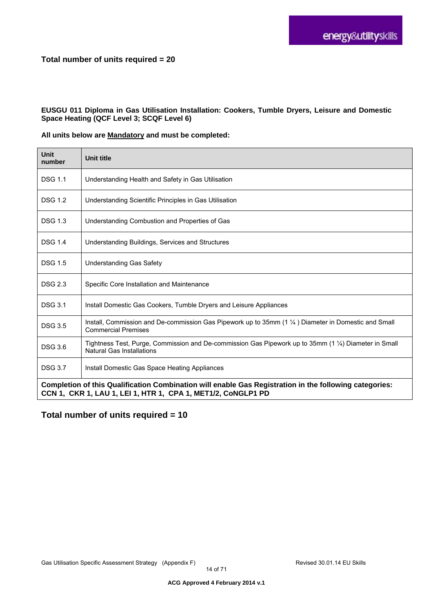#### **Total number of units required = 20**

#### **EUSGU 011 Diploma in Gas Utilisation Installation: Cookers, Tumble Dryers, Leisure and Domestic Space Heating (QCF Level 3; SCQF Level 6)**

#### **All units below are Mandatory and must be completed:**

| Unit<br>number                                                                                                                                                         | <b>Unit title</b>                                                                                                                         |
|------------------------------------------------------------------------------------------------------------------------------------------------------------------------|-------------------------------------------------------------------------------------------------------------------------------------------|
| <b>DSG 1.1</b>                                                                                                                                                         | Understanding Health and Safety in Gas Utilisation                                                                                        |
| <b>DSG 1.2</b>                                                                                                                                                         | Understanding Scientific Principles in Gas Utilisation                                                                                    |
| <b>DSG 1.3</b>                                                                                                                                                         | Understanding Combustion and Properties of Gas                                                                                            |
| <b>DSG 1.4</b>                                                                                                                                                         | Understanding Buildings, Services and Structures                                                                                          |
| <b>DSG 1.5</b>                                                                                                                                                         | Understanding Gas Safety                                                                                                                  |
| <b>DSG 2.3</b>                                                                                                                                                         | Specific Core Installation and Maintenance                                                                                                |
| <b>DSG 3.1</b>                                                                                                                                                         | Install Domestic Gas Cookers, Tumble Dryers and Leisure Appliances                                                                        |
| <b>DSG 3.5</b>                                                                                                                                                         | Install, Commission and De-commission Gas Pipework up to 35mm (1 1/4) Diameter in Domestic and Small<br><b>Commercial Premises</b>        |
| <b>DSG 3.6</b>                                                                                                                                                         | Tightness Test, Purge, Commission and De-commission Gas Pipework up to 35mm (1 1/4) Diameter in Small<br><b>Natural Gas Installations</b> |
| <b>DSG 3.7</b>                                                                                                                                                         | Install Domestic Gas Space Heating Appliances                                                                                             |
| Completion of this Qualification Combination will enable Gas Registration in the following categories:<br>CCN 1, CKR 1, LAU 1, LEI 1, HTR 1, CPA 1, MET1/2, CoNGLP1 PD |                                                                                                                                           |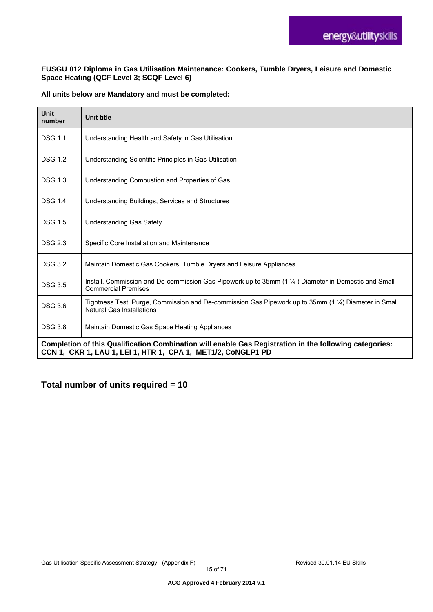#### **EUSGU 012 Diploma in Gas Utilisation Maintenance: Cookers, Tumble Dryers, Leisure and Domestic Space Heating (QCF Level 3; SCQF Level 6)**

#### **All units below are Mandatory and must be completed:**

| <b>Unit</b><br>number                                                                                                                                                  | <b>Unit title</b>                                                                                                                  |
|------------------------------------------------------------------------------------------------------------------------------------------------------------------------|------------------------------------------------------------------------------------------------------------------------------------|
| <b>DSG 1.1</b>                                                                                                                                                         | Understanding Health and Safety in Gas Utilisation                                                                                 |
| <b>DSG 1.2</b>                                                                                                                                                         | Understanding Scientific Principles in Gas Utilisation                                                                             |
| <b>DSG 1.3</b>                                                                                                                                                         | Understanding Combustion and Properties of Gas                                                                                     |
| <b>DSG 1.4</b>                                                                                                                                                         | Understanding Buildings, Services and Structures                                                                                   |
| <b>DSG 1.5</b>                                                                                                                                                         | <b>Understanding Gas Safety</b>                                                                                                    |
| <b>DSG 2.3</b>                                                                                                                                                         | Specific Core Installation and Maintenance                                                                                         |
| <b>DSG 3.2</b>                                                                                                                                                         | Maintain Domestic Gas Cookers, Tumble Dryers and Leisure Appliances                                                                |
| <b>DSG 3.5</b>                                                                                                                                                         | Install, Commission and De-commission Gas Pipework up to 35mm (1 1/4) Diameter in Domestic and Small<br><b>Commercial Premises</b> |
| <b>DSG 3.6</b>                                                                                                                                                         | Tightness Test, Purge, Commission and De-commission Gas Pipework up to 35mm (1 1/4) Diameter in Small<br>Natural Gas Installations |
| <b>DSG 3.8</b>                                                                                                                                                         | Maintain Domestic Gas Space Heating Appliances                                                                                     |
| Completion of this Qualification Combination will enable Gas Registration in the following categories:<br>CCN 1, CKR 1, LAU 1, LEI 1, HTR 1, CPA 1, MET1/2, CoNGLP1 PD |                                                                                                                                    |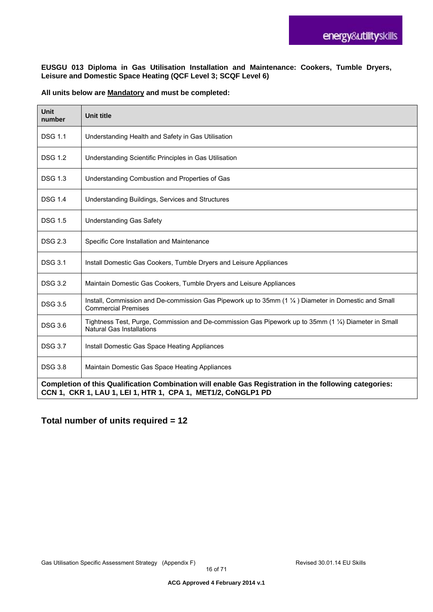**EUSGU 013 Diploma in Gas Utilisation Installation and Maintenance: Cookers, Tumble Dryers, Leisure and Domestic Space Heating (QCF Level 3; SCQF Level 6)** 

#### **All units below are Mandatory and must be completed:**

| <b>Unit</b><br>number                                                                                                                                                  | <b>Unit title</b>                                                                                                                         |
|------------------------------------------------------------------------------------------------------------------------------------------------------------------------|-------------------------------------------------------------------------------------------------------------------------------------------|
| <b>DSG 1.1</b>                                                                                                                                                         | Understanding Health and Safety in Gas Utilisation                                                                                        |
| <b>DSG 1.2</b>                                                                                                                                                         | Understanding Scientific Principles in Gas Utilisation                                                                                    |
| <b>DSG 1.3</b>                                                                                                                                                         | Understanding Combustion and Properties of Gas                                                                                            |
| <b>DSG 1.4</b>                                                                                                                                                         | Understanding Buildings, Services and Structures                                                                                          |
| <b>DSG 1.5</b>                                                                                                                                                         | <b>Understanding Gas Safety</b>                                                                                                           |
| <b>DSG 2.3</b>                                                                                                                                                         | Specific Core Installation and Maintenance                                                                                                |
| <b>DSG 3.1</b>                                                                                                                                                         | Install Domestic Gas Cookers, Tumble Dryers and Leisure Appliances                                                                        |
| <b>DSG 3.2</b>                                                                                                                                                         | Maintain Domestic Gas Cookers, Tumble Dryers and Leisure Appliances                                                                       |
| <b>DSG 3.5</b>                                                                                                                                                         | Install, Commission and De-commission Gas Pipework up to 35mm (1 1/4) Diameter in Domestic and Small<br><b>Commercial Premises</b>        |
| <b>DSG 3.6</b>                                                                                                                                                         | Tightness Test, Purge, Commission and De-commission Gas Pipework up to 35mm (1 1/4) Diameter in Small<br><b>Natural Gas Installations</b> |
| <b>DSG 3.7</b>                                                                                                                                                         | Install Domestic Gas Space Heating Appliances                                                                                             |
| <b>DSG 3.8</b>                                                                                                                                                         | Maintain Domestic Gas Space Heating Appliances                                                                                            |
| Completion of this Qualification Combination will enable Gas Registration in the following categories:<br>CCN 1, CKR 1, LAU 1, LEI 1, HTR 1, CPA 1, MET1/2, CoNGLP1 PD |                                                                                                                                           |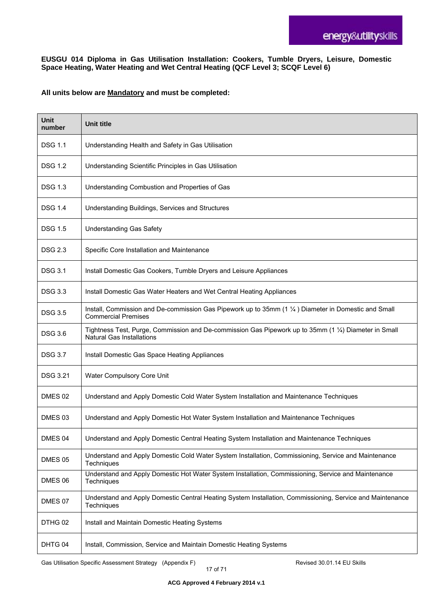#### **EUSGU 014 Diploma in Gas Utilisation Installation: Cookers, Tumble Dryers, Leisure, Domestic Space Heating, Water Heating and Wet Central Heating (QCF Level 3; SCQF Level 6)**

#### **All units below are Mandatory and must be completed:**

| <b>Unit</b><br>number | Unit title                                                                                                                                |
|-----------------------|-------------------------------------------------------------------------------------------------------------------------------------------|
| DSG 1.1               | Understanding Health and Safety in Gas Utilisation                                                                                        |
| <b>DSG 1.2</b>        | Understanding Scientific Principles in Gas Utilisation                                                                                    |
| <b>DSG 1.3</b>        | Understanding Combustion and Properties of Gas                                                                                            |
| <b>DSG 1.4</b>        | Understanding Buildings, Services and Structures                                                                                          |
| <b>DSG 1.5</b>        | <b>Understanding Gas Safety</b>                                                                                                           |
| <b>DSG 2.3</b>        | Specific Core Installation and Maintenance                                                                                                |
| <b>DSG 3.1</b>        | Install Domestic Gas Cookers, Tumble Dryers and Leisure Appliances                                                                        |
| <b>DSG 3.3</b>        | Install Domestic Gas Water Heaters and Wet Central Heating Appliances                                                                     |
| <b>DSG 3.5</b>        | Install, Commission and De-commission Gas Pipework up to 35mm (1 1/4) Diameter in Domestic and Small<br><b>Commercial Premises</b>        |
| <b>DSG 3.6</b>        | Tightness Test, Purge, Commission and De-commission Gas Pipework up to 35mm (1 1/4) Diameter in Small<br><b>Natural Gas Installations</b> |
| <b>DSG 3.7</b>        | Install Domestic Gas Space Heating Appliances                                                                                             |
| <b>DSG 3.21</b>       | Water Compulsory Core Unit                                                                                                                |
| DMES <sub>02</sub>    | Understand and Apply Domestic Cold Water System Installation and Maintenance Techniques                                                   |
| DMES <sub>03</sub>    | Understand and Apply Domestic Hot Water System Installation and Maintenance Techniques                                                    |
| DMES 04               | Understand and Apply Domestic Central Heating System Installation and Maintenance Techniques                                              |
| DMES 05               | Understand and Apply Domestic Cold Water System Installation, Commissioning, Service and Maintenance<br>Techniques                        |
| DMES 06               | Understand and Apply Domestic Hot Water System Installation, Commissioning, Service and Maintenance<br>Techniques                         |
| DMES 07               | Understand and Apply Domestic Central Heating System Installation, Commissioning, Service and Maintenance<br>Techniques                   |
| DTHG 02               | Install and Maintain Domestic Heating Systems                                                                                             |
| DHTG 04               | Install, Commission, Service and Maintain Domestic Heating Systems                                                                        |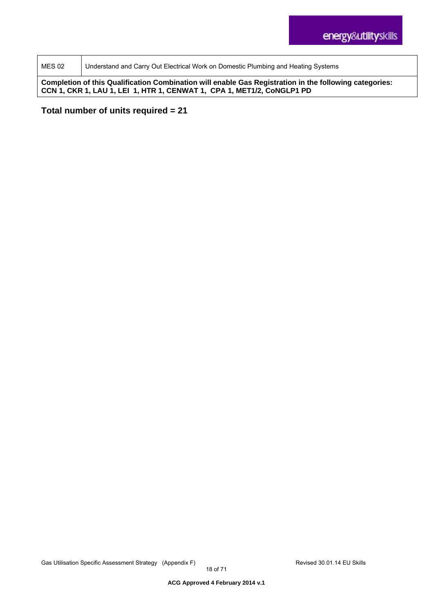MES 02 | Understand and Carry Out Electrical Work on Domestic Plumbing and Heating Systems

**Completion of this Qualification Combination will enable Gas Registration in the following categories: CCN 1, CKR 1, LAU 1, LEI 1, HTR 1, CENWAT 1, CPA 1, MET1/2, CoNGLP1 PD**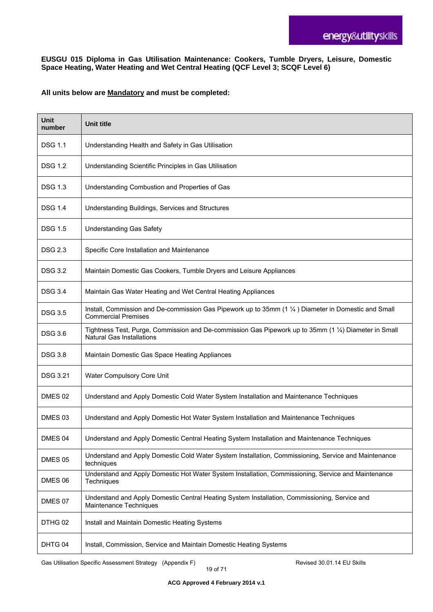#### **EUSGU 015 Diploma in Gas Utilisation Maintenance: Cookers, Tumble Dryers, Leisure, Domestic Space Heating, Water Heating and Wet Central Heating (QCF Level 3; SCQF Level 6)**

#### **All units below are Mandatory and must be completed:**

| <b>Unit</b><br>number | <b>Unit title</b>                                                                                                                         |
|-----------------------|-------------------------------------------------------------------------------------------------------------------------------------------|
| <b>DSG 1.1</b>        | Understanding Health and Safety in Gas Utilisation                                                                                        |
| <b>DSG 1.2</b>        | Understanding Scientific Principles in Gas Utilisation                                                                                    |
| <b>DSG 1.3</b>        | Understanding Combustion and Properties of Gas                                                                                            |
| <b>DSG 1.4</b>        | Understanding Buildings, Services and Structures                                                                                          |
| <b>DSG 1.5</b>        | <b>Understanding Gas Safety</b>                                                                                                           |
| <b>DSG 2.3</b>        | Specific Core Installation and Maintenance                                                                                                |
| <b>DSG 3.2</b>        | Maintain Domestic Gas Cookers, Tumble Dryers and Leisure Appliances                                                                       |
| <b>DSG 3.4</b>        | Maintain Gas Water Heating and Wet Central Heating Appliances                                                                             |
| <b>DSG 3.5</b>        | Install, Commission and De-commission Gas Pipework up to 35mm (1 1/4) Diameter in Domestic and Small<br><b>Commercial Premises</b>        |
| <b>DSG 3.6</b>        | Tightness Test, Purge, Commission and De-commission Gas Pipework up to 35mm (1 1/4) Diameter in Small<br><b>Natural Gas Installations</b> |
| <b>DSG 3.8</b>        | Maintain Domestic Gas Space Heating Appliances                                                                                            |
| <b>DSG 3.21</b>       | Water Compulsory Core Unit                                                                                                                |
| DMES 02               | Understand and Apply Domestic Cold Water System Installation and Maintenance Techniques                                                   |
| DMES 03               | Understand and Apply Domestic Hot Water System Installation and Maintenance Techniques                                                    |
| DMES 04               | Understand and Apply Domestic Central Heating System Installation and Maintenance Techniques                                              |
| DMES 05               | Understand and Apply Domestic Cold Water System Installation, Commissioning, Service and Maintenance<br>techniques                        |
| DMES 06               | Understand and Apply Domestic Hot Water System Installation, Commissioning, Service and Maintenance<br>Techniques                         |
| DMES 07               | Understand and Apply Domestic Central Heating System Installation, Commissioning, Service and<br>Maintenance Techniques                   |
| DTHG 02               | Install and Maintain Domestic Heating Systems                                                                                             |
| DHTG 04               | Install, Commission, Service and Maintain Domestic Heating Systems                                                                        |

Gas Utilisation Specific Assessment Strategy (Appendix F) **Revised 30.01.14 EU Skills**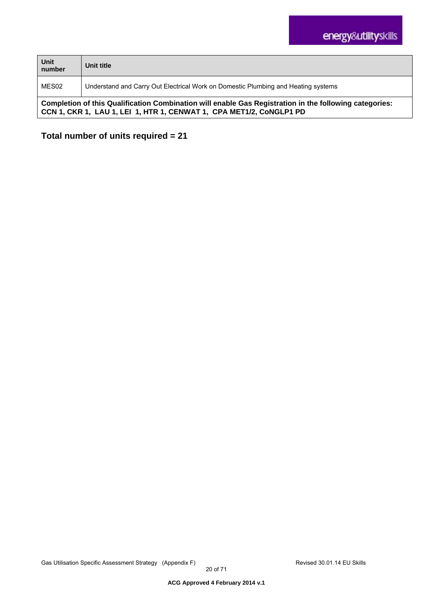| Unit<br>number                                                                                                                                                                | Unit title                                                                        |
|-------------------------------------------------------------------------------------------------------------------------------------------------------------------------------|-----------------------------------------------------------------------------------|
| MES02                                                                                                                                                                         | Understand and Carry Out Electrical Work on Domestic Plumbing and Heating systems |
| Completion of this Qualification Combination will enable Gas Registration in the following categories:<br>CCN 1, CKR 1, LAU 1, LEI 1, HTR 1, CENWAT 1, CPA MET1/2, CoNGLP1 PD |                                                                                   |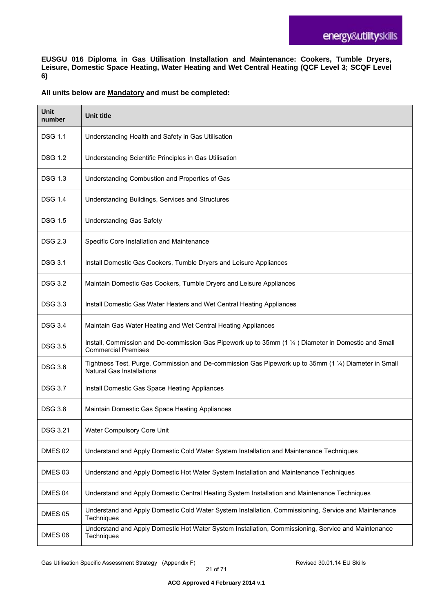**EUSGU 016 Diploma in Gas Utilisation Installation and Maintenance: Cookers, Tumble Dryers, Leisure, Domestic Space Heating, Water Heating and Wet Central Heating (QCF Level 3; SCQF Level 6)** 

#### **All units below are Mandatory and must be completed:**

| Unit<br>number  | <b>Unit title</b>                                                                                                                         |
|-----------------|-------------------------------------------------------------------------------------------------------------------------------------------|
| <b>DSG 1.1</b>  | Understanding Health and Safety in Gas Utilisation                                                                                        |
| <b>DSG 1.2</b>  | Understanding Scientific Principles in Gas Utilisation                                                                                    |
| <b>DSG 1.3</b>  | Understanding Combustion and Properties of Gas                                                                                            |
| <b>DSG 1.4</b>  | Understanding Buildings, Services and Structures                                                                                          |
| <b>DSG 1.5</b>  | <b>Understanding Gas Safety</b>                                                                                                           |
| <b>DSG 2.3</b>  | Specific Core Installation and Maintenance                                                                                                |
| <b>DSG 3.1</b>  | Install Domestic Gas Cookers, Tumble Dryers and Leisure Appliances                                                                        |
| <b>DSG 3.2</b>  | Maintain Domestic Gas Cookers, Tumble Dryers and Leisure Appliances                                                                       |
| <b>DSG 3.3</b>  | Install Domestic Gas Water Heaters and Wet Central Heating Appliances                                                                     |
| <b>DSG 3.4</b>  | Maintain Gas Water Heating and Wet Central Heating Appliances                                                                             |
| <b>DSG 3.5</b>  | Install, Commission and De-commission Gas Pipework up to 35mm (1 1/4) Diameter in Domestic and Small<br><b>Commercial Premises</b>        |
| <b>DSG 3.6</b>  | Tightness Test, Purge, Commission and De-commission Gas Pipework up to 35mm (1 1/4) Diameter in Small<br><b>Natural Gas Installations</b> |
| <b>DSG 3.7</b>  | Install Domestic Gas Space Heating Appliances                                                                                             |
| <b>DSG 3.8</b>  | Maintain Domestic Gas Space Heating Appliances                                                                                            |
| <b>DSG 3.21</b> | Water Compulsory Core Unit                                                                                                                |
| DMES 02         | Understand and Apply Domestic Cold Water System Installation and Maintenance Techniques                                                   |
| DMES 03         | Understand and Apply Domestic Hot Water System Installation and Maintenance Techniques                                                    |
| DMES 04         | Understand and Apply Domestic Central Heating System Installation and Maintenance Techniques                                              |
| DMES 05         | Understand and Apply Domestic Cold Water System Installation, Commissioning, Service and Maintenance<br>Techniques                        |
| DMES 06         | Understand and Apply Domestic Hot Water System Installation, Commissioning, Service and Maintenance<br>Techniques                         |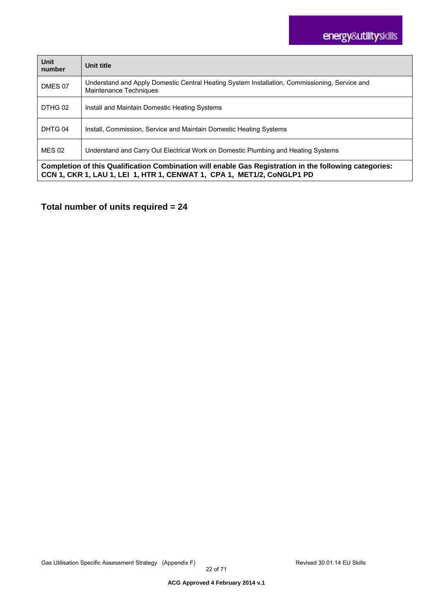| Unit<br>number                                                                                                                                                                   | Unit title                                                                                                              |
|----------------------------------------------------------------------------------------------------------------------------------------------------------------------------------|-------------------------------------------------------------------------------------------------------------------------|
| DMES 07                                                                                                                                                                          | Understand and Apply Domestic Central Heating System Installation, Commissioning, Service and<br>Maintenance Techniques |
| DTHG 02                                                                                                                                                                          | Install and Maintain Domestic Heating Systems                                                                           |
| DHTG 04                                                                                                                                                                          | Install, Commission, Service and Maintain Domestic Heating Systems                                                      |
| <b>MES 02</b>                                                                                                                                                                    | Understand and Carry Out Electrical Work on Domestic Plumbing and Heating Systems                                       |
| Completion of this Qualification Combination will enable Gas Registration in the following categories:<br>CCN 1, CKR 1, LAU 1, LEI 1, HTR 1, CENWAT 1, CPA 1, MET1/2, CoNGLP1 PD |                                                                                                                         |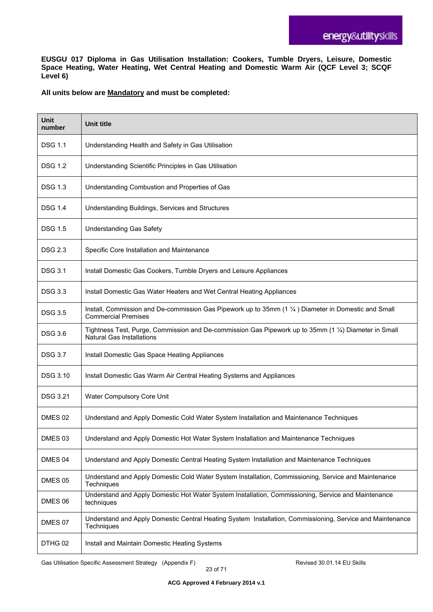**EUSGU 017 Diploma in Gas Utilisation Installation: Cookers, Tumble Dryers, Leisure, Domestic Space Heating, Water Heating, Wet Central Heating and Domestic Warm Air (QCF Level 3; SCQF Level 6)** 

#### **All units below are Mandatory and must be completed:**

| <b>Unit</b><br>number | <b>Unit title</b>                                                                                                                         |
|-----------------------|-------------------------------------------------------------------------------------------------------------------------------------------|
| DSG 1.1               | Understanding Health and Safety in Gas Utilisation                                                                                        |
| <b>DSG 1.2</b>        | Understanding Scientific Principles in Gas Utilisation                                                                                    |
| <b>DSG 1.3</b>        | Understanding Combustion and Properties of Gas                                                                                            |
| <b>DSG 1.4</b>        | Understanding Buildings, Services and Structures                                                                                          |
| <b>DSG 1.5</b>        | <b>Understanding Gas Safety</b>                                                                                                           |
| DSG 2.3               | Specific Core Installation and Maintenance                                                                                                |
| <b>DSG 3.1</b>        | Install Domestic Gas Cookers, Tumble Dryers and Leisure Appliances                                                                        |
| <b>DSG 3.3</b>        | Install Domestic Gas Water Heaters and Wet Central Heating Appliances                                                                     |
| <b>DSG 3.5</b>        | Install, Commission and De-commission Gas Pipework up to 35mm (1 1/4) Diameter in Domestic and Small<br><b>Commercial Premises</b>        |
| <b>DSG 3.6</b>        | Tightness Test, Purge, Commission and De-commission Gas Pipework up to 35mm (1 1/4) Diameter in Small<br><b>Natural Gas Installations</b> |
| <b>DSG 3.7</b>        | Install Domestic Gas Space Heating Appliances                                                                                             |
| <b>DSG 3.10</b>       | Install Domestic Gas Warm Air Central Heating Systems and Appliances                                                                      |
| DSG 3.21              | Water Compulsory Core Unit                                                                                                                |
| DMES 02               | Understand and Apply Domestic Cold Water System Installation and Maintenance Techniques                                                   |
| DMES 03               | Understand and Apply Domestic Hot Water System Installation and Maintenance Techniques                                                    |
| DMES 04               | Understand and Apply Domestic Central Heating System Installation and Maintenance Techniques                                              |
| DMES 05               | Understand and Apply Domestic Cold Water System Installation, Commissioning, Service and Maintenance<br>Techniques                        |
| DMES 06               | Understand and Apply Domestic Hot Water System Installation, Commissioning, Service and Maintenance<br>techniques                         |
| DMES 07               | Understand and Apply Domestic Central Heating System Installation, Commissioning, Service and Maintenance<br>Techniques                   |
| DTHG 02               | Install and Maintain Domestic Heating Systems                                                                                             |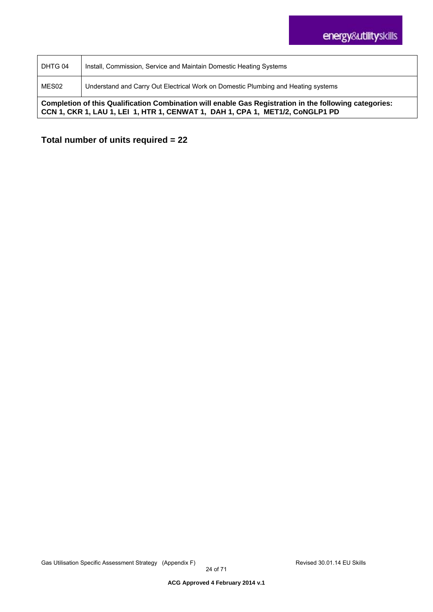| DHTG 04                                                                                                                                                                                 | Install, Commission, Service and Maintain Domestic Heating Systems                |
|-----------------------------------------------------------------------------------------------------------------------------------------------------------------------------------------|-----------------------------------------------------------------------------------|
| MES02                                                                                                                                                                                   | Understand and Carry Out Electrical Work on Domestic Plumbing and Heating systems |
| Completion of this Qualification Combination will enable Gas Registration in the following categories:<br>CCN 1, CKR 1, LAU 1, LEI 1, HTR 1, CENWAT 1, DAH 1, CPA 1, MET1/2, CoNGLP1 PD |                                                                                   |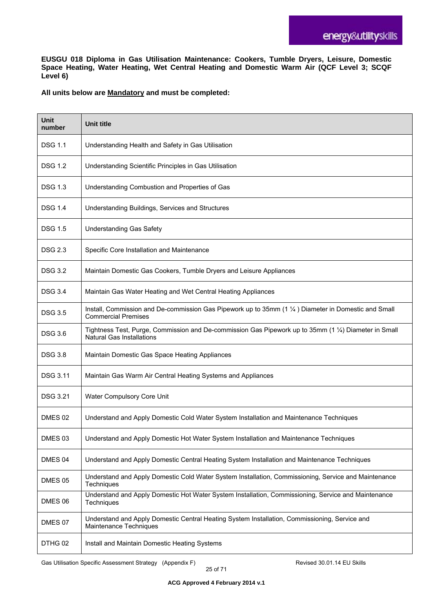**EUSGU 018 Diploma in Gas Utilisation Maintenance: Cookers, Tumble Dryers, Leisure, Domestic Space Heating, Water Heating, Wet Central Heating and Domestic Warm Air (QCF Level 3; SCQF Level 6)** 

#### **All units below are Mandatory and must be completed:**

| <b>Unit</b><br>number | <b>Unit title</b>                                                                                                                         |
|-----------------------|-------------------------------------------------------------------------------------------------------------------------------------------|
| <b>DSG 1.1</b>        | Understanding Health and Safety in Gas Utilisation                                                                                        |
| <b>DSG 1.2</b>        | Understanding Scientific Principles in Gas Utilisation                                                                                    |
| <b>DSG 1.3</b>        | Understanding Combustion and Properties of Gas                                                                                            |
| <b>DSG 1.4</b>        | Understanding Buildings, Services and Structures                                                                                          |
| <b>DSG 1.5</b>        | <b>Understanding Gas Safety</b>                                                                                                           |
| <b>DSG 2.3</b>        | Specific Core Installation and Maintenance                                                                                                |
| <b>DSG 3.2</b>        | Maintain Domestic Gas Cookers, Tumble Dryers and Leisure Appliances                                                                       |
| DSG 3.4               | Maintain Gas Water Heating and Wet Central Heating Appliances                                                                             |
| <b>DSG 3.5</b>        | Install, Commission and De-commission Gas Pipework up to 35mm (1 1/4) Diameter in Domestic and Small<br><b>Commercial Premises</b>        |
| <b>DSG 3.6</b>        | Tightness Test, Purge, Commission and De-commission Gas Pipework up to 35mm (1 1/4) Diameter in Small<br><b>Natural Gas Installations</b> |
| <b>DSG 3.8</b>        | Maintain Domestic Gas Space Heating Appliances                                                                                            |
| <b>DSG 3.11</b>       | Maintain Gas Warm Air Central Heating Systems and Appliances                                                                              |
| <b>DSG 3.21</b>       | Water Compulsory Core Unit                                                                                                                |
| DMES 02               | Understand and Apply Domestic Cold Water System Installation and Maintenance Techniques                                                   |
| DMES 03               | Understand and Apply Domestic Hot Water System Installation and Maintenance Techniques                                                    |
| DMES 04               | Understand and Apply Domestic Central Heating System Installation and Maintenance Techniques                                              |
| DMES 05               | Understand and Apply Domestic Cold Water System Installation, Commissioning, Service and Maintenance<br>Techniques                        |
| DMES 06               | Understand and Apply Domestic Hot Water System Installation, Commissioning, Service and Maintenance<br>Techniques                         |
| DMES 07               | Understand and Apply Domestic Central Heating System Installation, Commissioning, Service and<br>Maintenance Techniques                   |
| DTHG 02               | Install and Maintain Domestic Heating Systems                                                                                             |

Gas Utilisation Specific Assessment Strategy (Appendix F) **Revised 30.01.14 EU Skills**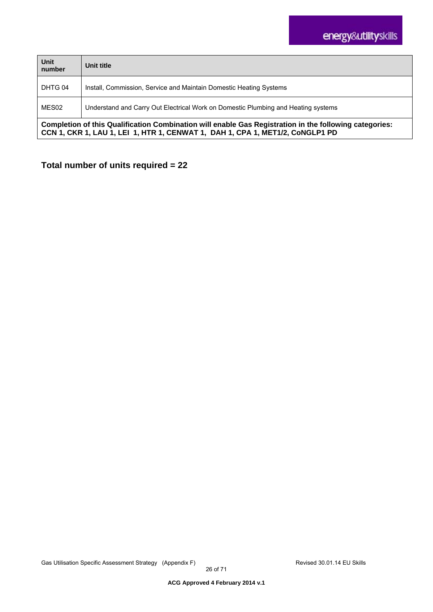| Unit<br>number                                                                                                                                                                          | Unit title                                                                        |
|-----------------------------------------------------------------------------------------------------------------------------------------------------------------------------------------|-----------------------------------------------------------------------------------|
| DHTG 04                                                                                                                                                                                 | Install, Commission, Service and Maintain Domestic Heating Systems                |
| MES02                                                                                                                                                                                   | Understand and Carry Out Electrical Work on Domestic Plumbing and Heating systems |
| Completion of this Qualification Combination will enable Gas Registration in the following categories:<br>CCN 1, CKR 1, LAU 1, LEI 1, HTR 1, CENWAT 1, DAH 1, CPA 1, MET1/2, CoNGLP1 PD |                                                                                   |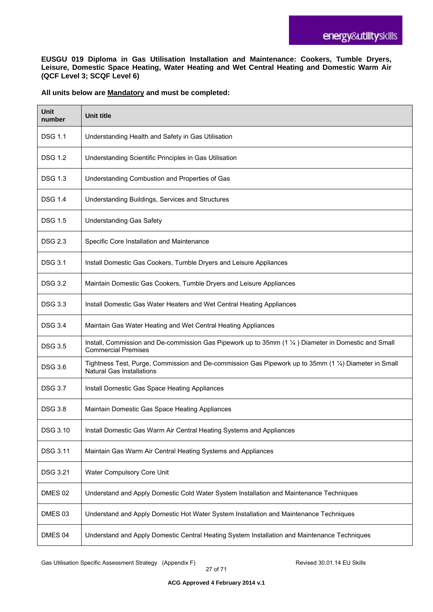**EUSGU 019 Diploma in Gas Utilisation Installation and Maintenance: Cookers, Tumble Dryers, Leisure, Domestic Space Heating, Water Heating and Wet Central Heating and Domestic Warm Air (QCF Level 3; SCQF Level 6)** 

#### **All units below are Mandatory and must be completed:**

| <b>Unit</b><br>number | <b>Unit title</b>                                                                                                                         |
|-----------------------|-------------------------------------------------------------------------------------------------------------------------------------------|
| <b>DSG 1.1</b>        | Understanding Health and Safety in Gas Utilisation                                                                                        |
| <b>DSG 1.2</b>        | Understanding Scientific Principles in Gas Utilisation                                                                                    |
| <b>DSG 1.3</b>        | Understanding Combustion and Properties of Gas                                                                                            |
| <b>DSG 1.4</b>        | Understanding Buildings, Services and Structures                                                                                          |
| <b>DSG 1.5</b>        | <b>Understanding Gas Safety</b>                                                                                                           |
| <b>DSG 2.3</b>        | Specific Core Installation and Maintenance                                                                                                |
| <b>DSG 3.1</b>        | Install Domestic Gas Cookers, Tumble Dryers and Leisure Appliances                                                                        |
| <b>DSG 3.2</b>        | Maintain Domestic Gas Cookers, Tumble Dryers and Leisure Appliances                                                                       |
| <b>DSG 3.3</b>        | Install Domestic Gas Water Heaters and Wet Central Heating Appliances                                                                     |
| <b>DSG 3.4</b>        | Maintain Gas Water Heating and Wet Central Heating Appliances                                                                             |
| <b>DSG 3.5</b>        | Install, Commission and De-commission Gas Pipework up to 35mm (1 1/4) Diameter in Domestic and Small<br><b>Commercial Premises</b>        |
| <b>DSG 3.6</b>        | Tightness Test, Purge, Commission and De-commission Gas Pipework up to 35mm (1 1/4) Diameter in Small<br><b>Natural Gas Installations</b> |
| <b>DSG 3.7</b>        | Install Domestic Gas Space Heating Appliances                                                                                             |
| <b>DSG 3.8</b>        | Maintain Domestic Gas Space Heating Appliances                                                                                            |
| DSG 3.10              | Install Domestic Gas Warm Air Central Heating Systems and Appliances                                                                      |
| DSG 3.11              | Maintain Gas Warm Air Central Heating Systems and Appliances                                                                              |
| DSG 3.21              | Water Compulsory Core Unit                                                                                                                |
| DMES 02               | Understand and Apply Domestic Cold Water System Installation and Maintenance Techniques                                                   |
| DMES 03               | Understand and Apply Domestic Hot Water System Installation and Maintenance Techniques                                                    |
| DMES 04               | Understand and Apply Domestic Central Heating System Installation and Maintenance Techniques                                              |

Gas Utilisation Specific Assessment Strategy (Appendix F) **Revised 30.01.14 EU Skills**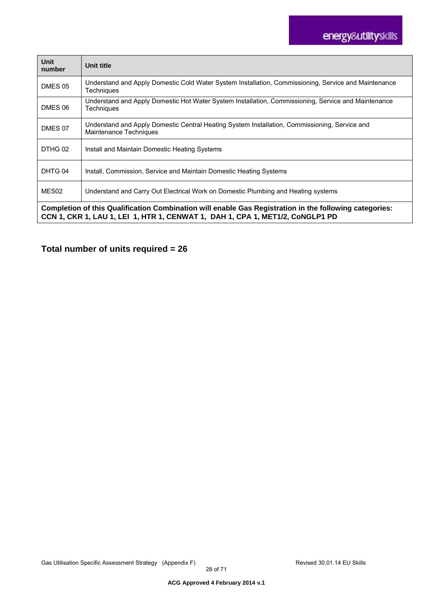# energy&utilityskills

| <b>Unit</b><br>number                                                                                                                                                                   | Unit title                                                                                                                |
|-----------------------------------------------------------------------------------------------------------------------------------------------------------------------------------------|---------------------------------------------------------------------------------------------------------------------------|
| DMES 05                                                                                                                                                                                 | Understand and Apply Domestic Cold Water System Installation, Commissioning, Service and Maintenance<br><b>Techniques</b> |
| DMES 06                                                                                                                                                                                 | Understand and Apply Domestic Hot Water System Installation, Commissioning, Service and Maintenance<br>Techniques         |
| DMES 07                                                                                                                                                                                 | Understand and Apply Domestic Central Heating System Installation, Commissioning, Service and<br>Maintenance Techniques   |
| DTHG 02                                                                                                                                                                                 | Install and Maintain Domestic Heating Systems                                                                             |
| DHTG 04                                                                                                                                                                                 | Install, Commission, Service and Maintain Domestic Heating Systems                                                        |
| MES <sub>02</sub>                                                                                                                                                                       | Understand and Carry Out Electrical Work on Domestic Plumbing and Heating systems                                         |
| Completion of this Qualification Combination will enable Gas Registration in the following categories:<br>CCN 1, CKR 1, LAU 1, LEI 1, HTR 1, CENWAT 1, DAH 1, CPA 1, MET1/2, CoNGLP1 PD |                                                                                                                           |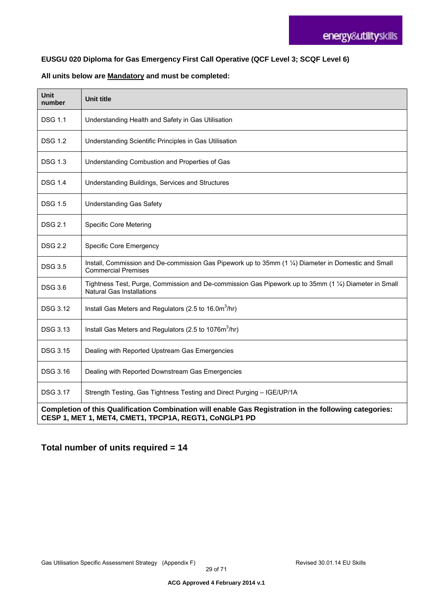#### **EUSGU 020 Diploma for Gas Emergency First Call Operative (QCF Level 3; SCQF Level 6)**

#### **All units below are Mandatory and must be completed:**

| Unit<br>number                                                                                                                                                  | <b>Unit title</b>                                                                                                                         |
|-----------------------------------------------------------------------------------------------------------------------------------------------------------------|-------------------------------------------------------------------------------------------------------------------------------------------|
| <b>DSG 1.1</b>                                                                                                                                                  | Understanding Health and Safety in Gas Utilisation                                                                                        |
| <b>DSG 1.2</b>                                                                                                                                                  | Understanding Scientific Principles in Gas Utilisation                                                                                    |
| DSG 1.3                                                                                                                                                         | Understanding Combustion and Properties of Gas                                                                                            |
| DSG 1.4                                                                                                                                                         | Understanding Buildings, Services and Structures                                                                                          |
| <b>DSG 1.5</b>                                                                                                                                                  | <b>Understanding Gas Safety</b>                                                                                                           |
| <b>DSG 2.1</b>                                                                                                                                                  | <b>Specific Core Metering</b>                                                                                                             |
| <b>DSG 2.2</b>                                                                                                                                                  | <b>Specific Core Emergency</b>                                                                                                            |
| <b>DSG 3.5</b>                                                                                                                                                  | Install, Commission and De-commission Gas Pipework up to 35mm (1 1/4) Diameter in Domestic and Small<br><b>Commercial Premises</b>        |
| <b>DSG 3.6</b>                                                                                                                                                  | Tightness Test, Purge, Commission and De-commission Gas Pipework up to 35mm (1 1/4) Diameter in Small<br><b>Natural Gas Installations</b> |
| <b>DSG 3.12</b>                                                                                                                                                 | Install Gas Meters and Regulators (2.5 to 16.0m <sup>3</sup> /hr)                                                                         |
| DSG 3.13                                                                                                                                                        | Install Gas Meters and Regulators (2.5 to 1076m <sup>3</sup> /hr)                                                                         |
| <b>DSG 3.15</b>                                                                                                                                                 | Dealing with Reported Upstream Gas Emergencies                                                                                            |
| <b>DSG 3.16</b>                                                                                                                                                 | Dealing with Reported Downstream Gas Emergencies                                                                                          |
| <b>DSG 3.17</b>                                                                                                                                                 | Strength Testing, Gas Tightness Testing and Direct Purging - IGE/UP/1A                                                                    |
| Completion of this Qualification Combination will enable Gas Registration in the following categories:<br>CESP 1, MET 1, MET4, CMET1, TPCP1A, REGT1, CoNGLP1 PD |                                                                                                                                           |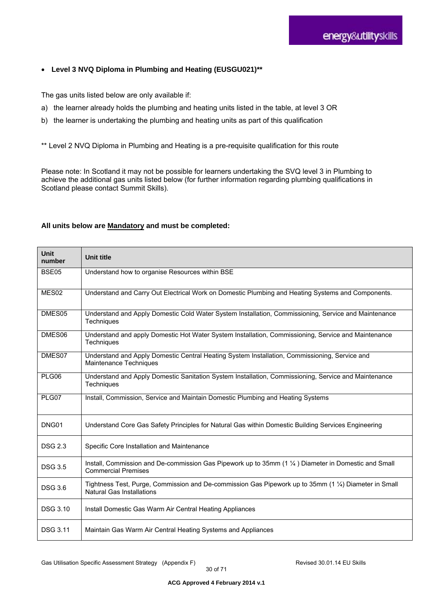#### **Level 3 NVQ Diploma in Plumbing and Heating (EUSGU021)\*\***

The gas units listed below are only available if:

- a) the learner already holds the plumbing and heating units listed in the table, at level 3 OR
- b) the learner is undertaking the plumbing and heating units as part of this qualification

\*\* Level 2 NVQ Diploma in Plumbing and Heating is a pre-requisite qualification for this route

Please note: In Scotland it may not be possible for learners undertaking the SVQ level 3 in Plumbing to achieve the additional gas units listed below (for further information regarding plumbing qualifications in Scotland please contact Summit Skills).

#### **All units below are Mandatory and must be completed:**

| <b>Unit</b><br>number | <b>Unit title</b>                                                                                                                  |
|-----------------------|------------------------------------------------------------------------------------------------------------------------------------|
| <b>BSE05</b>          | Understand how to organise Resources within BSE                                                                                    |
| MES <sub>02</sub>     | Understand and Carry Out Electrical Work on Domestic Plumbing and Heating Systems and Components.                                  |
| DMES05                | Understand and Apply Domestic Cold Water System Installation, Commissioning, Service and Maintenance<br>Techniques                 |
| DMES06                | Understand and apply Domestic Hot Water System Installation, Commissioning, Service and Maintenance<br>Techniques                  |
| DMES07                | Understand and Apply Domestic Central Heating System Installation, Commissioning, Service and<br>Maintenance Techniques            |
| PLG06                 | Understand and Apply Domestic Sanitation System Installation, Commissioning, Service and Maintenance<br>Techniques                 |
| PLG07                 | Install, Commission, Service and Maintain Domestic Plumbing and Heating Systems                                                    |
| DNG01                 | Understand Core Gas Safety Principles for Natural Gas within Domestic Building Services Engineering                                |
| <b>DSG 2.3</b>        | Specific Core Installation and Maintenance                                                                                         |
| <b>DSG 3.5</b>        | Install, Commission and De-commission Gas Pipework up to 35mm (1 1/4) Diameter in Domestic and Small<br><b>Commercial Premises</b> |
| <b>DSG 3.6</b>        | Tightness Test, Purge, Commission and De-commission Gas Pipework up to 35mm (1 1/4) Diameter in Small<br>Natural Gas Installations |
| <b>DSG 3.10</b>       | Install Domestic Gas Warm Air Central Heating Appliances                                                                           |
| <b>DSG 3.11</b>       | Maintain Gas Warm Air Central Heating Systems and Appliances                                                                       |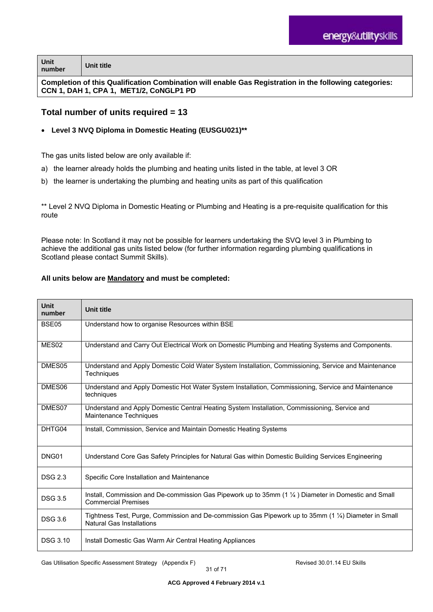| Unit<br>number                                                                                         | Unit title |
|--------------------------------------------------------------------------------------------------------|------------|
| Completion of this Qualification Compination will onable Cas Pomistration in the following categories: |            |

**Completion of this Qualification Combination will enable Gas Registration in the following categories: CCN 1, DAH 1, CPA 1, MET1/2, CoNGLP1 PD** 

### **Total number of units required = 13**

#### **Level 3 NVQ Diploma in Domestic Heating (EUSGU021)\*\***

The gas units listed below are only available if:

- a) the learner already holds the plumbing and heating units listed in the table, at level 3 OR
- b) the learner is undertaking the plumbing and heating units as part of this qualification

\*\* Level 2 NVQ Diploma in Domestic Heating or Plumbing and Heating is a pre-requisite qualification for this route

Please note: In Scotland it may not be possible for learners undertaking the SVQ level 3 in Plumbing to achieve the additional gas units listed below (for further information regarding plumbing qualifications in Scotland please contact Summit Skills).

#### **All units below are Mandatory and must be completed:**

| <b>Unit</b><br>number | <b>Unit title</b>                                                                                                                         |
|-----------------------|-------------------------------------------------------------------------------------------------------------------------------------------|
| BSE05                 | Understand how to organise Resources within BSE                                                                                           |
| MES <sub>02</sub>     | Understand and Carry Out Electrical Work on Domestic Plumbing and Heating Systems and Components.                                         |
| DMES05                | Understand and Apply Domestic Cold Water System Installation, Commissioning, Service and Maintenance<br>Techniques                        |
| DMES06                | Understand and Apply Domestic Hot Water System Installation, Commissioning, Service and Maintenance<br>techniques                         |
| DMES07                | Understand and Apply Domestic Central Heating System Installation, Commissioning, Service and<br>Maintenance Techniques                   |
| DHTG04                | Install, Commission, Service and Maintain Domestic Heating Systems                                                                        |
| DNG01                 | Understand Core Gas Safety Principles for Natural Gas within Domestic Building Services Engineering                                       |
| <b>DSG 2.3</b>        | Specific Core Installation and Maintenance                                                                                                |
| <b>DSG 3.5</b>        | Install, Commission and De-commission Gas Pipework up to 35mm (1 1/4) Diameter in Domestic and Small<br><b>Commercial Premises</b>        |
| <b>DSG 3.6</b>        | Tightness Test, Purge, Commission and De-commission Gas Pipework up to 35mm (1 1/4) Diameter in Small<br><b>Natural Gas Installations</b> |
| <b>DSG 3.10</b>       | Install Domestic Gas Warm Air Central Heating Appliances                                                                                  |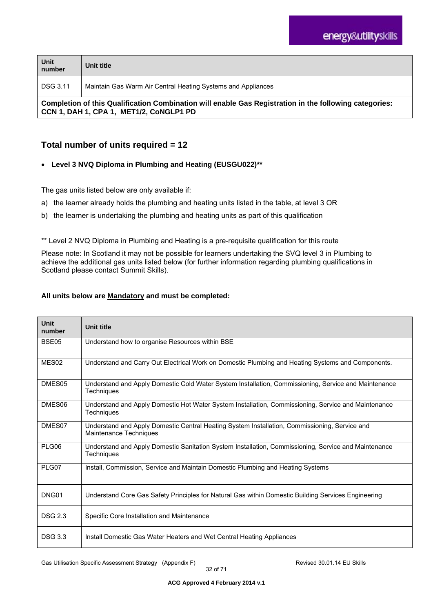| Unit<br>number                                                                                                                                    | Unit title                                                   |
|---------------------------------------------------------------------------------------------------------------------------------------------------|--------------------------------------------------------------|
| <b>DSG 3.11</b>                                                                                                                                   | Maintain Gas Warm Air Central Heating Systems and Appliances |
| Completion of this Qualification Combination will enable Gas Registration in the following categories:<br>CCN 1, DAH 1, CPA 1, MET1/2, CoNGLP1 PD |                                                              |

### **Total number of units required = 12**

### **Level 3 NVQ Diploma in Plumbing and Heating (EUSGU022)\*\***

The gas units listed below are only available if:

- a) the learner already holds the plumbing and heating units listed in the table, at level 3 OR
- b) the learner is undertaking the plumbing and heating units as part of this qualification

\*\* Level 2 NVQ Diploma in Plumbing and Heating is a pre-requisite qualification for this route

Please note: In Scotland it may not be possible for learners undertaking the SVQ level 3 in Plumbing to achieve the additional gas units listed below (for further information regarding plumbing qualifications in Scotland please contact Summit Skills).

#### **All units below are Mandatory and must be completed:**

| Unit<br>number     | <b>Unit title</b>                                                                                                         |
|--------------------|---------------------------------------------------------------------------------------------------------------------------|
| BSE05              | Understand how to organise Resources within BSE                                                                           |
| MES <sub>02</sub>  | Understand and Carry Out Electrical Work on Domestic Plumbing and Heating Systems and Components.                         |
| DMES <sub>05</sub> | Understand and Apply Domestic Cold Water System Installation, Commissioning, Service and Maintenance<br><b>Techniques</b> |
| DMES06             | Understand and Apply Domestic Hot Water System Installation, Commissioning, Service and Maintenance<br>Techniques         |
| DMES07             | Understand and Apply Domestic Central Heating System Installation, Commissioning, Service and<br>Maintenance Techniques   |
| PLG06              | Understand and Apply Domestic Sanitation System Installation, Commissioning, Service and Maintenance<br>Techniques        |
| PLG07              | Install, Commission, Service and Maintain Domestic Plumbing and Heating Systems                                           |
| DNG01              | Understand Core Gas Safety Principles for Natural Gas within Domestic Building Services Engineering                       |
| <b>DSG 2.3</b>     | Specific Core Installation and Maintenance                                                                                |
| <b>DSG 3.3</b>     | Install Domestic Gas Water Heaters and Wet Central Heating Appliances                                                     |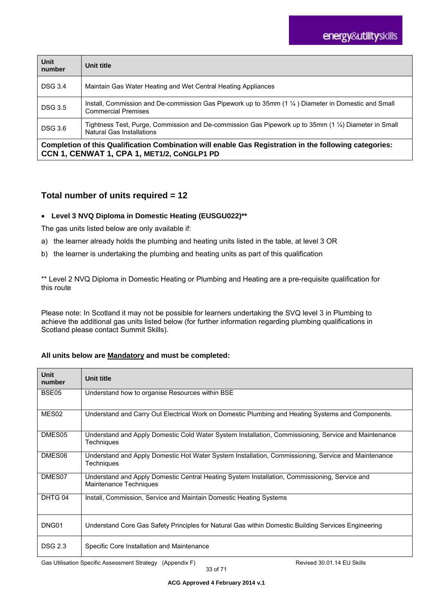| Unit<br>number | Unit title                                                                                                                                   |
|----------------|----------------------------------------------------------------------------------------------------------------------------------------------|
| <b>DSG 3.4</b> | Maintain Gas Water Heating and Wet Central Heating Appliances                                                                                |
| <b>DSG 3.5</b> | Install, Commission and De-commission Gas Pipework up to 35mm $(1 \frac{1}{4})$ Diameter in Domestic and Small<br><b>Commercial Premises</b> |
| <b>DSG 3.6</b> | Tightness Test, Purge, Commission and De-commission Gas Pipework up to 35mm (1 1/4) Diameter in Small<br><b>Natural Gas Installations</b>    |
|                | ---                                                                                                                                          |

**Completion of this Qualification Combination will enable Gas Registration in the following categories: CCN 1, CENWAT 1, CPA 1, MET1/2, CoNGLP1 PD** 

### **Total number of units required = 12**

#### **Level 3 NVQ Diploma in Domestic Heating (EUSGU022)\*\***

The gas units listed below are only available if:

- a) the learner already holds the plumbing and heating units listed in the table, at level 3 OR
- b) the learner is undertaking the plumbing and heating units as part of this qualification

\*\* Level 2 NVQ Diploma in Domestic Heating or Plumbing and Heating are a pre-requisite qualification for this route

Please note: In Scotland it may not be possible for learners undertaking the SVQ level 3 in Plumbing to achieve the additional gas units listed below (for further information regarding plumbing qualifications in Scotland please contact Summit Skills).

#### **All units below are Mandatory and must be completed:**

| <b>Unit</b><br>number | Unit title                                                                                                                |
|-----------------------|---------------------------------------------------------------------------------------------------------------------------|
| BSE05                 | Understand how to organise Resources within BSE                                                                           |
| MES <sub>02</sub>     | Understand and Carry Out Electrical Work on Domestic Plumbing and Heating Systems and Components.                         |
| DMES05                | Understand and Apply Domestic Cold Water System Installation, Commissioning, Service and Maintenance<br><b>Techniques</b> |
| DMES06                | Understand and Apply Domestic Hot Water System Installation, Commissioning, Service and Maintenance<br><b>Techniques</b>  |
| DMES07                | Understand and Apply Domestic Central Heating System Installation, Commissioning, Service and<br>Maintenance Techniques   |
| DHTG 04               | Install, Commission, Service and Maintain Domestic Heating Systems                                                        |
| DNG01                 | Understand Core Gas Safety Principles for Natural Gas within Domestic Building Services Engineering                       |
| <b>DSG 2.3</b>        | Specific Core Installation and Maintenance                                                                                |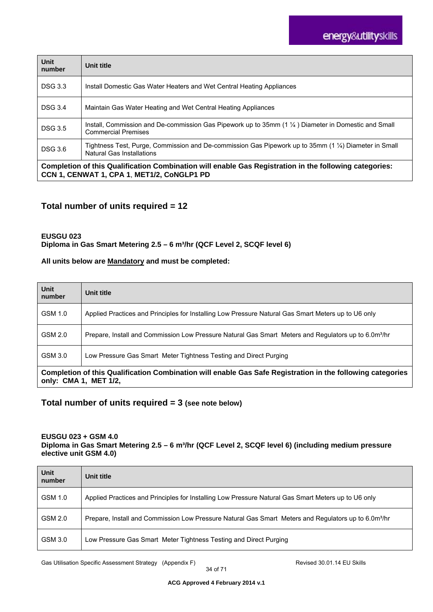| Unit<br>number                                                                                                                                       | Unit title                                                                                                                                  |
|------------------------------------------------------------------------------------------------------------------------------------------------------|---------------------------------------------------------------------------------------------------------------------------------------------|
| <b>DSG 3.3</b>                                                                                                                                       | Install Domestic Gas Water Heaters and Wet Central Heating Appliances                                                                       |
| <b>DSG 3.4</b>                                                                                                                                       | Maintain Gas Water Heating and Wet Central Heating Appliances                                                                               |
| <b>DSG 3.5</b>                                                                                                                                       | Install, Commission and De-commission Gas Pipework up to 35mm $(1\frac{1}{4})$ Diameter in Domestic and Small<br><b>Commercial Premises</b> |
| <b>DSG 3.6</b>                                                                                                                                       | Tightness Test, Purge, Commission and De-commission Gas Pipework up to 35mm (1 1/4) Diameter in Small<br><b>Natural Gas Installations</b>   |
| Completion of this Qualification Combination will enable Gas Registration in the following categories:<br>CCN 1, CENWAT 1, CPA 1, MET1/2, CoNGLP1 PD |                                                                                                                                             |

### **Total number of units required = 12**

#### **EUSGU 023**  Diploma in Gas Smart Metering 2.5 - 6 m<sup>3</sup>/hr (QCF Level 2, SCQF level 6)

#### **All units below are Mandatory and must be completed:**

| Unit<br>number                                                                                                                      | Unit title                                                                                                       |
|-------------------------------------------------------------------------------------------------------------------------------------|------------------------------------------------------------------------------------------------------------------|
| GSM 1.0                                                                                                                             | Applied Practices and Principles for Installing Low Pressure Natural Gas Smart Meters up to U6 only              |
| GSM 2.0                                                                                                                             | Prepare, Install and Commission Low Pressure Natural Gas Smart Meters and Regulators up to 6.0m <sup>3</sup> /hr |
| GSM 3.0                                                                                                                             | Low Pressure Gas Smart Meter Tightness Testing and Direct Purging                                                |
| Completion of this Qualification Combination will enable Gas Safe Registration in the following categories<br>only: CMA 1, MET 1/2, |                                                                                                                  |

### **Total number of units required = 3 (see note below)**

#### **EUSGU 023 + GSM 4.0**

Diploma in Gas Smart Metering 2.5 - 6 m<sup>3</sup>/hr (QCF Level 2, SCQF level 6) (including medium pressure **elective unit GSM 4.0)** 

| Unit<br>number | Unit title                                                                                                       |
|----------------|------------------------------------------------------------------------------------------------------------------|
| GSM 1.0        | Applied Practices and Principles for Installing Low Pressure Natural Gas Smart Meters up to U6 only              |
| GSM 2.0        | Prepare, Install and Commission Low Pressure Natural Gas Smart Meters and Regulators up to 6.0m <sup>3</sup> /hr |
| GSM 3.0        | Low Pressure Gas Smart Meter Tightness Testing and Direct Purging                                                |

Gas Utilisation Specific Assessment Strategy (Appendix F) **Revised 30.01.14 EU Skills**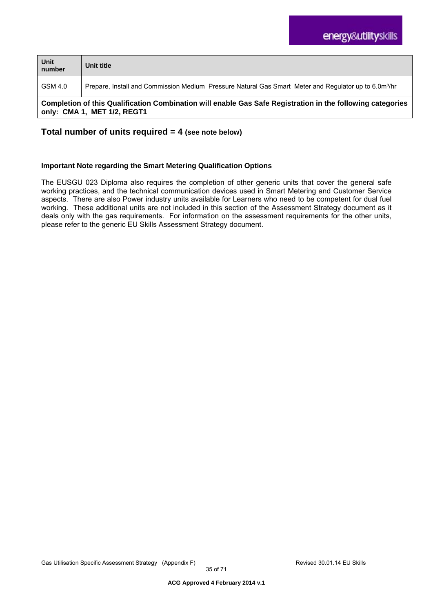| Unit<br>number                                                                                                                            | Unit title                                                                                                        |  |  |  |
|-------------------------------------------------------------------------------------------------------------------------------------------|-------------------------------------------------------------------------------------------------------------------|--|--|--|
| GSM 4.0                                                                                                                                   | Prepare, Install and Commission Medium Pressure Natural Gas Smart Meter and Regulator up to 6.0m <sup>3</sup> /hr |  |  |  |
| Completion of this Qualification Combination will enable Gas Safe Registration in the following categories<br>only: CMA 1, MET 1/2, REGT1 |                                                                                                                   |  |  |  |

### **Total number of units required = 4 (see note below)**

#### **Important Note regarding the Smart Metering Qualification Options**

The EUSGU 023 Diploma also requires the completion of other generic units that cover the general safe working practices, and the technical communication devices used in Smart Metering and Customer Service aspects. There are also Power industry units available for Learners who need to be competent for dual fuel working. These additional units are not included in this section of the Assessment Strategy document as it deals only with the gas requirements. For information on the assessment requirements for the other units, please refer to the generic EU Skills Assessment Strategy document.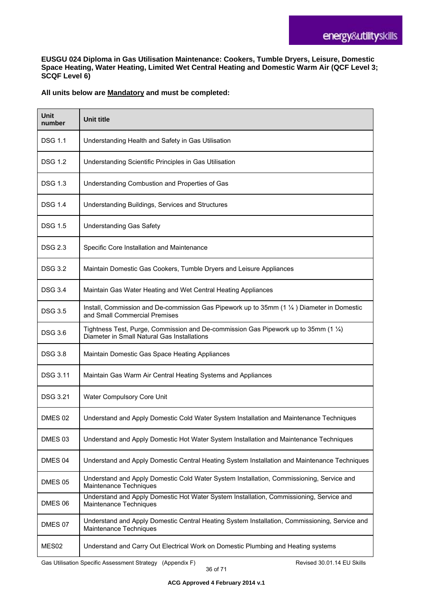**EUSGU 024 Diploma in Gas Utilisation Maintenance: Cookers, Tumble Dryers, Leisure, Domestic Space Heating, Water Heating, Limited Wet Central Heating and Domestic Warm Air (QCF Level 3; SCQF Level 6)** 

#### **All units below are Mandatory and must be completed:**

| Unit<br>number     | <b>Unit title</b>                                                                                                                    |
|--------------------|--------------------------------------------------------------------------------------------------------------------------------------|
| <b>DSG 1.1</b>     | Understanding Health and Safety in Gas Utilisation                                                                                   |
| <b>DSG 1.2</b>     | Understanding Scientific Principles in Gas Utilisation                                                                               |
| <b>DSG 1.3</b>     | Understanding Combustion and Properties of Gas                                                                                       |
| <b>DSG 1.4</b>     | Understanding Buildings, Services and Structures                                                                                     |
| <b>DSG 1.5</b>     | <b>Understanding Gas Safety</b>                                                                                                      |
| <b>DSG 2.3</b>     | Specific Core Installation and Maintenance                                                                                           |
| <b>DSG 3.2</b>     | Maintain Domestic Gas Cookers, Tumble Dryers and Leisure Appliances                                                                  |
| <b>DSG 3.4</b>     | Maintain Gas Water Heating and Wet Central Heating Appliances                                                                        |
| <b>DSG 3.5</b>     | Install, Commission and De-commission Gas Pipework up to 35mm $(1\frac{1}{4})$ Diameter in Domestic<br>and Small Commercial Premises |
| <b>DSG 3.6</b>     | Tightness Test, Purge, Commission and De-commission Gas Pipework up to 35mm (1 1/4)<br>Diameter in Small Natural Gas Installations   |
| <b>DSG 3.8</b>     | Maintain Domestic Gas Space Heating Appliances                                                                                       |
| <b>DSG 3.11</b>    | Maintain Gas Warm Air Central Heating Systems and Appliances                                                                         |
| <b>DSG 3.21</b>    | Water Compulsory Core Unit                                                                                                           |
| DMES 02            | Understand and Apply Domestic Cold Water System Installation and Maintenance Techniques                                              |
| DMES <sub>03</sub> | Understand and Apply Domestic Hot Water System Installation and Maintenance Techniques                                               |
| DMES 04            | Understand and Apply Domestic Central Heating System Installation and Maintenance Techniques                                         |
| DMES 05            | Understand and Apply Domestic Cold Water System Installation, Commissioning, Service and<br>Maintenance Techniques                   |
| DMES 06            | Understand and Apply Domestic Hot Water System Installation, Commissioning, Service and<br>Maintenance Techniques                    |
| DMES 07            | Understand and Apply Domestic Central Heating System Installation, Commissioning, Service and<br>Maintenance Techniques              |
| MES <sub>02</sub>  | Understand and Carry Out Electrical Work on Domestic Plumbing and Heating systems                                                    |

Gas Utilisation Specific Assessment Strategy (Appendix F) **Revised 30.01.14 EU Skills**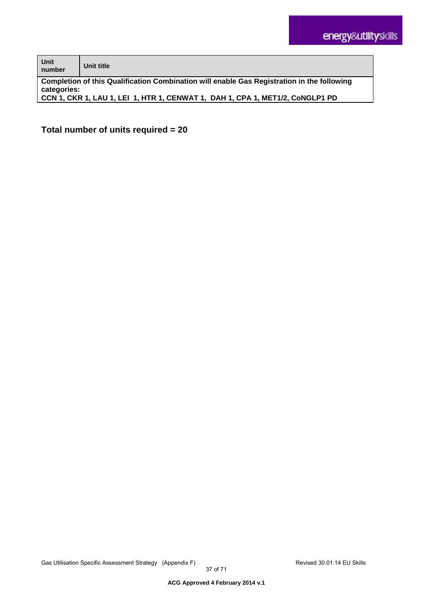| Unit<br>number                                                                             | Unit title                                                                    |  |  |  |
|--------------------------------------------------------------------------------------------|-------------------------------------------------------------------------------|--|--|--|
| Completion of this Qualification Combination will enable Gas Registration in the following |                                                                               |  |  |  |
| categories:                                                                                |                                                                               |  |  |  |
|                                                                                            | CCN 1, CKR 1, LAU 1, LEI 1, HTR 1, CENWAT 1, DAH 1, CPA 1, MET1/2, CONGLP1 PD |  |  |  |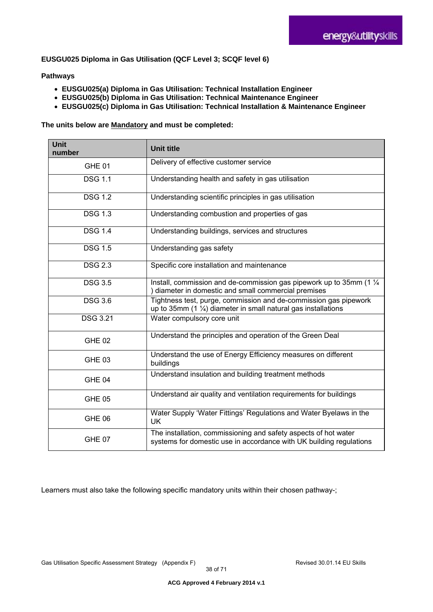#### **EUSGU025 Diploma in Gas Utilisation (QCF Level 3; SCQF level 6)**

#### **Pathways**

- **EUSGU025(a) Diploma in Gas Utilisation: Technical Installation Engineer**
- **EUSGU025(b) Diploma in Gas Utilisation: Technical Maintenance Engineer**
- **EUSGU025(c) Diploma in Gas Utilisation: Technical Installation & Maintenance Engineer**

#### **The units below are Mandatory and must be completed:**

| <b>Unit</b><br>number | <b>Unit title</b>                                                                                                                             |  |  |
|-----------------------|-----------------------------------------------------------------------------------------------------------------------------------------------|--|--|
| GHE 01                | Delivery of effective customer service                                                                                                        |  |  |
| <b>DSG 1.1</b>        | Understanding health and safety in gas utilisation                                                                                            |  |  |
| <b>DSG 1.2</b>        | Understanding scientific principles in gas utilisation                                                                                        |  |  |
| <b>DSG 1.3</b>        | Understanding combustion and properties of gas                                                                                                |  |  |
| <b>DSG 1.4</b>        | Understanding buildings, services and structures                                                                                              |  |  |
| DSG $1.5$             | Understanding gas safety                                                                                                                      |  |  |
| <b>DSG 2.3</b>        | Specific core installation and maintenance                                                                                                    |  |  |
| <b>DSG 3.5</b>        | Install, commission and de-commission gas pipework up to 35mm (1 1/4)<br>diameter in domestic and small commercial premises                   |  |  |
| <b>DSG 3.6</b>        | Tightness test, purge, commission and de-commission gas pipework<br>up to 35mm (1 $\frac{1}{4}$ ) diameter in small natural gas installations |  |  |
| <b>DSG 3.21</b>       | Water compulsory core unit                                                                                                                    |  |  |
| <b>GHE 02</b>         | Understand the principles and operation of the Green Deal                                                                                     |  |  |
| <b>GHE 03</b>         | Understand the use of Energy Efficiency measures on different<br>buildings                                                                    |  |  |
| GHE 04                | Understand insulation and building treatment methods                                                                                          |  |  |
| <b>GHE 05</b>         | Understand air quality and ventilation requirements for buildings                                                                             |  |  |
| <b>GHE 06</b>         | Water Supply 'Water Fittings' Regulations and Water Byelaws in the<br>UK                                                                      |  |  |
| GHE 07                | The installation, commissioning and safety aspects of hot water<br>systems for domestic use in accordance with UK building regulations        |  |  |

Learners must also take the following specific mandatory units within their chosen pathway-;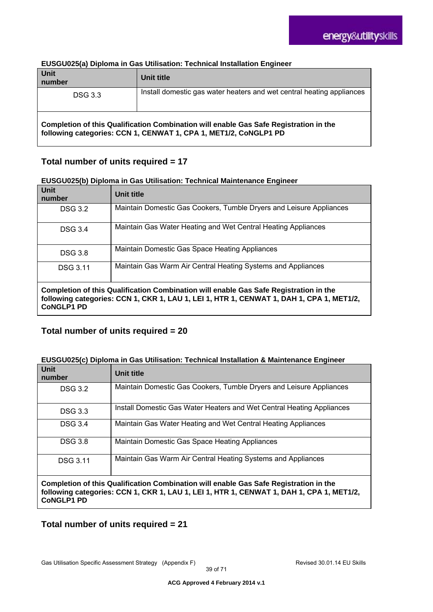| <b>Unit</b><br>number                                                                                                                                     | Unit title                                                            |  |  |  |
|-----------------------------------------------------------------------------------------------------------------------------------------------------------|-----------------------------------------------------------------------|--|--|--|
| <b>DSG 3.3</b>                                                                                                                                            | Install domestic gas water heaters and wet central heating appliances |  |  |  |
| Completion of this Qualification Combination will enable Gas Safe Registration in the<br>following categories: CCN 1, CENWAT 1, CPA 1, MET1/2, CoNGLP1 PD |                                                                       |  |  |  |

#### **EUSGU025(a) Diploma in Gas Utilisation: Technical Installation Engineer**

### **Total number of units required = 17**

#### **EUSGU025(b) Diploma in Gas Utilisation: Technical Maintenance Engineer**

| <b>Unit</b><br>number                                                                                                                                                                                  | Unit title                                                          |  |  |  |
|--------------------------------------------------------------------------------------------------------------------------------------------------------------------------------------------------------|---------------------------------------------------------------------|--|--|--|
| <b>DSG 3.2</b>                                                                                                                                                                                         | Maintain Domestic Gas Cookers, Tumble Dryers and Leisure Appliances |  |  |  |
| <b>DSG 3.4</b>                                                                                                                                                                                         | Maintain Gas Water Heating and Wet Central Heating Appliances       |  |  |  |
| <b>DSG 3.8</b>                                                                                                                                                                                         | Maintain Domestic Gas Space Heating Appliances                      |  |  |  |
| <b>DSG 3.11</b>                                                                                                                                                                                        | Maintain Gas Warm Air Central Heating Systems and Appliances        |  |  |  |
| Completion of this Qualification Combination will enable Gas Safe Registration in the<br>following categories: CCN 1, CKR 1, LAU 1, LEI 1, HTR 1, CENWAT 1, DAH 1, CPA 1, MET1/2,<br><b>CONGLP1 PD</b> |                                                                     |  |  |  |

### **Total number of units required = 20**

#### **EUSGU025(c) Diploma in Gas Utilisation: Technical Installation & Maintenance Engineer**

| Unit<br>number                                                                                                                                                                                         | Unit title                                                            |  |  |
|--------------------------------------------------------------------------------------------------------------------------------------------------------------------------------------------------------|-----------------------------------------------------------------------|--|--|
| <b>DSG 3.2</b>                                                                                                                                                                                         | Maintain Domestic Gas Cookers, Tumble Dryers and Leisure Appliances   |  |  |
| <b>DSG 3.3</b>                                                                                                                                                                                         | Install Domestic Gas Water Heaters and Wet Central Heating Appliances |  |  |
| <b>DSG 3.4</b>                                                                                                                                                                                         | Maintain Gas Water Heating and Wet Central Heating Appliances         |  |  |
| <b>DSG 3.8</b>                                                                                                                                                                                         | Maintain Domestic Gas Space Heating Appliances                        |  |  |
| <b>DSG 3.11</b>                                                                                                                                                                                        | Maintain Gas Warm Air Central Heating Systems and Appliances          |  |  |
| Completion of this Qualification Combination will enable Gas Safe Registration in the<br>following categories: CCN 1, CKR 1, LAU 1, LEI 1, HTR 1, CENWAT 1, DAH 1, CPA 1, MET1/2,<br><b>CoNGLP1 PD</b> |                                                                       |  |  |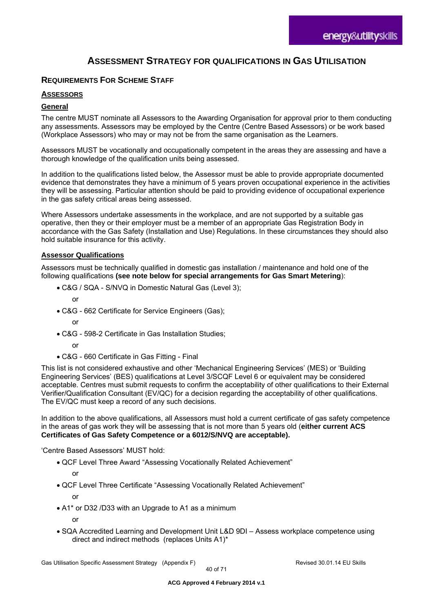# **ASSESSMENT STRATEGY FOR QUALIFICATIONS IN GAS UTILISATION**

### **REQUIREMENTS FOR SCHEME STAFF**

#### **ASSESSORS**

#### **General**

The centre MUST nominate all Assessors to the Awarding Organisation for approval prior to them conducting any assessments. Assessors may be employed by the Centre (Centre Based Assessors) or be work based (Workplace Assessors) who may or may not be from the same organisation as the Learners.

Assessors MUST be vocationally and occupationally competent in the areas they are assessing and have a thorough knowledge of the qualification units being assessed.

In addition to the qualifications listed below, the Assessor must be able to provide appropriate documented evidence that demonstrates they have a minimum of 5 years proven occupational experience in the activities they will be assessing. Particular attention should be paid to providing evidence of occupational experience in the gas safety critical areas being assessed.

Where Assessors undertake assessments in the workplace, and are not supported by a suitable gas operative, then they or their employer must be a member of an appropriate Gas Registration Body in accordance with the Gas Safety (Installation and Use) Regulations. In these circumstances they should also hold suitable insurance for this activity.

#### **Assessor Qualifications**

Assessors must be technically qualified in domestic gas installation / maintenance and hold one of the following qualifications **(see note below for special arrangements for Gas Smart Metering**):

C&G / SQA - S/NVQ in Domestic Natural Gas (Level 3);

or

- C&G 662 Certificate for Service Engineers (Gas);
	- or
- C&G 598-2 Certificate in Gas Installation Studies;

or

C&G - 660 Certificate in Gas Fitting - Final

This list is not considered exhaustive and other 'Mechanical Engineering Services' (MES) or 'Building Engineering Services' (BES) qualifications at Level 3/SCQF Level 6 or equivalent may be considered acceptable. Centres must submit requests to confirm the acceptability of other qualifications to their External Verifier/Qualification Consultant (EV/QC) for a decision regarding the acceptability of other qualifications. The EV/QC must keep a record of any such decisions.

In addition to the above qualifications, all Assessors must hold a current certificate of gas safety competence in the areas of gas work they will be assessing that is not more than 5 years old (**either current ACS Certificates of Gas Safety Competence or a 6012/S/NVQ are acceptable).** 

'Centre Based Assessors' MUST hold:

QCF Level Three Award "Assessing Vocationally Related Achievement"

or

- QCF Level Three Certificate "Assessing Vocationally Related Achievement" or
- A1\* or D32 /D33 with an Upgrade to A1 as a minimum

or

 SQA Accredited Learning and Development Unit L&D 9DI – Assess workplace competence using direct and indirect methods (replaces Units A1)\*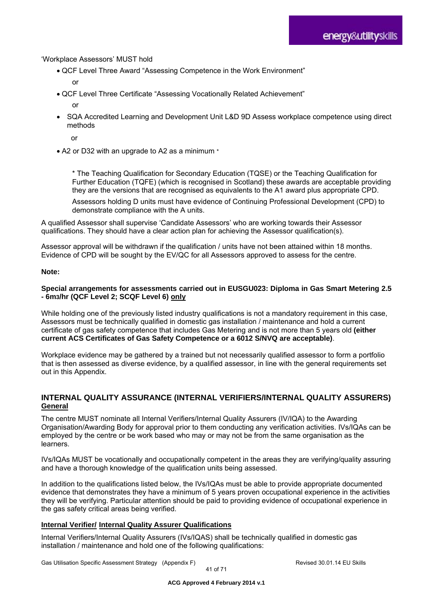#### 'Workplace Assessors' MUST hold

- QCF Level Three Award "Assessing Competence in the Work Environment"
	- or
- QCF Level Three Certificate "Assessing Vocationally Related Achievement"
	- or
- SQA Accredited Learning and Development Unit L&D 9D Assess workplace competence using direct methods
	- or
- A2 or D32 with an upgrade to A2 as a minimum \*

\* The Teaching Qualification for Secondary Education (TQSE) or the Teaching Qualification for Further Education (TQFE) (which is recognised in Scotland) these awards are acceptable providing they are the versions that are recognised as equivalents to the A1 award plus appropriate CPD.

Assessors holding D units must have evidence of Continuing Professional Development (CPD) to demonstrate compliance with the A units.

A qualified Assessor shall supervise 'Candidate Assessors' who are working towards their Assessor qualifications. They should have a clear action plan for achieving the Assessor qualification(s).

Assessor approval will be withdrawn if the qualification / units have not been attained within 18 months. Evidence of CPD will be sought by the EV/QC for all Assessors approved to assess for the centre.

#### **Note:**

#### **Special arrangements for assessments carried out in EUSGU023: Diploma in Gas Smart Metering 2.5 - 6m3/hr (QCF Level 2; SCQF Level 6) only**

While holding one of the previously listed industry qualifications is not a mandatory requirement in this case, Assessors must be technically qualified in domestic gas installation / maintenance and hold a current certificate of gas safety competence that includes Gas Metering and is not more than 5 years old **(either current ACS Certificates of Gas Safety Competence or a 6012 S/NVQ are acceptable)**.

Workplace evidence may be gathered by a trained but not necessarily qualified assessor to form a portfolio that is then assessed as diverse evidence, by a qualified assessor, in line with the general requirements set out in this Appendix.

#### **INTERNAL QUALITY ASSURANCE (INTERNAL VERIFIERS/INTERNAL QUALITY ASSURERS) General**

The centre MUST nominate all Internal Verifiers/Internal Quality Assurers (IV/IQA) to the Awarding Organisation/Awarding Body for approval prior to them conducting any verification activities. IVs/IQAs can be employed by the centre or be work based who may or may not be from the same organisation as the learners.

IVs/IQAs MUST be vocationally and occupationally competent in the areas they are verifying/quality assuring and have a thorough knowledge of the qualification units being assessed.

In addition to the qualifications listed below, the IVs/IQAs must be able to provide appropriate documented evidence that demonstrates they have a minimum of 5 years proven occupational experience in the activities they will be verifying. Particular attention should be paid to providing evidence of occupational experience in the gas safety critical areas being verified.

#### **Internal Verifier/ Internal Quality Assurer Qualifications**

Internal Verifiers/Internal Quality Assurers (IVs/IQAS) shall be technically qualified in domestic gas installation / maintenance and hold one of the following qualifications:

Gas Utilisation Specific Assessment Strategy (Appendix F) Revised 30.01.14 EU Skills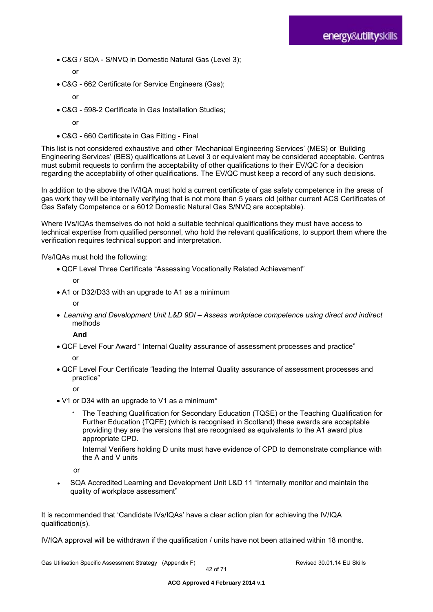- C&G / SQA S/NVQ in Domestic Natural Gas (Level 3);
	- or
- C&G 662 Certificate for Service Engineers (Gas);
	- or
- C&G 598-2 Certificate in Gas Installation Studies;
	- or
- C&G 660 Certificate in Gas Fitting Final

This list is not considered exhaustive and other 'Mechanical Engineering Services' (MES) or 'Building Engineering Services' (BES) qualifications at Level 3 or equivalent may be considered acceptable. Centres must submit requests to confirm the acceptability of other qualifications to their EV/QC for a decision regarding the acceptability of other qualifications. The EV/QC must keep a record of any such decisions.

In addition to the above the IV/IQA must hold a current certificate of gas safety competence in the areas of gas work they will be internally verifying that is not more than 5 years old (either current ACS Certificates of Gas Safety Competence or a 6012 Domestic Natural Gas S/NVQ are acceptable).

Where IVs/IQAs themselves do not hold a suitable technical qualifications they must have access to technical expertise from qualified personnel, who hold the relevant qualifications, to support them where the verification requires technical support and interpretation.

IVs/IQAs must hold the following:

QCF Level Three Certificate "Assessing Vocationally Related Achievement"

or

• A1 or D32/D33 with an upgrade to A1 as a minimum

or

 *Learning and Development Unit L&D 9DI – Assess workplace competence using direct and indirect* methods

 **And**

- QCF Level Four Award " Internal Quality assurance of assessment processes and practice" or
- QCF Level Four Certificate "leading the Internal Quality assurance of assessment processes and practice"

or

- V1 or D34 with an upgrade to V1 as a minimum\*
	- \* The Teaching Qualification for Secondary Education (TQSE) or the Teaching Qualification for Further Education (TQFE) (which is recognised in Scotland) these awards are acceptable providing they are the versions that are recognised as equivalents to the A1 award plus appropriate CPD.

Internal Verifiers holding D units must have evidence of CPD to demonstrate compliance with the A and V units

or

 SQA Accredited Learning and Development Unit L&D 11 "Internally monitor and maintain the quality of workplace assessment"

It is recommended that 'Candidate IVs/IQAs' have a clear action plan for achieving the IV/IQA qualification(s).

IV/IQA approval will be withdrawn if the qualification / units have not been attained within 18 months.

Gas Utilisation Specific Assessment Strategy (Appendix F) **Revised 30.01.14 EU Skills** Revised 30.01.14 EU Skills

42 of 71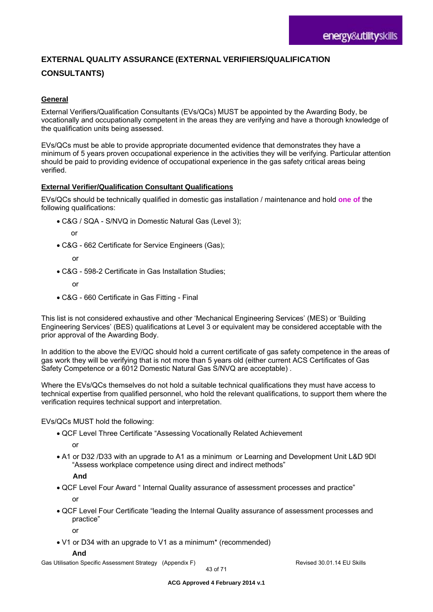# **EXTERNAL QUALITY ASSURANCE (EXTERNAL VERIFIERS/QUALIFICATION CONSULTANTS)**

#### **General**

External Verifiers/Qualification Consultants (EVs/QCs) MUST be appointed by the Awarding Body, be vocationally and occupationally competent in the areas they are verifying and have a thorough knowledge of the qualification units being assessed.

EVs/QCs must be able to provide appropriate documented evidence that demonstrates they have a minimum of 5 years proven occupational experience in the activities they will be verifying. Particular attention should be paid to providing evidence of occupational experience in the gas safety critical areas being verified.

#### **External Verifier/Qualification Consultant Qualifications**

EVs/QCs should be technically qualified in domestic gas installation / maintenance and hold **one of** the following qualifications:

- C&G / SQA S/NVQ in Domestic Natural Gas (Level 3);
	- or
- C&G 662 Certificate for Service Engineers (Gas);
	- or
- C&G 598-2 Certificate in Gas Installation Studies;
	- or
- C&G 660 Certificate in Gas Fitting Final

This list is not considered exhaustive and other 'Mechanical Engineering Services' (MES) or 'Building Engineering Services' (BES) qualifications at Level 3 or equivalent may be considered acceptable with the prior approval of the Awarding Body.

In addition to the above the EV/QC should hold a current certificate of gas safety competence in the areas of gas work they will be verifying that is not more than 5 years old (either current ACS Certificates of Gas Safety Competence or a 6012 Domestic Natural Gas S/NVQ are acceptable) .

Where the EVs/QCs themselves do not hold a suitable technical qualifications they must have access to technical expertise from qualified personnel, who hold the relevant qualifications, to support them where the verification requires technical support and interpretation.

EVs/QCs MUST hold the following:

- QCF Level Three Certificate "Assessing Vocationally Related Achievement
	- or
- A1 or D32 /D33 with an upgrade to A1 as a minimum or Learning and Development Unit L&D 9DI "Assess workplace competence using direct and indirect methods"

 **And** 

QCF Level Four Award " Internal Quality assurance of assessment processes and practice"

or

 QCF Level Four Certificate "leading the Internal Quality assurance of assessment processes and practice"

or

V1 or D34 with an upgrade to V1 as a minimum\* (recommended)

#### **And**

Gas Utilisation Specific Assessment Strategy (Appendix F) **Revised 30.01.14 EU Skills** Revised 30.01.14 EU Skills

43 of 71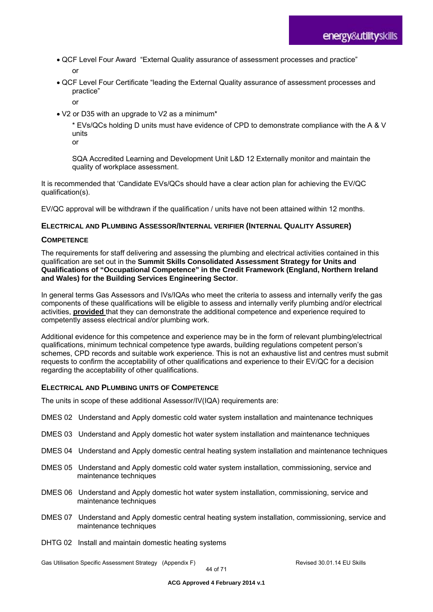QCF Level Four Award "External Quality assurance of assessment processes and practice"

or

 QCF Level Four Certificate "leading the External Quality assurance of assessment processes and practice"

or

V2 or D35 with an upgrade to V2 as a minimum\*

\* EVs/QCs holding D units must have evidence of CPD to demonstrate compliance with the A & V units

or

SQA Accredited Learning and Development Unit L&D 12 Externally monitor and maintain the quality of workplace assessment.

It is recommended that 'Candidate EVs/QCs should have a clear action plan for achieving the EV/QC qualification(s).

EV/QC approval will be withdrawn if the qualification / units have not been attained within 12 months.

### **ELECTRICAL AND PLUMBING ASSESSOR/INTERNAL VERIFIER (INTERNAL QUALITY ASSURER)**

#### **COMPETENCE**

The requirements for staff delivering and assessing the plumbing and electrical activities contained in this qualification are set out in the **Summit Skills Consolidated Assessment Strategy for Units and Qualifications of "Occupational Competence" in the Credit Framework (England, Northern Ireland and Wales) for the Building Services Engineering Sector**.

In general terms Gas Assessors and IVs/IQAs who meet the criteria to assess and internally verify the gas components of these qualifications will be eligible to assess and internally verify plumbing and/or electrical activities, **provided** that they can demonstrate the additional competence and experience required to competently assess electrical and/or plumbing work.

Additional evidence for this competence and experience may be in the form of relevant plumbing/electrical qualifications, minimum technical competence type awards, building regulations competent person's schemes, CPD records and suitable work experience. This is not an exhaustive list and centres must submit requests to confirm the acceptability of other qualifications and experience to their EV/QC for a decision regarding the acceptability of other qualifications.

#### **ELECTRICAL AND PLUMBING UNITS OF COMPETENCE**

The units in scope of these additional Assessor/IV(IQA) requirements are:

- DMES 02 Understand and Apply domestic cold water system installation and maintenance techniques
- DMES 03 Understand and Apply domestic hot water system installation and maintenance techniques
- DMES 04 Understand and Apply domestic central heating system installation and maintenance techniques
- DMES 05 Understand and Apply domestic cold water system installation, commissioning, service and maintenance techniques
- DMES 06 Understand and Apply domestic hot water system installation, commissioning, service and maintenance techniques
- DMES 07 Understand and Apply domestic central heating system installation, commissioning, service and maintenance techniques
- DHTG 02 Install and maintain domestic heating systems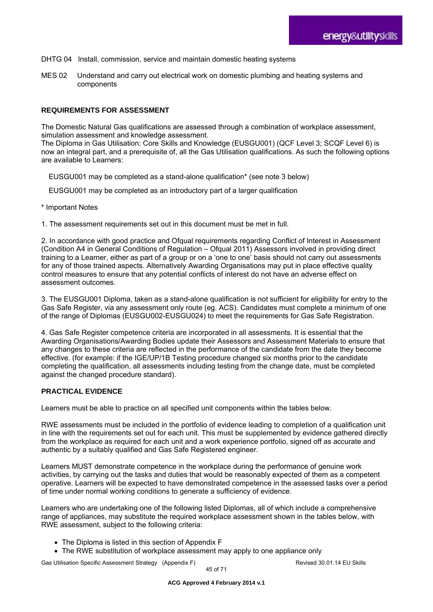- DHTG 04 Install, commission, service and maintain domestic heating systems
- MES 02 Understand and carry out electrical work on domestic plumbing and heating systems and components

#### **REQUIREMENTS FOR ASSESSMENT**

The Domestic Natural Gas qualifications are assessed through a combination of workplace assessment, simulation assessment and knowledge assessment.

The Diploma in Gas Utilisation: Core Skills and Knowledge (EUSGU001) (QCF Level 3; SCQF Level 6) is now an integral part, and a prerequisite of, all the Gas Utilisation qualifications. As such the following options are available to Learners:

EUSGU001 may be completed as a stand-alone qualification\* (see note 3 below)

EUSGU001 may be completed as an introductory part of a larger qualification

\* Important Notes

1. The assessment requirements set out in this document must be met in full.

2. In accordance with good practice and Ofqual requirements regarding Conflict of Interest in Assessment (Condition A4 in General Conditions of Regulation – Ofqual 2011) Assessors involved in providing direct training to a Learner, either as part of a group or on a 'one to one' basis should not carry out assessments for any of those trained aspects. Alternatively Awarding Organisations may put in place effective quality control measures to ensure that any potential conflicts of interest do not have an adverse effect on assessment outcomes.

3. The EUSGU001 Diploma, taken as a stand-alone qualification is not sufficient for eligibility for entry to the Gas Safe Register, via any assessment only route (eg. ACS). Candidates must complete a minimum of one of the range of Diplomas (EUSGU002-EUSGU024) to meet the requirements for Gas Safe Registration.

4. Gas Safe Register competence criteria are incorporated in all assessments. It is essential that the Awarding Organisations/Awarding Bodies update their Assessors and Assessment Materials to ensure that any changes to these criteria are reflected in the performance of the candidate from the date they become effective. (for example: if the IGE/UP/1B Testing procedure changed six months prior to the candidate completing the qualification, all assessments including testing from the change date, must be completed against the changed procedure standard).

#### **PRACTICAL EVIDENCE**

Learners must be able to practice on all specified unit components within the tables below.

RWE assessments must be included in the portfolio of evidence leading to completion of a qualification unit in line with the requirements set out for each unit. This must be supplemented by evidence gathered directly from the workplace as required for each unit and a work experience portfolio, signed off as accurate and authentic by a suitably qualified and Gas Safe Registered engineer.

Learners MUST demonstrate competence in the workplace during the performance of genuine work activities, by carrying out the tasks and duties that would be reasonably expected of them as a competent operative. Learners will be expected to have demonstrated competence in the assessed tasks over a period of time under normal working conditions to generate a sufficiency of evidence.

Learners who are undertaking one of the following listed Diplomas, all of which include a comprehensive range of appliances, may substitute the required workplace assessment shown in the tables below, with RWE assessment, subject to the following criteria:

- The Diploma is listed in this section of Appendix F
- The RWE substitution of workplace assessment may apply to one appliance only

Gas Utilisation Specific Assessment Strategy (Appendix F) Revised 30.01.14 EU Skills

45 of 71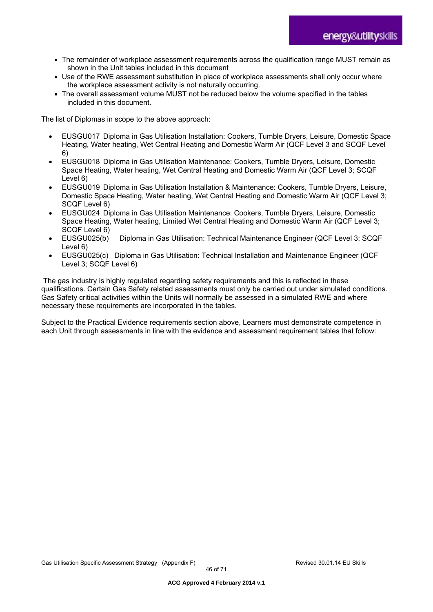- The remainder of workplace assessment requirements across the qualification range MUST remain as shown in the Unit tables included in this document
- Use of the RWE assessment substitution in place of workplace assessments shall only occur where the workplace assessment activity is not naturally occurring.
- The overall assessment volume MUST not be reduced below the volume specified in the tables included in this document.

The list of Diplomas in scope to the above approach:

- EUSGU017 Diploma in Gas Utilisation Installation: Cookers, Tumble Dryers, Leisure, Domestic Space Heating, Water heating, Wet Central Heating and Domestic Warm Air (QCF Level 3 and SCQF Level 6)
- EUSGU018 Diploma in Gas Utilisation Maintenance: Cookers, Tumble Dryers, Leisure, Domestic Space Heating, Water heating, Wet Central Heating and Domestic Warm Air (QCF Level 3; SCQF Level 6)
- EUSGU019 Diploma in Gas Utilisation Installation & Maintenance: Cookers, Tumble Dryers, Leisure, Domestic Space Heating, Water heating, Wet Central Heating and Domestic Warm Air (QCF Level 3; SCQF Level 6)
- EUSGU024 Diploma in Gas Utilisation Maintenance: Cookers, Tumble Dryers, Leisure, Domestic Space Heating, Water heating, Limited Wet Central Heating and Domestic Warm Air (QCF Level 3; SCQF Level 6)
- EUSGU025(b) Diploma in Gas Utilisation: Technical Maintenance Engineer (QCF Level 3; SCQF Level 6)
- EUSGU025(c) Diploma in Gas Utilisation: Technical Installation and Maintenance Engineer (QCF Level 3; SCQF Level 6)

 The gas industry is highly regulated regarding safety requirements and this is reflected in these qualifications. Certain Gas Safety related assessments must only be carried out under simulated conditions. Gas Safety critical activities within the Units will normally be assessed in a simulated RWE and where necessary these requirements are incorporated in the tables.

Subject to the Practical Evidence requirements section above, Learners must demonstrate competence in each Unit through assessments in line with the evidence and assessment requirement tables that follow: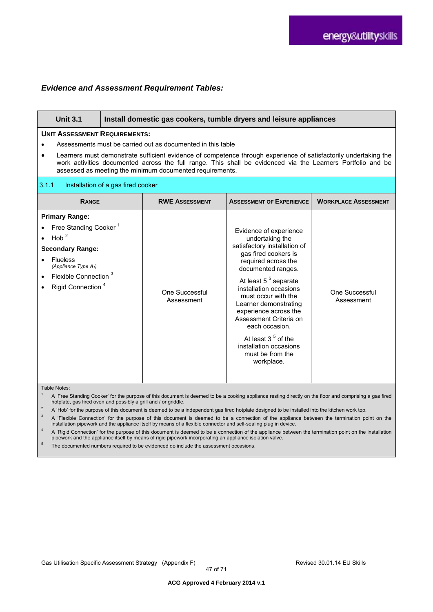#### *Evidence and Assessment Requirement Tables:*

| <b>Unit 3.1</b>                                                                                                                                                                                                                                                                                                                                                                                    | Install domestic gas cookers, tumble dryers and leisure appliances |                              |                                                                                                                                                                                                                                                                                                                                                                                                                       |                              |
|----------------------------------------------------------------------------------------------------------------------------------------------------------------------------------------------------------------------------------------------------------------------------------------------------------------------------------------------------------------------------------------------------|--------------------------------------------------------------------|------------------------------|-----------------------------------------------------------------------------------------------------------------------------------------------------------------------------------------------------------------------------------------------------------------------------------------------------------------------------------------------------------------------------------------------------------------------|------------------------------|
| <b>UNIT ASSESSMENT REQUIREMENTS:</b><br>Assessments must be carried out as documented in this table<br>Learners must demonstrate sufficient evidence of competence through experience of satisfactorily undertaking the<br>work activities documented across the full range. This shall be evidenced via the Learners Portfolio and be<br>assessed as meeting the minimum documented requirements. |                                                                    |                              |                                                                                                                                                                                                                                                                                                                                                                                                                       |                              |
| 3.1.1<br>Installation of a gas fired cooker                                                                                                                                                                                                                                                                                                                                                        |                                                                    |                              |                                                                                                                                                                                                                                                                                                                                                                                                                       |                              |
| <b>RANGE</b>                                                                                                                                                                                                                                                                                                                                                                                       |                                                                    | <b>RWE ASSESSMENT</b>        | <b>ASSESSMENT OF EXPERIENCE</b>                                                                                                                                                                                                                                                                                                                                                                                       | <b>WORKPLACE ASSESSMENT</b>  |
| <b>Primary Range:</b><br>Free Standing Cooker <sup>1</sup><br>Hob $2$<br><b>Secondary Range:</b><br><b>Flueless</b><br>(Appliance Type $A_1$ )<br>Flexible Connection <sup>3</sup><br>Rigid Connection <sup>4</sup>                                                                                                                                                                                |                                                                    | One Successful<br>Assessment | Evidence of experience<br>undertaking the<br>satisfactory installation of<br>gas fired cookers is<br>required across the<br>documented ranges.<br>At least 5 <sup>5</sup> separate<br>installation occasions<br>must occur with the<br>Learner demonstrating<br>experience across the<br>Assessment Criteria on<br>each occasion.<br>At least $35$ of the<br>installation occasions<br>must be from the<br>workplace. | One Successful<br>Assessment |

Table Notes:

<sup>1</sup> A 'Free Standing Cooker' for the purpose of this document is deemed to be a cooking appliance resting directly on the floor and comprising a gas fired hotplate, gas fired oven and possibly a grill and / or griddle.

<sup>2</sup> A 'Hob' for the purpose of this document is deemed to be a independent gas fired hotplate designed to be installed into the kitchen work top.<br><sup>3</sup> A 'Florible Connection' for the purpose of this desument is deemed to be

3 A 'Flexible Connection' for the purpose of this document is deemed to be a connection of the appliance between the termination point on the installation pipework and the appliance itself by means of a flexible connector and self-sealing plug in device.

4 A 'Rigid Connection' for the purpose of this document is deemed to be a connection of the appliance between the termination point on the installation pipework and the appliance itself by means of rigid pipework incorporating an appliance isolation valve.

<sup>5</sup> The documented numbers required to be evidenced do include the assessment occasions.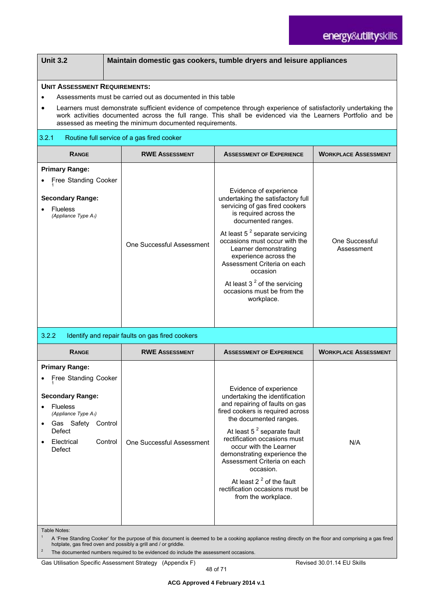| <b>Unit 3.2</b>                                                                                                                                                           |                                                             |                                                                                                                                                                                                                                 |                             |  |  |  |
|---------------------------------------------------------------------------------------------------------------------------------------------------------------------------|-------------------------------------------------------------|---------------------------------------------------------------------------------------------------------------------------------------------------------------------------------------------------------------------------------|-----------------------------|--|--|--|
| Maintain domestic gas cookers, tumble dryers and leisure appliances                                                                                                       |                                                             |                                                                                                                                                                                                                                 |                             |  |  |  |
|                                                                                                                                                                           | <b>UNIT ASSESSMENT REQUIREMENTS:</b>                        |                                                                                                                                                                                                                                 |                             |  |  |  |
|                                                                                                                                                                           | Assessments must be carried out as documented in this table |                                                                                                                                                                                                                                 |                             |  |  |  |
| $\bullet$                                                                                                                                                                 | assessed as meeting the minimum documented requirements.    | Learners must demonstrate sufficient evidence of competence through experience of satisfactorily undertaking the<br>work activities documented across the full range. This shall be evidenced via the Learners Portfolio and be |                             |  |  |  |
| 3.2.1                                                                                                                                                                     | Routine full service of a gas fired cooker                  |                                                                                                                                                                                                                                 |                             |  |  |  |
| RANGE                                                                                                                                                                     | <b>RWE ASSESSMENT</b>                                       | <b>ASSESSMENT OF EXPERIENCE</b>                                                                                                                                                                                                 |                             |  |  |  |
| <b>Primary Range:</b>                                                                                                                                                     |                                                             |                                                                                                                                                                                                                                 |                             |  |  |  |
| Free Standing Cooker                                                                                                                                                      |                                                             |                                                                                                                                                                                                                                 |                             |  |  |  |
| <b>Secondary Range:</b>                                                                                                                                                   |                                                             | Evidence of experience<br>undertaking the satisfactory full                                                                                                                                                                     |                             |  |  |  |
| <b>Flueless</b>                                                                                                                                                           |                                                             | servicing of gas fired cookers                                                                                                                                                                                                  |                             |  |  |  |
| (Appliance Type $A_1$ )                                                                                                                                                   |                                                             | is required across the<br>documented ranges.                                                                                                                                                                                    |                             |  |  |  |
|                                                                                                                                                                           |                                                             | At least $5^2$ separate servicing                                                                                                                                                                                               |                             |  |  |  |
|                                                                                                                                                                           | One Successful Assessment                                   | occasions must occur with the                                                                                                                                                                                                   | One Successful              |  |  |  |
|                                                                                                                                                                           |                                                             | Learner demonstrating<br>experience across the                                                                                                                                                                                  | Assessment                  |  |  |  |
|                                                                                                                                                                           |                                                             | Assessment Criteria on each                                                                                                                                                                                                     |                             |  |  |  |
|                                                                                                                                                                           |                                                             | occasion                                                                                                                                                                                                                        |                             |  |  |  |
|                                                                                                                                                                           |                                                             | At least $32$ of the servicing<br>occasions must be from the                                                                                                                                                                    |                             |  |  |  |
|                                                                                                                                                                           |                                                             | workplace.                                                                                                                                                                                                                      |                             |  |  |  |
|                                                                                                                                                                           |                                                             |                                                                                                                                                                                                                                 |                             |  |  |  |
|                                                                                                                                                                           |                                                             |                                                                                                                                                                                                                                 |                             |  |  |  |
| 3.2.2                                                                                                                                                                     | Identify and repair faults on gas fired cookers             |                                                                                                                                                                                                                                 |                             |  |  |  |
| <b>RANGE</b>                                                                                                                                                              | <b>RWE ASSESSMENT</b>                                       | <b>ASSESSMENT OF EXPERIENCE</b>                                                                                                                                                                                                 | <b>WORKPLACE ASSESSMENT</b> |  |  |  |
| <b>Primary Range:</b>                                                                                                                                                     |                                                             |                                                                                                                                                                                                                                 |                             |  |  |  |
| Free Standing Cooker                                                                                                                                                      |                                                             |                                                                                                                                                                                                                                 |                             |  |  |  |
| <b>Secondary Range:</b>                                                                                                                                                   |                                                             | Evidence of experience<br>undertaking the identification                                                                                                                                                                        |                             |  |  |  |
| Flueless                                                                                                                                                                  |                                                             | and repairing of faults on gas                                                                                                                                                                                                  |                             |  |  |  |
| (Appliance Type $A_1$ )                                                                                                                                                   |                                                             | fired cookers is required across<br>the documented ranges.                                                                                                                                                                      |                             |  |  |  |
| Gas Safety Control<br>Defect                                                                                                                                              |                                                             | At least $5^2$ separate fault                                                                                                                                                                                                   |                             |  |  |  |
| Electrical<br>Control                                                                                                                                                     | One Successful Assessment                                   | rectification occasions must                                                                                                                                                                                                    | N/A                         |  |  |  |
| Defect                                                                                                                                                                    |                                                             | occur with the Learner<br>demonstrating experience the                                                                                                                                                                          |                             |  |  |  |
|                                                                                                                                                                           |                                                             | Assessment Criteria on each                                                                                                                                                                                                     |                             |  |  |  |
|                                                                                                                                                                           |                                                             | occasion.<br>At least $22$ of the fault                                                                                                                                                                                         |                             |  |  |  |
|                                                                                                                                                                           |                                                             | rectification occasions must be                                                                                                                                                                                                 |                             |  |  |  |
|                                                                                                                                                                           |                                                             | from the workplace.                                                                                                                                                                                                             |                             |  |  |  |
|                                                                                                                                                                           |                                                             |                                                                                                                                                                                                                                 |                             |  |  |  |
|                                                                                                                                                                           |                                                             |                                                                                                                                                                                                                                 |                             |  |  |  |
| Table Notes:<br>$\mathbf{1}$                                                                                                                                              |                                                             | A 'Free Standing Cooker' for the purpose of this document is deemed to be a cooking appliance resting directly on the floor and comprising a gas fired                                                                          |                             |  |  |  |
| hotplate, gas fired oven and possibly a grill and / or griddle.<br>$\overline{2}$<br>The documented numbers required to be evidenced do include the assessment occasions. |                                                             |                                                                                                                                                                                                                                 |                             |  |  |  |
|                                                                                                                                                                           | Gas Utilisation Specific Assessment Strategy (Appendix F)   |                                                                                                                                                                                                                                 | Revised 30.01.14 EU Skills  |  |  |  |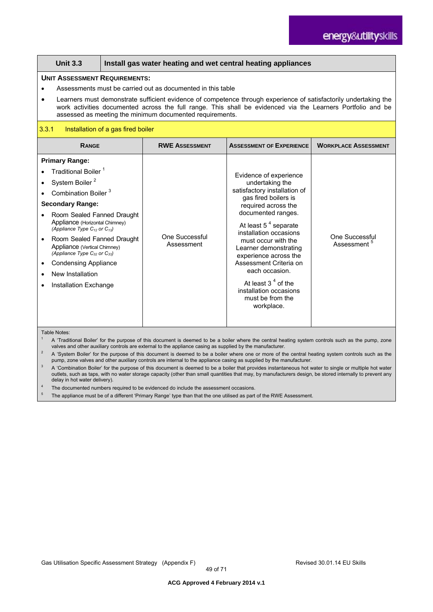#### **Unit 3.3 Install gas water heating and wet central heating appliances**

#### **UNIT ASSESSMENT REQUIREMENTS:**

- Assessments must be carried out as documented in this table
- Learners must demonstrate sufficient evidence of competence through experience of satisfactorily undertaking the work activities documented across the full range. This shall be evidenced via the Learners Portfolio and be assessed as meeting the minimum documented requirements.

#### 3.3.1 Installation of a gas fired boiler

| <b>RANGE</b>                                                             | <b>RWE ASSESSMENT</b>        | <b>ASSESSMENT OF EXPERIENCE</b>                                                  | <b>WORKPLACE ASSESSMENT</b>                      |
|--------------------------------------------------------------------------|------------------------------|----------------------------------------------------------------------------------|--------------------------------------------------|
|                                                                          |                              |                                                                                  |                                                  |
| <b>Primary Range:</b>                                                    |                              |                                                                                  |                                                  |
| Traditional Boiler <sup>1</sup>                                          |                              | Evidence of experience                                                           |                                                  |
| System Boiler <sup>2</sup>                                               |                              | undertaking the                                                                  |                                                  |
| Combination Boiler <sup>3</sup>                                          |                              | satisfactory installation of                                                     |                                                  |
| <b>Secondary Range:</b>                                                  |                              | gas fired boilers is<br>required across the                                      |                                                  |
| Room Sealed Fanned Draught                                               |                              | documented ranges.                                                               |                                                  |
| Appliance (Horizontal Chimney)<br>(Appliance Type $C_{12}$ or $C_{13}$ ) |                              | At least $54$ separate<br>installation occasions                                 |                                                  |
| Room Sealed Fanned Draught<br>Appliance (Vertical Chimney)               | One Successful<br>Assessment | must occur with the<br>Learner demonstrating                                     | <b>One Successful</b><br>Assessment <sup>5</sup> |
| (Appliance Type $C_{32}$ or $C_{33}$ )                                   |                              | experience across the                                                            |                                                  |
| <b>Condensing Appliance</b>                                              |                              | Assessment Criteria on                                                           |                                                  |
| New Installation                                                         |                              | each occasion.                                                                   |                                                  |
| Installation Exchange                                                    |                              | At least $34$ of the<br>installation occasions<br>must be from the<br>workplace. |                                                  |
|                                                                          |                              |                                                                                  |                                                  |

Table Notes:

1 A 'Traditional Boiler' for the purpose of this document is deemed to be a boiler where the central heating system controls such as the pump, zone valves and other auxiliary controls are external to the appliance casing as supplied by the manufacturer.

2 A 'System Boiler' for the purpose of this document is deemed to be a boiler where one or more of the central heating system controls such as the pump, zone valves and other auxiliary controls are internal to the appliance casing as supplied by the manufacturer.

3 A 'Combination Boiler' for the purpose of this document is deemed to be a boiler that provides instantaneous hot water to single or multiple hot water outlets, such as taps, with no water storage capacity (other than small quantities that may, by manufacturers design, be stored internally to prevent any delay in hot water delivery).

The documented numbers required to be evidenced do include the assessment occasions.

The appliance must be of a different 'Primary Range' type than that the one utilised as part of the RWE Assessment.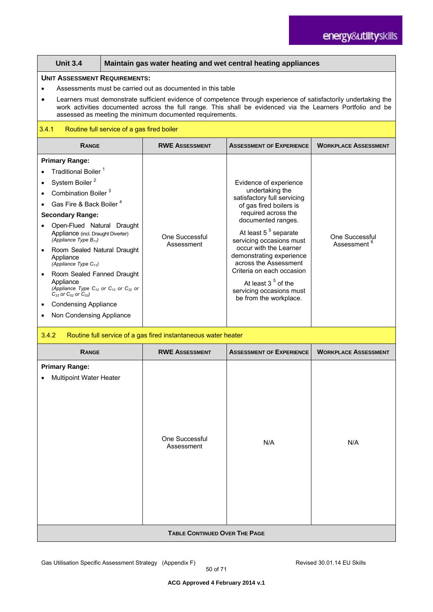|                                                                                                                                                                                                                                                                                                                                                                                                                                                                                                                                                             | <b>Unit 3.4</b>                                                                                                                                                                                                                                                                             | Maintain gas water heating and wet central heating appliances |                                                                |                                                                                                                                                                                                                                                                                                                                                                                                            |                                           |  |
|-------------------------------------------------------------------------------------------------------------------------------------------------------------------------------------------------------------------------------------------------------------------------------------------------------------------------------------------------------------------------------------------------------------------------------------------------------------------------------------------------------------------------------------------------------------|---------------------------------------------------------------------------------------------------------------------------------------------------------------------------------------------------------------------------------------------------------------------------------------------|---------------------------------------------------------------|----------------------------------------------------------------|------------------------------------------------------------------------------------------------------------------------------------------------------------------------------------------------------------------------------------------------------------------------------------------------------------------------------------------------------------------------------------------------------------|-------------------------------------------|--|
|                                                                                                                                                                                                                                                                                                                                                                                                                                                                                                                                                             | <b>UNIT ASSESSMENT REQUIREMENTS:</b>                                                                                                                                                                                                                                                        |                                                               |                                                                |                                                                                                                                                                                                                                                                                                                                                                                                            |                                           |  |
|                                                                                                                                                                                                                                                                                                                                                                                                                                                                                                                                                             | Assessments must be carried out as documented in this table                                                                                                                                                                                                                                 |                                                               |                                                                |                                                                                                                                                                                                                                                                                                                                                                                                            |                                           |  |
|                                                                                                                                                                                                                                                                                                                                                                                                                                                                                                                                                             | Learners must demonstrate sufficient evidence of competence through experience of satisfactorily undertaking the<br>work activities documented across the full range. This shall be evidenced via the Learners Portfolio and be<br>assessed as meeting the minimum documented requirements. |                                                               |                                                                |                                                                                                                                                                                                                                                                                                                                                                                                            |                                           |  |
| 3.4.1                                                                                                                                                                                                                                                                                                                                                                                                                                                                                                                                                       |                                                                                                                                                                                                                                                                                             | Routine full service of a gas fired boiler                    |                                                                |                                                                                                                                                                                                                                                                                                                                                                                                            |                                           |  |
|                                                                                                                                                                                                                                                                                                                                                                                                                                                                                                                                                             | <b>RANGE</b>                                                                                                                                                                                                                                                                                |                                                               | <b>RWE ASSESSMENT</b>                                          | <b>ASSESSMENT OF EXPERIENCE</b>                                                                                                                                                                                                                                                                                                                                                                            | <b>WORKPLACE ASSESSMENT</b>               |  |
| <b>Primary Range:</b><br>Traditional Boiler <sup>1</sup><br>System Boiler <sup>2</sup><br>Combination Boiler <sup>3</sup><br>Gas Fire & Back Boiler <sup>4</sup><br><b>Secondary Range:</b><br>Open-Flued Natural Draught<br>Appliance (incl. Draught Diverter)<br>(Appliance Type $B_{11}$ )<br>Room Sealed Natural Draught<br>$\bullet$<br>Appliance<br>(Appliance Type $C_{11}$ )<br>Room Sealed Fanned Draught<br>Appliance<br>(Appliance Type $C_{12}$ or $C_{13}$ or $C_{32}$ or<br>$C_{33}$ or $C_{52}$ or $C_{53}$ )<br><b>Condensing Appliance</b> |                                                                                                                                                                                                                                                                                             |                                                               | One Successful<br>Assessment                                   | Evidence of experience<br>undertaking the<br>satisfactory full servicing<br>of gas fired boilers is<br>required across the<br>documented ranges.<br>At least 5 <sup>5</sup> separate<br>servicing occasions must<br>occur with the Learner<br>demonstrating experience<br>across the Assessment<br>Criteria on each occasion<br>At least $35$ of the<br>servicing occasions must<br>be from the workplace. | One Successful<br>Assessment <sup>6</sup> |  |
| ٠                                                                                                                                                                                                                                                                                                                                                                                                                                                                                                                                                           | Non Condensing Appliance<br>3.4.2                                                                                                                                                                                                                                                           |                                                               |                                                                |                                                                                                                                                                                                                                                                                                                                                                                                            |                                           |  |
|                                                                                                                                                                                                                                                                                                                                                                                                                                                                                                                                                             |                                                                                                                                                                                                                                                                                             |                                                               | Routine full service of a gas fired instantaneous water heater |                                                                                                                                                                                                                                                                                                                                                                                                            |                                           |  |
|                                                                                                                                                                                                                                                                                                                                                                                                                                                                                                                                                             | <b>RANGE</b>                                                                                                                                                                                                                                                                                |                                                               | <b>RWE ASSESSMENT</b>                                          | <b>ASSESSMENT OF EXPERIENCE</b>                                                                                                                                                                                                                                                                                                                                                                            | <b>WORKPLACE ASSESSMENT</b>               |  |
|                                                                                                                                                                                                                                                                                                                                                                                                                                                                                                                                                             | <b>Primary Range:</b><br><b>Multipoint Water Heater</b>                                                                                                                                                                                                                                     |                                                               | <b>One Successful</b><br>Assessment                            | N/A                                                                                                                                                                                                                                                                                                                                                                                                        | N/A                                       |  |

**TABLE CONTINUED OVER THE PAGE**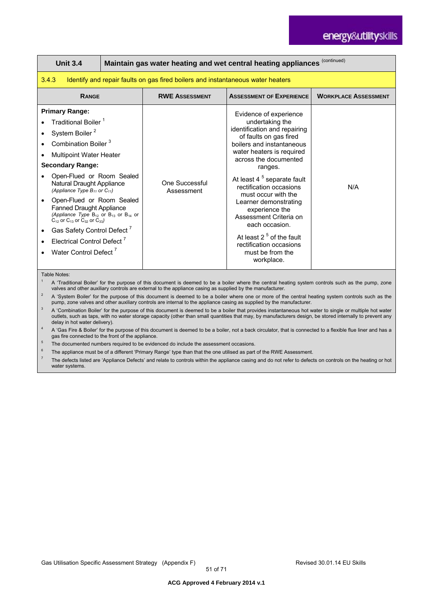# energy&utilityskills

| <b>Unit 3.4</b>                                                                                                                                                                                                                                                                                                                                                                                                                                                                                                                                                                              |                                                                                 |                              | Maintain gas water heating and wet central heating appliances (continued)                                                                                                                                                                                                                                                                                                                                                                                                       |                             |  |  |
|----------------------------------------------------------------------------------------------------------------------------------------------------------------------------------------------------------------------------------------------------------------------------------------------------------------------------------------------------------------------------------------------------------------------------------------------------------------------------------------------------------------------------------------------------------------------------------------------|---------------------------------------------------------------------------------|------------------------------|---------------------------------------------------------------------------------------------------------------------------------------------------------------------------------------------------------------------------------------------------------------------------------------------------------------------------------------------------------------------------------------------------------------------------------------------------------------------------------|-----------------------------|--|--|
| 3.4.3                                                                                                                                                                                                                                                                                                                                                                                                                                                                                                                                                                                        | Identify and repair faults on gas fired boilers and instantaneous water heaters |                              |                                                                                                                                                                                                                                                                                                                                                                                                                                                                                 |                             |  |  |
| <b>RANGE</b>                                                                                                                                                                                                                                                                                                                                                                                                                                                                                                                                                                                 |                                                                                 | <b>RWE ASSESSMENT</b>        | <b>ASSESSMENT OF EXPERIENCE</b>                                                                                                                                                                                                                                                                                                                                                                                                                                                 | <b>WORKPLACE ASSESSMENT</b> |  |  |
| <b>Primary Range:</b><br>Traditional Boiler <sup>1</sup><br>System Boiler <sup>2</sup><br>Combination Boiler <sup>3</sup><br><b>Multipoint Water Heater</b><br><b>Secondary Range:</b><br>Open-Flued or Room Sealed<br>Natural Draught Appliance<br>(Appliance Type $B_{11}$ or $C_{11}$ )<br>Open-Flued or Room Sealed<br><b>Fanned Draught Appliance</b><br>(Appliance Type $B_{12}$ or $B_{13}$ or $B_{14}$ or<br>$C_{12}$ or $C_{13}$ or $C_{32}$ or $C_{33}$ )<br>Gas Safety Control Defect <sup>7</sup><br>Electrical Control Defect <sup>7</sup><br>Water Control Defect <sup>7</sup> |                                                                                 | One Successful<br>Assessment | Evidence of experience<br>undertaking the<br>identification and repairing<br>of faults on gas fired<br>boilers and instantaneous<br>water heaters is required<br>across the documented<br>ranges.<br>At least 4 <sup>5</sup> separate fault<br>rectification occasions<br>must occur with the<br>Learner demonstrating<br>experience the<br>Assessment Criteria on<br>each occasion.<br>At least $25$ of the fault<br>rectification occasions<br>must be from the<br>workplace. | N/A                         |  |  |
| Table Notes:<br>A 'Traditional Boiler' for the purpose of this document is deemed to be a boiler where the central heating system controls such as the pump, zone                                                                                                                                                                                                                                                                                                                                                                                                                            |                                                                                 |                              |                                                                                                                                                                                                                                                                                                                                                                                                                                                                                 |                             |  |  |

valves and other auxiliary controls are external to the appliance casing as supplied by the manufacturer.

 $2^2$  A 'System Boiler' for the purpose of this document is deemed to be a boiler where one or more of the central heating system controls such as the pump, zone valves and other auxiliary controls are internal to the appliance casing as supplied by the manufacturer.

<sup>3</sup> A 'Combination Boiler' for the purpose of this document is deemed to be a boiler that provides instantaneous hot water to single or multiple hot water outlets, such as taps, with no water storage capacity (other than small quantities that may, by manufacturers design, be stored internally to prevent any delay in hot water delivery).

A 'Gas Fire & Boiler' for the purpose of this document is deemed to be a boiler, not a back circulator, that is connected to a flexible flue liner and has a gas fire connected to the front of the appliance.

<sup>5</sup> The documented numbers required to be evidenced do include the assessment occasions.

The appliance must be of a different 'Primary Range' type than that the one utilised as part of the RWE Assessment.

7 The defects listed are 'Appliance Defects' and relate to controls within the appliance casing and do not refer to defects on controls on the heating or hot water systems.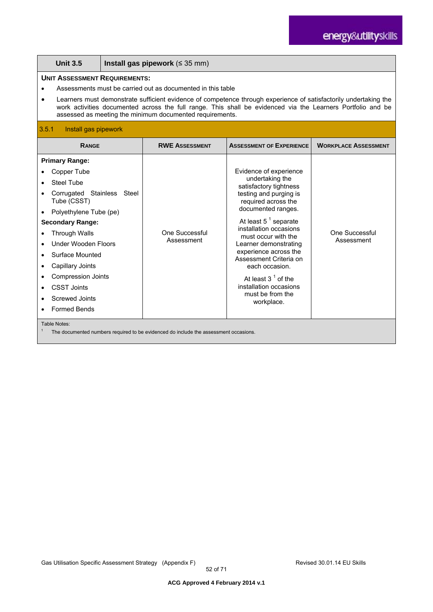| <b>Unit 3.5</b>                                                                                                                                                                                                                                                                                                                                                                                    | Install gas pipework ( $\leq$ 35 mm)                                                 |                              |                                                                                                                                                                                                                                                                                                                                                                                                          |                              |  |
|----------------------------------------------------------------------------------------------------------------------------------------------------------------------------------------------------------------------------------------------------------------------------------------------------------------------------------------------------------------------------------------------------|--------------------------------------------------------------------------------------|------------------------------|----------------------------------------------------------------------------------------------------------------------------------------------------------------------------------------------------------------------------------------------------------------------------------------------------------------------------------------------------------------------------------------------------------|------------------------------|--|
| <b>UNIT ASSESSMENT REQUIREMENTS:</b><br>Assessments must be carried out as documented in this table<br>Learners must demonstrate sufficient evidence of competence through experience of satisfactorily undertaking the<br>work activities documented across the full range. This shall be evidenced via the Learners Portfolio and be<br>assessed as meeting the minimum documented requirements. |                                                                                      |                              |                                                                                                                                                                                                                                                                                                                                                                                                          |                              |  |
| 3.5.1<br>Install gas pipework                                                                                                                                                                                                                                                                                                                                                                      |                                                                                      |                              |                                                                                                                                                                                                                                                                                                                                                                                                          |                              |  |
| <b>RANGE</b>                                                                                                                                                                                                                                                                                                                                                                                       |                                                                                      | <b>RWE ASSESSMENT</b>        | <b>ASSESSMENT OF EXPERIENCE</b>                                                                                                                                                                                                                                                                                                                                                                          | <b>WORKPLACE ASSESSMENT</b>  |  |
| <b>Primary Range:</b><br>Copper Tube<br>Steel Tube<br>Corrugated Stainless Steel<br>Tube (CSST)<br>Polyethylene Tube (pe)<br>$\bullet$<br><b>Secondary Range:</b><br><b>Through Walls</b><br>Under Wooden Floors<br>Surface Mounted<br>Capillary Joints<br>$\bullet$<br><b>Compression Joints</b><br><b>CSST Joints</b><br>$\bullet$<br>Screwed Joints<br><b>Formed Bends</b>                      |                                                                                      | One Successful<br>Assessment | Evidence of experience<br>undertaking the<br>satisfactory tightness<br>testing and purging is<br>required across the<br>documented ranges.<br>At least $5^1$ separate<br>installation occasions<br>must occur with the<br>Learner demonstrating<br>experience across the<br>Assessment Criteria on<br>each occasion.<br>At least $31$ of the<br>installation occasions<br>must be from the<br>workplace. | One Successful<br>Assessment |  |
| Table Notes:                                                                                                                                                                                                                                                                                                                                                                                       | The documented numbers required to be evidenced do include the assessment occasions. |                              |                                                                                                                                                                                                                                                                                                                                                                                                          |                              |  |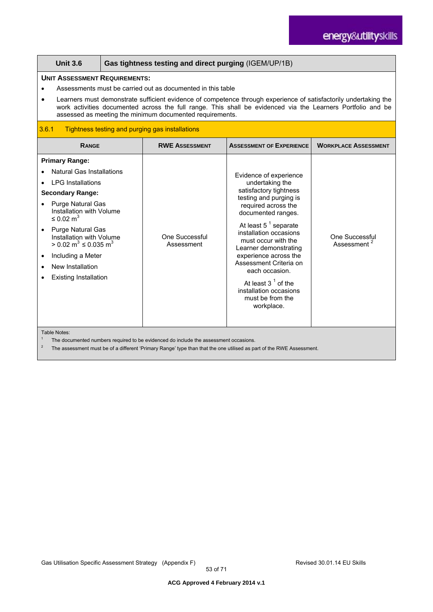|                                                                                                                                                                                                                                                                                                                                                                                                      | <b>UNIT ASSESSMENT REQUIREMENTS:</b><br>Assessments must be carried out as documented in this table<br>Learners must demonstrate sufficient evidence of competence through experience of satisfactorily undertaking the<br>work activities documented across the full range. This shall be evidenced via the Learners Portfolio and be<br>assessed as meeting the minimum documented requirements. |                              |                                                                                                                                                                                                                                                                                                                                                                                                          |                                                  |  |
|------------------------------------------------------------------------------------------------------------------------------------------------------------------------------------------------------------------------------------------------------------------------------------------------------------------------------------------------------------------------------------------------------|----------------------------------------------------------------------------------------------------------------------------------------------------------------------------------------------------------------------------------------------------------------------------------------------------------------------------------------------------------------------------------------------------|------------------------------|----------------------------------------------------------------------------------------------------------------------------------------------------------------------------------------------------------------------------------------------------------------------------------------------------------------------------------------------------------------------------------------------------------|--------------------------------------------------|--|
| 3.6.1<br>Tightness testing and purging gas installations                                                                                                                                                                                                                                                                                                                                             |                                                                                                                                                                                                                                                                                                                                                                                                    |                              |                                                                                                                                                                                                                                                                                                                                                                                                          |                                                  |  |
| <b>RANGE</b>                                                                                                                                                                                                                                                                                                                                                                                         |                                                                                                                                                                                                                                                                                                                                                                                                    | <b>RWE ASSESSMENT</b>        | <b>ASSESSMENT OF EXPERIENCE</b>                                                                                                                                                                                                                                                                                                                                                                          | <b>WORKPLACE ASSESSMENT</b>                      |  |
| <b>Primary Range:</b><br><b>Natural Gas Installations</b><br><b>LPG Installations</b><br><b>Secondary Range:</b><br><b>Purge Natural Gas</b><br>Installation with Volume<br>$\leq$ 0.02 m <sup>3</sup><br><b>Purge Natural Gas</b><br>$\bullet$<br>Installation with Volume<br>> 0.02 m <sup>3</sup> ≤ 0.035 m <sup>3</sup><br>Including a Meter<br>New Installation<br><b>Existing Installation</b> |                                                                                                                                                                                                                                                                                                                                                                                                    | One Successful<br>Assessment | Evidence of experience<br>undertaking the<br>satisfactory tightness<br>testing and purging is<br>required across the<br>documented ranges.<br>At least $5^1$ separate<br>installation occasions<br>must occur with the<br>Learner demonstrating<br>experience across the<br>Assessment Criteria on<br>each occasion.<br>At least $31$ of the<br>installation occasions<br>must be from the<br>workplace. | <b>One Successful</b><br>Assessment <sup>2</sup> |  |

<sup>1</sup> The documented numbers required to be evidenced do include the assessment occasions.<br><sup>2</sup> The assessment must be of a different iDrivers. Depend the the that the age utilized as as

2 The assessment must be of a different 'Primary Range' type than that the one utilised as part of the RWE Assessment.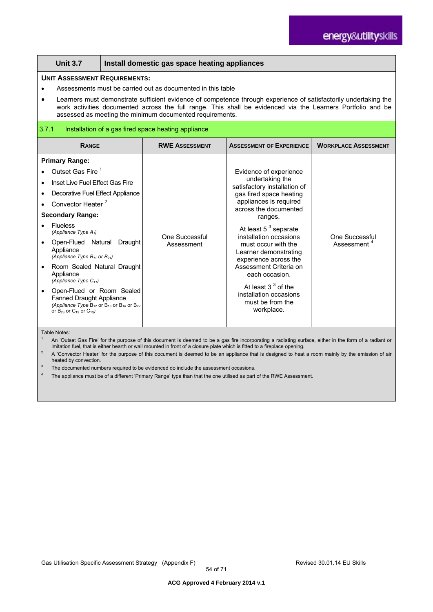| <b>Unit 3.7</b>                                                                                                                                                                                                                                                                                                                                                                                                                                                                                                                                                                                                                                              | Install domestic gas space heating appliances |                                                     |                                                                                                                                                                                                                                                                                                                                                                                                                                  |                                           |  |
|--------------------------------------------------------------------------------------------------------------------------------------------------------------------------------------------------------------------------------------------------------------------------------------------------------------------------------------------------------------------------------------------------------------------------------------------------------------------------------------------------------------------------------------------------------------------------------------------------------------------------------------------------------------|-----------------------------------------------|-----------------------------------------------------|----------------------------------------------------------------------------------------------------------------------------------------------------------------------------------------------------------------------------------------------------------------------------------------------------------------------------------------------------------------------------------------------------------------------------------|-------------------------------------------|--|
| <b>UNIT ASSESSMENT REQUIREMENTS:</b><br>Assessments must be carried out as documented in this table<br>Learners must demonstrate sufficient evidence of competence through experience of satisfactorily undertaking the<br>$\bullet$<br>work activities documented across the full range. This shall be evidenced via the Learners Portfolio and be<br>assessed as meeting the minimum documented requirements.                                                                                                                                                                                                                                              |                                               |                                                     |                                                                                                                                                                                                                                                                                                                                                                                                                                  |                                           |  |
| 3.7.1                                                                                                                                                                                                                                                                                                                                                                                                                                                                                                                                                                                                                                                        |                                               | Installation of a gas fired space heating appliance |                                                                                                                                                                                                                                                                                                                                                                                                                                  |                                           |  |
| <b>RANGE</b>                                                                                                                                                                                                                                                                                                                                                                                                                                                                                                                                                                                                                                                 |                                               | <b>RWE ASSESSMENT</b>                               | <b>ASSESSMENT OF EXPERIENCE</b>                                                                                                                                                                                                                                                                                                                                                                                                  | <b>WORKPLACE ASSESSMENT</b>               |  |
| <b>Primary Range:</b><br>Outset Gas Fire <sup>1</sup><br>$\bullet$<br>Inset Live Fuel Effect Gas Fire<br>$\bullet$<br>Decorative Fuel Effect Appliance<br>$\bullet$<br>Convector Heater <sup>2</sup><br><b>Secondary Range:</b><br><b>Flueless</b><br>(Appliance Type $A_1$ )<br>Open-Flued Natural Draught<br>$\bullet$<br>Appliance<br>(Appliance Type $B_{11}$ or $B_{21}$ )<br>Room Sealed Natural Draught<br>$\bullet$<br>Appliance<br>(Appliance Type $C_{11}$ )<br>Open-Flued or Room Sealed<br>$\bullet$<br><b>Fanned Draught Appliance</b><br>(Appliance Type $B_{12}$ or $B_{13}$ or $B_{14}$ or $B_{22}$<br>or $B_{23}$ or $C_{12}$ or $C_{13}$ ) |                                               | One Successful<br>Assessment                        | Evidence of experience<br>undertaking the<br>satisfactory installation of<br>gas fired space heating<br>appliances is required<br>across the documented<br>ranges.<br>At least $5^3$ separate<br>installation occasions<br>must occur with the<br>Learner demonstrating<br>experience across the<br>Assessment Criteria on<br>each occasion.<br>At least $33$ of the<br>installation occasions<br>must be from the<br>workplace. | One Successful<br>Assessment <sup>4</sup> |  |

Table Notes:

1 An 'Outset Gas Fire' for the purpose of this document is deemed to be a gas fire incorporating a radiating surface, either in the form of a radiant or imitation fuel, that is either hearth or wall mounted in front of a closure plate which is fitted to a fireplace opening.

<sup>2</sup> A 'Convector Heater' for the purpose of this document is deemed to be an appliance that is designed to heat a room mainly by the emission of air heated by convection.

The documented numbers required to be evidenced do include the assessment occasions.

The appliance must be of a different 'Primary Range' type than that the one utilised as part of the RWE Assessment.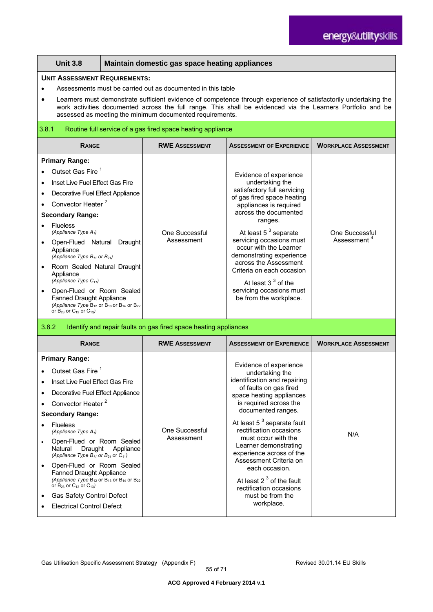|                                                                                                                                                                                                                                                                                                                                                                                                                                                                                                                                                                                | <b>Unit 3.8</b>                                                                                                                                                                                                                                                                                                                                                                                                                                                                                                                                                                           |                                                                                                                                                                                                                                                                                                                                                                                                    | Maintain domestic gas space heating appliances                                                                                                                                                                                                                                                                                                                                                                                 |                                                                                                                                                                                                                                                                                                                                                                                                                                                                         |                             |
|--------------------------------------------------------------------------------------------------------------------------------------------------------------------------------------------------------------------------------------------------------------------------------------------------------------------------------------------------------------------------------------------------------------------------------------------------------------------------------------------------------------------------------------------------------------------------------|-------------------------------------------------------------------------------------------------------------------------------------------------------------------------------------------------------------------------------------------------------------------------------------------------------------------------------------------------------------------------------------------------------------------------------------------------------------------------------------------------------------------------------------------------------------------------------------------|----------------------------------------------------------------------------------------------------------------------------------------------------------------------------------------------------------------------------------------------------------------------------------------------------------------------------------------------------------------------------------------------------|--------------------------------------------------------------------------------------------------------------------------------------------------------------------------------------------------------------------------------------------------------------------------------------------------------------------------------------------------------------------------------------------------------------------------------|-------------------------------------------------------------------------------------------------------------------------------------------------------------------------------------------------------------------------------------------------------------------------------------------------------------------------------------------------------------------------------------------------------------------------------------------------------------------------|-----------------------------|
|                                                                                                                                                                                                                                                                                                                                                                                                                                                                                                                                                                                |                                                                                                                                                                                                                                                                                                                                                                                                                                                                                                                                                                                           | <b>UNIT ASSESSMENT REQUIREMENTS:</b><br>Assessments must be carried out as documented in this table<br>Learners must demonstrate sufficient evidence of competence through experience of satisfactorily undertaking the<br>work activities documented across the full range. This shall be evidenced via the Learners Portfolio and be<br>assessed as meeting the minimum documented requirements. |                                                                                                                                                                                                                                                                                                                                                                                                                                |                                                                                                                                                                                                                                                                                                                                                                                                                                                                         |                             |
|                                                                                                                                                                                                                                                                                                                                                                                                                                                                                                                                                                                | 3.8.1<br>Routine full service of a gas fired space heating appliance                                                                                                                                                                                                                                                                                                                                                                                                                                                                                                                      |                                                                                                                                                                                                                                                                                                                                                                                                    |                                                                                                                                                                                                                                                                                                                                                                                                                                |                                                                                                                                                                                                                                                                                                                                                                                                                                                                         |                             |
|                                                                                                                                                                                                                                                                                                                                                                                                                                                                                                                                                                                | <b>RANGE</b>                                                                                                                                                                                                                                                                                                                                                                                                                                                                                                                                                                              |                                                                                                                                                                                                                                                                                                                                                                                                    | <b>RWE ASSESSMENT</b>                                                                                                                                                                                                                                                                                                                                                                                                          | <b>ASSESSMENT OF EXPERIENCE</b>                                                                                                                                                                                                                                                                                                                                                                                                                                         | <b>WORKPLACE ASSESSMENT</b> |
| <b>Primary Range:</b><br>Outset Gas Fire <sup>1</sup><br>Inset Live Fuel Effect Gas Fire<br>Decorative Fuel Effect Appliance<br>Convector Heater <sup>2</sup><br><b>Secondary Range:</b><br><b>Flueless</b><br>(Appliance Type $A_1$ )<br>Open-Flued Natural Draught<br>Appliance<br>(Appliance Type $B_{11}$ or $B_{21}$ )<br>Room Sealed Natural Draught<br>Appliance<br>(Appliance Type $C_{11}$ )<br>Open-Flued or Room Sealed<br><b>Fanned Draught Appliance</b><br>(Appliance Type $B_{12}$ or $B_{13}$ or $B_{14}$ or $B_{22}$<br>or $B_{23}$ or $C_{12}$ or $C_{13}$ ) |                                                                                                                                                                                                                                                                                                                                                                                                                                                                                                                                                                                           | One Successful<br>Assessment                                                                                                                                                                                                                                                                                                                                                                       | Evidence of experience<br>undertaking the<br>satisfactory full servicing<br>of gas fired space heating<br>appliances is required<br>across the documented<br>ranges.<br>At least 5 <sup>3</sup> separate<br>servicing occasions must<br>occur with the Learner<br>demonstrating experience<br>across the Assessment<br>Criteria on each occasion<br>At least $33$ of the<br>servicing occasions must<br>be from the workplace. | One Successful<br>Assessment <sup>4</sup>                                                                                                                                                                                                                                                                                                                                                                                                                               |                             |
| 3.8.2                                                                                                                                                                                                                                                                                                                                                                                                                                                                                                                                                                          |                                                                                                                                                                                                                                                                                                                                                                                                                                                                                                                                                                                           |                                                                                                                                                                                                                                                                                                                                                                                                    | Identify and repair faults on gas fired space heating appliances                                                                                                                                                                                                                                                                                                                                                               |                                                                                                                                                                                                                                                                                                                                                                                                                                                                         |                             |
|                                                                                                                                                                                                                                                                                                                                                                                                                                                                                                                                                                                | <b>RANGE</b>                                                                                                                                                                                                                                                                                                                                                                                                                                                                                                                                                                              |                                                                                                                                                                                                                                                                                                                                                                                                    | <b>RWE ASSESSMENT</b>                                                                                                                                                                                                                                                                                                                                                                                                          | <b>ASSESSMENT OF EXPERIENCE</b>                                                                                                                                                                                                                                                                                                                                                                                                                                         | <b>WORKPLACE ASSESSMENT</b> |
| $\bullet$                                                                                                                                                                                                                                                                                                                                                                                                                                                                                                                                                                      | <b>Primary Range:</b><br>Outset Gas Fire <sup>1</sup><br>Inset Live Fuel Effect Gas Fire<br>Decorative Fuel Effect Appliance<br>Convector Heater <sup>2</sup><br><b>Secondary Range:</b><br><b>Flueless</b><br>(Appliance Type $A_1$ )<br>Open-Flued or Room Sealed<br>Natural<br>Draught<br>(Appliance Type $B_{11}$ or $B_{21}$ or $C_{11}$ )<br>Open-Flued or Room Sealed<br><b>Fanned Draught Appliance</b><br>(Appliance Type $B_{12}$ or $B_{13}$ or $B_{14}$ or $B_{22}$<br>or $B_{23}$ or $C_{12}$ or $C_{13}$ )<br>Gas Safety Control Defect<br><b>Electrical Control Defect</b> | Appliance                                                                                                                                                                                                                                                                                                                                                                                          | One Successful<br>Assessment                                                                                                                                                                                                                                                                                                                                                                                                   | Evidence of experience<br>undertaking the<br>identification and repairing<br>of faults on gas fired<br>space heating appliances<br>is required across the<br>documented ranges.<br>At least 5 <sup>3</sup> separate fault<br>rectification occasions<br>must occur with the<br>Learner demonstrating<br>experience across of the<br>Assessment Criteria on<br>each occasion.<br>At least $23$ of the fault<br>rectification occasions<br>must be from the<br>workplace. | N/A                         |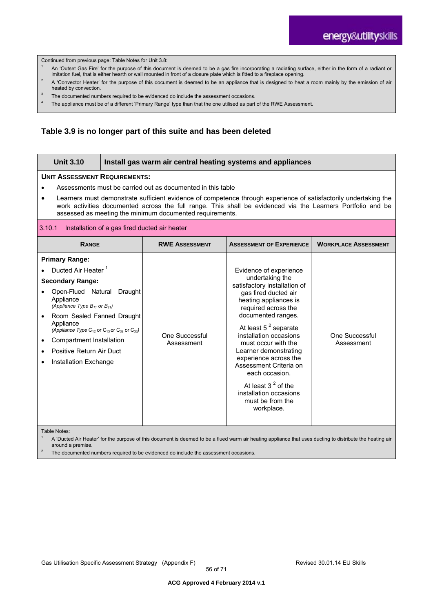Continued from previous page: Table Notes for Unit 3.8:

- An 'Outset Gas Fire' for the purpose of this document is deemed to be a gas fire incorporating a radiating surface, either in the form of a radiant or imitation fuel, that is either hearth or wall mounted in front of a closure plate which is fitted to a fireplace opening.
- $2^2$  A 'Convector Heater' for the purpose of this document is deemed to be an appliance that is designed to heat a room mainly by the emission of air heated by convection.
- <sup>3</sup> The documented numbers required to be evidenced do include the assessment occasions.
- 4 The appliance must be of a different 'Primary Range' type than that the one utilised as part of the RWE Assessment.

#### **Table 3.9 is no longer part of this suite and has been deleted**

| <b>Unit 3.10</b>                                                                                                                                                                                                                                                                                                                                                                                   | Install gas warm air central heating systems and appliances                                                                                               |                              |                                                                                                                                                                                                                                                                                                                                                                                                                                       |                              |  |
|----------------------------------------------------------------------------------------------------------------------------------------------------------------------------------------------------------------------------------------------------------------------------------------------------------------------------------------------------------------------------------------------------|-----------------------------------------------------------------------------------------------------------------------------------------------------------|------------------------------|---------------------------------------------------------------------------------------------------------------------------------------------------------------------------------------------------------------------------------------------------------------------------------------------------------------------------------------------------------------------------------------------------------------------------------------|------------------------------|--|
| <b>UNIT ASSESSMENT REQUIREMENTS:</b><br>Assessments must be carried out as documented in this table<br>Learners must demonstrate sufficient evidence of competence through experience of satisfactorily undertaking the<br>work activities documented across the full range. This shall be evidenced via the Learners Portfolio and be<br>assessed as meeting the minimum documented requirements. |                                                                                                                                                           |                              |                                                                                                                                                                                                                                                                                                                                                                                                                                       |                              |  |
| 3.10.1                                                                                                                                                                                                                                                                                                                                                                                             | Installation of a gas fired ducted air heater                                                                                                             |                              |                                                                                                                                                                                                                                                                                                                                                                                                                                       |                              |  |
| <b>RANGE</b>                                                                                                                                                                                                                                                                                                                                                                                       |                                                                                                                                                           | <b>RWE ASSESSMENT</b>        | <b>ASSESSMENT OF EXPERIENCE</b>                                                                                                                                                                                                                                                                                                                                                                                                       | <b>WORKPLACE ASSESSMENT</b>  |  |
| <b>Primary Range:</b><br>Ducted Air Heater <sup>1</sup><br><b>Secondary Range:</b><br>Open-Flued Natural<br>Draught<br>Appliance<br>(Appliance Type $B_{11}$ or $B_{21}$ )<br>Room Sealed Fanned Draught<br>Appliance<br>(Appliance Type $C_{12}$ or $C_{13}$ or $C_{32}$ or $C_{33}$ )<br>Compartment Installation<br>$\bullet$<br>Positive Return Air Duct<br>Installation Exchange              |                                                                                                                                                           | One Successful<br>Assessment | Evidence of experience<br>undertaking the<br>satisfactory installation of<br>gas fired ducted air<br>heating appliances is<br>required across the<br>documented ranges.<br>At least $5^2$ separate<br>installation occasions<br>must occur with the<br>Learner demonstrating<br>experience across the<br>Assessment Criteria on<br>each occasion.<br>At least $32$ of the<br>installation occasions<br>must be from the<br>workplace. | One Successful<br>Assessment |  |
| Table Notes:<br>around a premise.                                                                                                                                                                                                                                                                                                                                                                  | A 'Ducted Air Heater' for the purpose of this document is deemed to be a flued warm air heating appliance that uses ducting to distribute the heating air |                              |                                                                                                                                                                                                                                                                                                                                                                                                                                       |                              |  |

The documented numbers required to be evidenced do include the assessment occasions.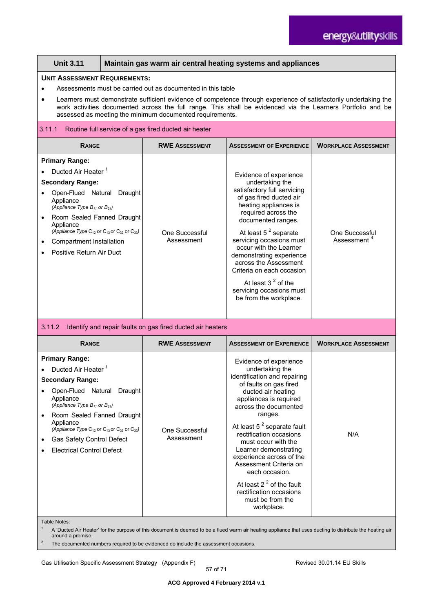#### **Unit 3.11 Maintain gas warm air central heating systems and appliances**

#### **UNIT ASSESSMENT REQUIREMENTS:**

- Assessments must be carried out as documented in this table
- Learners must demonstrate sufficient evidence of competence through experience of satisfactorily undertaking the work activities documented across the full range. This shall be evidenced via the Learners Portfolio and be assessed as meeting the minimum documented requirements.

#### 3.11.1 Routine full service of a gas fired ducted air heater

| <b>RANGE</b>                                                                                                                                                                                                                                                                                                                                       | <b>RWE ASSESSMENT</b>        | <b>ASSESSMENT OF EXPERIENCE</b>                                                                                                                                                                                                                                                                                                                                                                                            | <b>WORKPLACE ASSESSMENT</b>                      |
|----------------------------------------------------------------------------------------------------------------------------------------------------------------------------------------------------------------------------------------------------------------------------------------------------------------------------------------------------|------------------------------|----------------------------------------------------------------------------------------------------------------------------------------------------------------------------------------------------------------------------------------------------------------------------------------------------------------------------------------------------------------------------------------------------------------------------|--------------------------------------------------|
| <b>Primary Range:</b><br>Ducted Air Heater <sup>1</sup><br><b>Secondary Range:</b><br>Open-Flued<br>Natural<br>Draught<br>Appliance<br>(Appliance Type $B_{11}$ or $B_{21}$ )<br>Room Sealed Fanned Draught<br>Appliance<br>(Appliance Type $C_{12}$ or $C_{13}$ or $C_{32}$ or $C_{33}$ )<br>Compartment Installation<br>Positive Return Air Duct | One Successful<br>Assessment | Evidence of experience<br>undertaking the<br>satisfactory full servicing<br>of gas fired ducted air<br>heating appliances is<br>required across the<br>documented ranges.<br>At least $5^2$ separate<br>servicing occasions must<br>occur with the Learner<br>demonstrating experience<br>across the Assessment<br>Criteria on each occasion<br>At least $32$ of the<br>servicing occasions must<br>be from the workplace. | <b>One Successful</b><br>Assessment <sup>4</sup> |

#### 3.11.2 Identify and repair faults on gas fired ducted air heaters

| <b>RANGE</b>                                                                                                                                                                                                                                                                                                                                             | <b>RWE ASSESSMENT</b>        | <b>ASSESSMENT OF EXPERIENCE</b>                                                                                                                                                                                                                                                                                                                                                                                                                                        | <b>WORKPLACE ASSESSMENT</b> |
|----------------------------------------------------------------------------------------------------------------------------------------------------------------------------------------------------------------------------------------------------------------------------------------------------------------------------------------------------------|------------------------------|------------------------------------------------------------------------------------------------------------------------------------------------------------------------------------------------------------------------------------------------------------------------------------------------------------------------------------------------------------------------------------------------------------------------------------------------------------------------|-----------------------------|
|                                                                                                                                                                                                                                                                                                                                                          |                              |                                                                                                                                                                                                                                                                                                                                                                                                                                                                        |                             |
| <b>Primary Range:</b><br>Ducted Air Heater <sup>1</sup><br><b>Secondary Range:</b><br>Open-Flued Natural<br>Draught<br>Appliance<br>(Appliance Type $B_{11}$ or $B_{21}$ )<br>Room Sealed Fanned Draught<br>Appliance<br>(Appliance Type $C_{12}$ or $C_{13}$ or $C_{32}$ or $C_{33}$ )<br>Gas Safety Control Defect<br><b>Electrical Control Defect</b> | One Successful<br>Assessment | Evidence of experience<br>undertaking the<br>identification and repairing<br>of faults on gas fired<br>ducted air heating<br>appliances is required<br>across the documented<br>ranges.<br>At least $5^2$ separate fault<br>rectification occasions<br>must occur with the<br>Learner demonstrating<br>experience across of the<br>Assessment Criteria on<br>each occasion.<br>At least $22$ of the fault<br>rectification occasions<br>must be from the<br>workplace. | N/A                         |

Table Notes:

A 'Ducted Air Heater' for the purpose of this document is deemed to be a flued warm air heating appliance that uses ducting to distribute the heating air around a premise.

The documented numbers required to be evidenced do include the assessment occasions.

Gas Utilisation Specific Assessment Strategy (Appendix F) **Revised 30.01.14 EU Skills** Revised 30.01.14 EU Skills

57 of 71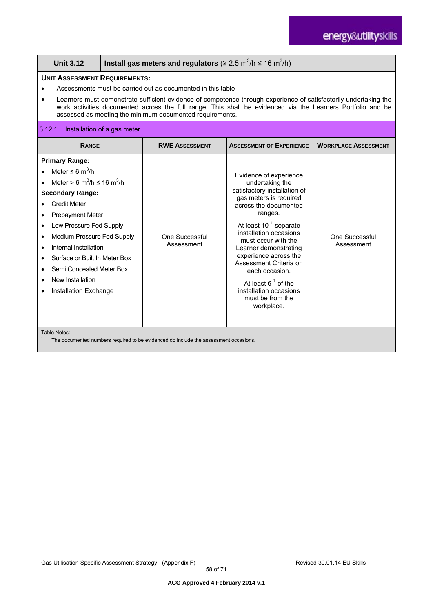| <b>Unit 3.12</b>                                                                                                                                                                                                                                                                                                                                                                                                                          | Install gas meters and regulators ( $\geq 2.5$ m <sup>3</sup> /h $\leq 16$ m <sup>3</sup> /h) |                              |                                                                                                                                                                                                                                                                                                                                                                                                                 |                              |  |
|-------------------------------------------------------------------------------------------------------------------------------------------------------------------------------------------------------------------------------------------------------------------------------------------------------------------------------------------------------------------------------------------------------------------------------------------|-----------------------------------------------------------------------------------------------|------------------------------|-----------------------------------------------------------------------------------------------------------------------------------------------------------------------------------------------------------------------------------------------------------------------------------------------------------------------------------------------------------------------------------------------------------------|------------------------------|--|
| <b>UNIT ASSESSMENT REQUIREMENTS:</b><br>Assessments must be carried out as documented in this table<br>Learners must demonstrate sufficient evidence of competence through experience of satisfactorily undertaking the<br>work activities documented across the full range. This shall be evidenced via the Learners Portfolio and be<br>assessed as meeting the minimum documented requirements.                                        |                                                                                               |                              |                                                                                                                                                                                                                                                                                                                                                                                                                 |                              |  |
| 3.12.1<br>Installation of a gas meter                                                                                                                                                                                                                                                                                                                                                                                                     |                                                                                               |                              |                                                                                                                                                                                                                                                                                                                                                                                                                 |                              |  |
| <b>RANGE</b>                                                                                                                                                                                                                                                                                                                                                                                                                              |                                                                                               | <b>RWE ASSESSMENT</b>        | <b>ASSESSMENT OF EXPERIENCE</b>                                                                                                                                                                                                                                                                                                                                                                                 | <b>WORKPLACE ASSESSMENT</b>  |  |
| <b>Primary Range:</b><br>Meter $\leq 6$ m <sup>3</sup> /h<br>Meter > 6 m <sup>3</sup> /h $\leq$ 16 m <sup>3</sup> /h<br><b>Secondary Range:</b><br><b>Credit Meter</b><br><b>Prepayment Meter</b><br>$\bullet$<br>Low Pressure Fed Supply<br>$\bullet$<br>Medium Pressure Fed Supply<br>Internal Installation<br>Surface or Built In Meter Box<br>Semi Concealed Meter Box<br>$\bullet$<br>New Installation<br>Installation Exchange<br>٠ |                                                                                               | One Successful<br>Assessment | Evidence of experience<br>undertaking the<br>satisfactory installation of<br>gas meters is required<br>across the documented<br>ranges.<br>At least 10 <sup>1</sup> separate<br>installation occasions<br>must occur with the<br>Learner demonstrating<br>experience across the<br>Assessment Criteria on<br>each occasion.<br>At least $61$ of the<br>installation occasions<br>must be from the<br>workplace. | One Successful<br>Assessment |  |
| Table Notes:<br>$-1$                                                                                                                                                                                                                                                                                                                                                                                                                      |                                                                                               |                              |                                                                                                                                                                                                                                                                                                                                                                                                                 |                              |  |

The documented numbers required to be evidenced do include the assessment occasions.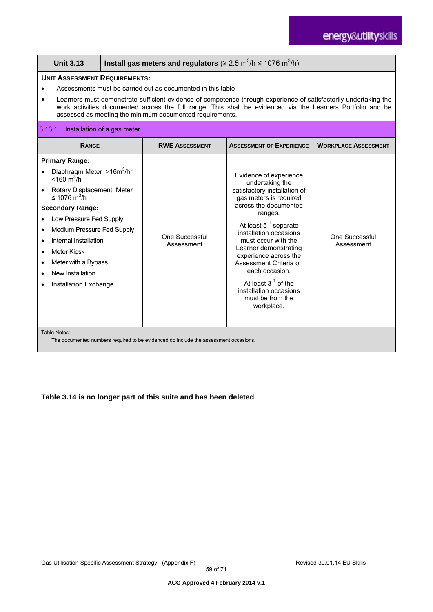|                                                                                                                                                                                                                                                                                                                                                                                                                                                                                                                                                                                                                                                                                                                                                                                                                                             | Install gas meters and regulators ( $\geq 2.5$ m <sup>3</sup> /h $\leq 1076$ m <sup>3</sup> /h)<br><b>Unit 3.13</b>                                                                                                                                                                                                                                                                                                               |  |                                                                                      |                                 |                             |
|---------------------------------------------------------------------------------------------------------------------------------------------------------------------------------------------------------------------------------------------------------------------------------------------------------------------------------------------------------------------------------------------------------------------------------------------------------------------------------------------------------------------------------------------------------------------------------------------------------------------------------------------------------------------------------------------------------------------------------------------------------------------------------------------------------------------------------------------|-----------------------------------------------------------------------------------------------------------------------------------------------------------------------------------------------------------------------------------------------------------------------------------------------------------------------------------------------------------------------------------------------------------------------------------|--|--------------------------------------------------------------------------------------|---------------------------------|-----------------------------|
| 3.13.1                                                                                                                                                                                                                                                                                                                                                                                                                                                                                                                                                                                                                                                                                                                                                                                                                                      | <b>UNIT ASSESSMENT REQUIREMENTS:</b><br>Assessments must be carried out as documented in this table<br>Learners must demonstrate sufficient evidence of competence through experience of satisfactorily undertaking the<br>work activities documented across the full range. This shall be evidenced via the Learners Portfolio and be<br>assessed as meeting the minimum documented requirements.<br>Installation of a gas meter |  |                                                                                      |                                 |                             |
|                                                                                                                                                                                                                                                                                                                                                                                                                                                                                                                                                                                                                                                                                                                                                                                                                                             |                                                                                                                                                                                                                                                                                                                                                                                                                                   |  |                                                                                      |                                 |                             |
|                                                                                                                                                                                                                                                                                                                                                                                                                                                                                                                                                                                                                                                                                                                                                                                                                                             | <b>RANGE</b>                                                                                                                                                                                                                                                                                                                                                                                                                      |  | <b>RWE ASSESSMENT</b>                                                                | <b>ASSESSMENT OF EXPERIENCE</b> | <b>WORKPLACE ASSESSMENT</b> |
| <b>Primary Range:</b><br>Diaphragm Meter >16m <sup>3</sup> /hr<br>Evidence of experience<br>$<$ 160 m <sup>3</sup> /h<br>undertaking the<br>Rotary Displacement Meter<br>satisfactory installation of<br>≤ 1076 m <sup>3</sup> /h<br>gas meters is required<br>across the documented<br><b>Secondary Range:</b><br>ranges.<br>Low Pressure Fed Supply<br>At least $51$ separate<br>Medium Pressure Fed Supply<br>$\bullet$<br>installation occasions<br>One Successful<br>Internal Installation<br>must occur with the<br>Assessment<br>Assessment<br>Learner demonstrating<br><b>Meter Kiosk</b><br>$\bullet$<br>experience across the<br>Meter with a Bypass<br>Assessment Criteria on<br>each occasion.<br>New Installation<br>At least $31$ of the<br>Installation Exchange<br>installation occasions<br>must be from the<br>workplace. |                                                                                                                                                                                                                                                                                                                                                                                                                                   |  |                                                                                      | One Successful                  |                             |
|                                                                                                                                                                                                                                                                                                                                                                                                                                                                                                                                                                                                                                                                                                                                                                                                                                             | Table Notes:                                                                                                                                                                                                                                                                                                                                                                                                                      |  | The documented numbers required to be evidenced do include the assessment occasions. |                                 |                             |

### **Table 3.14 is no longer part of this suite and has been deleted**

 $\mathbf{I}$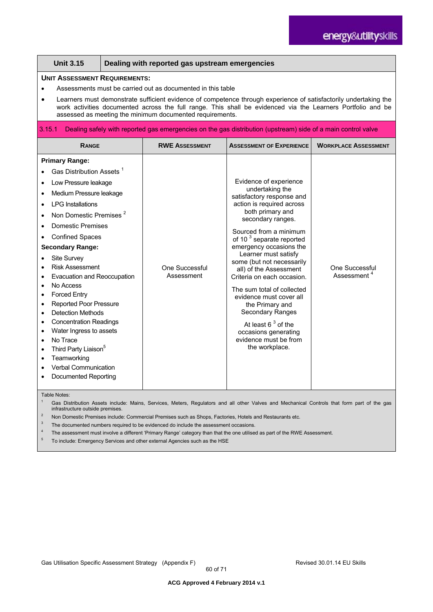|                                                                                                                                             | <b>Unit 3.15</b>                                                                                                                                                                                                                                                                                                                                                                                                                                                                                                                                                                                                        |  | Dealing with reported gas upstream emergencies |                                                                                                                                                                                                                                                                                                                                                                                                                                                                                                                                                          |                                           |  |  |
|---------------------------------------------------------------------------------------------------------------------------------------------|-------------------------------------------------------------------------------------------------------------------------------------------------------------------------------------------------------------------------------------------------------------------------------------------------------------------------------------------------------------------------------------------------------------------------------------------------------------------------------------------------------------------------------------------------------------------------------------------------------------------------|--|------------------------------------------------|----------------------------------------------------------------------------------------------------------------------------------------------------------------------------------------------------------------------------------------------------------------------------------------------------------------------------------------------------------------------------------------------------------------------------------------------------------------------------------------------------------------------------------------------------------|-------------------------------------------|--|--|
|                                                                                                                                             | <b>UNIT ASSESSMENT REQUIREMENTS:</b><br>Assessments must be carried out as documented in this table<br>Learners must demonstrate sufficient evidence of competence through experience of satisfactorily undertaking the<br>work activities documented across the full range. This shall be evidenced via the Learners Portfolio and be<br>assessed as meeting the minimum documented requirements.                                                                                                                                                                                                                      |  |                                                |                                                                                                                                                                                                                                                                                                                                                                                                                                                                                                                                                          |                                           |  |  |
| 3.15.1                                                                                                                                      |                                                                                                                                                                                                                                                                                                                                                                                                                                                                                                                                                                                                                         |  |                                                | Dealing safely with reported gas emergencies on the gas distribution (upstream) side of a main control valve                                                                                                                                                                                                                                                                                                                                                                                                                                             |                                           |  |  |
|                                                                                                                                             | <b>RANGE</b>                                                                                                                                                                                                                                                                                                                                                                                                                                                                                                                                                                                                            |  | <b>RWE ASSESSMENT</b>                          | <b>ASSESSMENT OF EXPERIENCE</b>                                                                                                                                                                                                                                                                                                                                                                                                                                                                                                                          | <b>WORKPLACE ASSESSMENT</b>               |  |  |
| $\bullet$<br>$\bullet$<br>$\bullet$<br>$\bullet$<br>$\bullet$<br>$\bullet$<br>$\bullet$<br>$\bullet$<br>$\bullet$<br>$\bullet$<br>$\bullet$ | <b>Primary Range:</b><br>Gas Distribution Assets <sup>1</sup><br>Low Pressure leakage<br>Medium Pressure leakage<br><b>LPG</b> Installations<br>Non Domestic Premises <sup>2</sup><br>Domestic Premises<br><b>Confined Spaces</b><br><b>Secondary Range:</b><br>Site Survey<br><b>Risk Assessment</b><br>Evacuation and Reoccupation<br>No Access<br><b>Forced Entry</b><br><b>Reported Poor Pressure</b><br><b>Detection Methods</b><br><b>Concentration Readings</b><br>Water Ingress to assets<br>No Trace<br>Third Party Liaison <sup>5</sup><br>Teamworking<br>Verbal Communication<br><b>Documented Reporting</b> |  | One Successful<br>Assessment                   | Evidence of experience<br>undertaking the<br>satisfactory response and<br>action is required across<br>both primary and<br>secondary ranges.<br>Sourced from a minimum<br>of 10 <sup>3</sup> separate reported<br>emergency occasions the<br>Learner must satisfy<br>some (but not necessarily<br>all) of the Assessment<br>Criteria on each occasion.<br>The sum total of collected<br>evidence must cover all<br>the Primary and<br><b>Secondary Ranges</b><br>At least $63$ of the<br>occasions generating<br>evidence must be from<br>the workplace. | One Successful<br>Assessment <sup>4</sup> |  |  |

Table Notes:

Gas Distribution Assets include: Mains, Services, Meters, Regulators and all other Valves and Mechanical Controls that form part of the gas infrastructure outside premises.

<sup>2</sup> Non Domestic Premises include: Commercial Premises such as Shops, Factories, Hotels and Restaurants etc.

<sup>3</sup> The documented numbers required to be evidenced do include the assessment occasions.

4 The assessment must involve a different 'Primary Range' category than that the one utilised as part of the RWE Assessment.

5 To include: Emergency Services and other external Agencies such as the HSE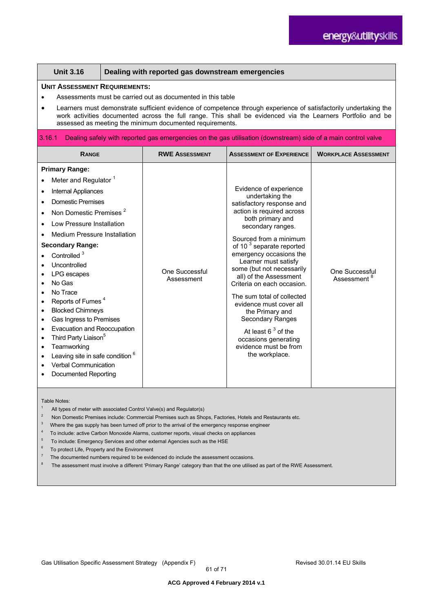| <b>Unit 3.16</b><br>Dealing with reported gas downstream emergencies                                                                                                                                                                                                                                                                                                                                                                                                                                                                                                                                                                                                                                                                                                                                                                                                    |                              |                                                                                                                                                                                                                                                                                                                                                                                                                                                                                                                                                   |                                           |
|-------------------------------------------------------------------------------------------------------------------------------------------------------------------------------------------------------------------------------------------------------------------------------------------------------------------------------------------------------------------------------------------------------------------------------------------------------------------------------------------------------------------------------------------------------------------------------------------------------------------------------------------------------------------------------------------------------------------------------------------------------------------------------------------------------------------------------------------------------------------------|------------------------------|---------------------------------------------------------------------------------------------------------------------------------------------------------------------------------------------------------------------------------------------------------------------------------------------------------------------------------------------------------------------------------------------------------------------------------------------------------------------------------------------------------------------------------------------------|-------------------------------------------|
| <b>UNIT ASSESSMENT REQUIREMENTS:</b><br>Assessments must be carried out as documented in this table<br>Learners must demonstrate sufficient evidence of competence through experience of satisfactorily undertaking the<br>work activities documented across the full range. This shall be evidenced via the Learners Portfolio and be<br>assessed as meeting the minimum documented requirements.                                                                                                                                                                                                                                                                                                                                                                                                                                                                      |                              |                                                                                                                                                                                                                                                                                                                                                                                                                                                                                                                                                   |                                           |
| 3.16.1                                                                                                                                                                                                                                                                                                                                                                                                                                                                                                                                                                                                                                                                                                                                                                                                                                                                  |                              | Dealing safely with reported gas emergencies on the gas utilisation (downstream) side of a main control valve                                                                                                                                                                                                                                                                                                                                                                                                                                     |                                           |
| <b>RANGE</b>                                                                                                                                                                                                                                                                                                                                                                                                                                                                                                                                                                                                                                                                                                                                                                                                                                                            | <b>RWE ASSESSMENT</b>        | <b>ASSESSMENT OF EXPERIENCE</b>                                                                                                                                                                                                                                                                                                                                                                                                                                                                                                                   | <b>WORKPLACE ASSESSMENT</b>               |
| <b>Primary Range:</b><br>Meter and Regulator <sup>1</sup><br>Internal Appliances<br>$\bullet$<br><b>Domestic Premises</b><br>Non Domestic Premises <sup>2</sup><br>$\bullet$<br>Low Pressure Installation<br>Medium Pressure Installation<br><b>Secondary Range:</b><br>Controlled <sup>3</sup><br>Uncontrolled<br>LPG escapes<br>No Gas<br>No Trace<br>$\bullet$<br>Reports of Fumes <sup>4</sup><br>$\bullet$<br><b>Blocked Chimneys</b><br>$\bullet$<br>Gas Ingress to Premises<br>$\bullet$<br>Evacuation and Reoccupation<br>Third Party Liaison <sup>5</sup><br>$\bullet$<br>Teamworking<br>$\bullet$<br>Leaving site in safe condition <sup>6</sup><br>$\bullet$<br><b>Verbal Communication</b><br><b>Documented Reporting</b>                                                                                                                                   | One Successful<br>Assessment | Evidence of experience<br>undertaking the<br>satisfactory response and<br>action is required across<br>both primary and<br>secondary ranges.<br>Sourced from a minimum<br>of 10 <sup>3</sup> separate reported<br>emergency occasions the<br>Learner must satisfy<br>some (but not necessarily<br>all) of the Assessment<br>Criteria on each occasion.<br>The sum total of collected<br>evidence must cover all<br>the Primary and<br>Secondary Ranges<br>At least $63$ of the<br>occasions generating<br>evidence must be from<br>the workplace. | One Successful<br>Assessment <sup>8</sup> |
| Table Notes:<br>$\mathbf{1}$<br>All types of meter with associated Control Valve(s) and Regulator(s)<br>$\sqrt{2}$<br>Non Domestic Premises include: Commercial Premises such as Shops, Factories, Hotels and Restaurants etc.<br>$\ensuremath{\mathsf{3}}$<br>Where the gas supply has been turned off prior to the arrival of the emergency response engineer<br>$\overline{4}$<br>To include: active Carbon Monoxide Alarms, customer reports, visual checks on appliances<br>5<br>To include: Emergency Services and other external Agencies such as the HSE<br>$\,6$<br>To protect Life, Property and the Environment<br>$\overline{7}$<br>The documented numbers required to be evidenced do include the assessment occasions.<br>8<br>The assessment must involve a different 'Primary Range' category than that the one utilised as part of the RWE Assessment. |                              |                                                                                                                                                                                                                                                                                                                                                                                                                                                                                                                                                   |                                           |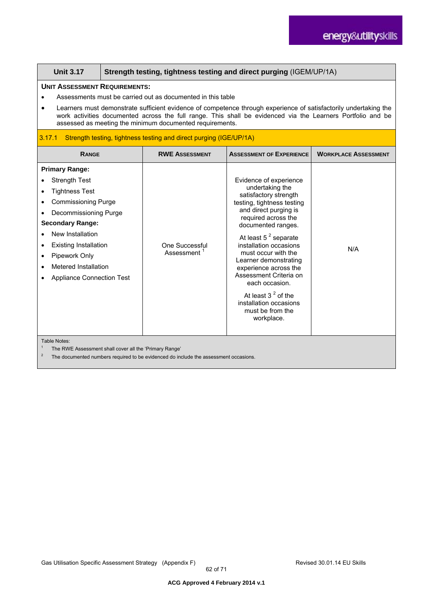| <b>Unit 3.17</b>                                                                                                                                                                                                                                                                                                                                                                                   | Strength testing, tightness testing and direct purging (IGEM/UP/1A) |                                                                                                                                                                                                                                                                                                                                                                                                                                      |                             |
|----------------------------------------------------------------------------------------------------------------------------------------------------------------------------------------------------------------------------------------------------------------------------------------------------------------------------------------------------------------------------------------------------|---------------------------------------------------------------------|--------------------------------------------------------------------------------------------------------------------------------------------------------------------------------------------------------------------------------------------------------------------------------------------------------------------------------------------------------------------------------------------------------------------------------------|-----------------------------|
| <b>UNIT ASSESSMENT REQUIREMENTS:</b><br>Assessments must be carried out as documented in this table<br>Learners must demonstrate sufficient evidence of competence through experience of satisfactorily undertaking the<br>work activities documented across the full range. This shall be evidenced via the Learners Portfolio and be<br>assessed as meeting the minimum documented requirements. |                                                                     |                                                                                                                                                                                                                                                                                                                                                                                                                                      |                             |
| 3.17.1                                                                                                                                                                                                                                                                                                                                                                                             | Strength testing, tightness testing and direct purging (IGE/UP/1A)  |                                                                                                                                                                                                                                                                                                                                                                                                                                      |                             |
| <b>RANGE</b>                                                                                                                                                                                                                                                                                                                                                                                       | <b>RWE ASSESSMENT</b>                                               | <b>ASSESSMENT OF EXPERIENCE</b>                                                                                                                                                                                                                                                                                                                                                                                                      | <b>WORKPLACE ASSESSMENT</b> |
| <b>Primary Range:</b><br><b>Strength Test</b><br><b>Tightness Test</b><br><b>Commissioning Purge</b><br>Decommissioning Purge<br><b>Secondary Range:</b><br>New Installation<br><b>Existing Installation</b><br>$\bullet$<br>Pipework Only<br>Metered Installation<br><b>Appliance Connection Test</b>                                                                                             | One Successful<br>Assessment <sup>1</sup>                           | Evidence of experience<br>undertaking the<br>satisfactory strength<br>testing, tightness testing<br>and direct purging is<br>required across the<br>documented ranges.<br>At least $5^2$ separate<br>installation occasions<br>must occur with the<br>Learner demonstrating<br>experience across the<br>Assessment Criteria on<br>each occasion.<br>At least $32$ of the<br>installation occasions<br>must be from the<br>workplace. | N/A                         |
| Table Notes:<br>The RWE Assessment shall cover all the 'Primary Range'<br>$\overline{\mathbf{c}}$<br>The documented numbers required to be evidenced do include the assessment occasions.                                                                                                                                                                                                          |                                                                     |                                                                                                                                                                                                                                                                                                                                                                                                                                      |                             |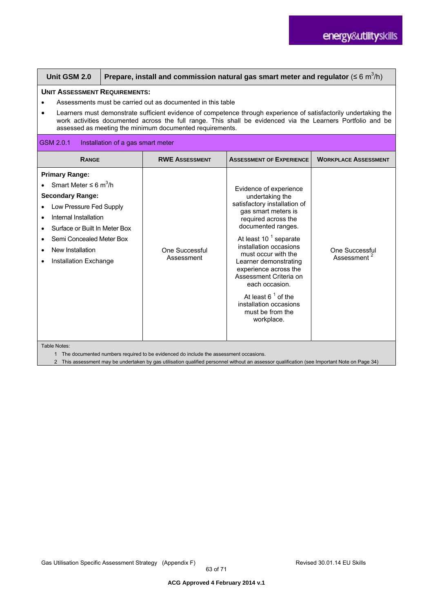| Unit GSM 2.0                                                                                                                                                                                                                                                                                                                                                                                                    | Prepare, install and commission natural gas smart meter and regulator ( $\leq 6$ m <sup>3</sup> /h) |                                     |                                                                                                                                                                                                                                                                                                                                                                                                                       |                                           |
|-----------------------------------------------------------------------------------------------------------------------------------------------------------------------------------------------------------------------------------------------------------------------------------------------------------------------------------------------------------------------------------------------------------------|-----------------------------------------------------------------------------------------------------|-------------------------------------|-----------------------------------------------------------------------------------------------------------------------------------------------------------------------------------------------------------------------------------------------------------------------------------------------------------------------------------------------------------------------------------------------------------------------|-------------------------------------------|
| <b>UNIT ASSESSMENT REQUIREMENTS:</b><br>Assessments must be carried out as documented in this table<br>Learners must demonstrate sufficient evidence of competence through experience of satisfactorily undertaking the<br>$\bullet$<br>work activities documented across the full range. This shall be evidenced via the Learners Portfolio and be<br>assessed as meeting the minimum documented requirements. |                                                                                                     |                                     |                                                                                                                                                                                                                                                                                                                                                                                                                       |                                           |
| GSM 2.0.1                                                                                                                                                                                                                                                                                                                                                                                                       | Installation of a gas smart meter                                                                   |                                     |                                                                                                                                                                                                                                                                                                                                                                                                                       |                                           |
| <b>RANGE</b>                                                                                                                                                                                                                                                                                                                                                                                                    |                                                                                                     | <b>RWE ASSESSMENT</b>               | <b>ASSESSMENT OF EXPERIENCE</b>                                                                                                                                                                                                                                                                                                                                                                                       | <b>WORKPLACE ASSESSMENT</b>               |
| <b>Primary Range:</b><br>Smart Meter $\leq 6$ m <sup>3</sup> /h<br><b>Secondary Range:</b><br>Low Pressure Fed Supply<br>Internal Installation<br>$\bullet$<br>Surface or Built In Meter Box<br>Semi Concealed Meter Box<br>New Installation<br>Installation Exchange                                                                                                                                           |                                                                                                     | <b>One Successful</b><br>Assessment | Evidence of experience<br>undertaking the<br>satisfactory installation of<br>gas smart meters is<br>required across the<br>documented ranges.<br>At least 10 <sup>1</sup> separate<br>installation occasions<br>must occur with the<br>Learner demonstrating<br>experience across the<br>Assessment Criteria on<br>each occasion.<br>At least $61$ of the<br>installation occasions<br>must be from the<br>workplace. | One Successful<br>Assessment <sup>2</sup> |

Table Notes

1 The documented numbers required to be evidenced do include the assessment occasions.

2 This assessment may be undertaken by gas utilisation qualified personnel without an assessor qualification (see Important Note on Page 34)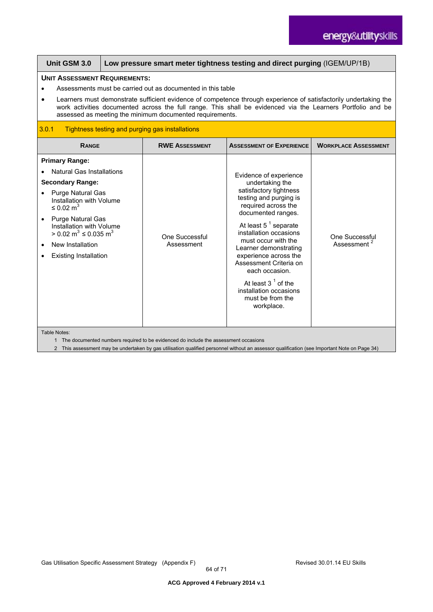| Unit GSM 3.0                                                                                                                                                                                                                                                                                                                                                                                       | Low pressure smart meter tightness testing and direct purging (IGEM/UP/1B) |                                                 |                                                                                                                                                                                                                                                                                                                                                                                                          |                                           |
|----------------------------------------------------------------------------------------------------------------------------------------------------------------------------------------------------------------------------------------------------------------------------------------------------------------------------------------------------------------------------------------------------|----------------------------------------------------------------------------|-------------------------------------------------|----------------------------------------------------------------------------------------------------------------------------------------------------------------------------------------------------------------------------------------------------------------------------------------------------------------------------------------------------------------------------------------------------------|-------------------------------------------|
| <b>UNIT ASSESSMENT REQUIREMENTS:</b><br>Assessments must be carried out as documented in this table<br>Learners must demonstrate sufficient evidence of competence through experience of satisfactorily undertaking the<br>work activities documented across the full range. This shall be evidenced via the Learners Portfolio and be<br>assessed as meeting the minimum documented requirements. |                                                                            |                                                 |                                                                                                                                                                                                                                                                                                                                                                                                          |                                           |
| 3.0.1                                                                                                                                                                                                                                                                                                                                                                                              |                                                                            | Tightness testing and purging gas installations |                                                                                                                                                                                                                                                                                                                                                                                                          |                                           |
| <b>RANGE</b>                                                                                                                                                                                                                                                                                                                                                                                       |                                                                            | <b>RWE ASSESSMENT</b>                           | <b>ASSESSMENT OF EXPERIENCE</b>                                                                                                                                                                                                                                                                                                                                                                          | <b>WORKPLACE ASSESSMENT</b>               |
| <b>Primary Range:</b><br><b>Natural Gas Installations</b><br><b>Secondary Range:</b><br><b>Purge Natural Gas</b><br>Installation with Volume<br>$\leq$ 0.02 m <sup>3</sup><br><b>Purge Natural Gas</b><br>Installation with Volume<br>> 0.02 m <sup>3</sup> ≤ 0.035 m <sup>3</sup><br>New Installation<br><b>Existing Installation</b>                                                             |                                                                            | One Successful<br>Assessment                    | Evidence of experience<br>undertaking the<br>satisfactory tightness<br>testing and purging is<br>required across the<br>documented ranges.<br>At least $5^1$ separate<br>installation occasions<br>must occur with the<br>Learner demonstrating<br>experience across the<br>Assessment Criteria on<br>each occasion.<br>At least $31$ of the<br>installation occasions<br>must be from the<br>workplace. | One Successful<br>Assessment <sup>2</sup> |

Table Notes:

1 The documented numbers required to be evidenced do include the assessment occasions

2 This assessment may be undertaken by gas utilisation qualified personnel without an assessor qualification (see Important Note on Page 34)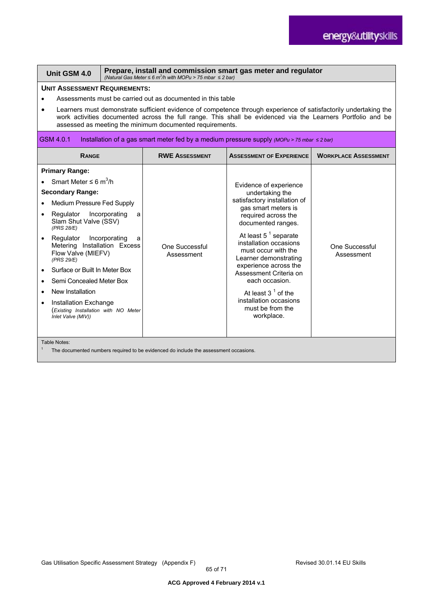| Prepare, install and commission smart gas meter and regulator<br>Unit GSM 4.0<br>(Natural Gas Meter $\leq 6$ m <sup>3</sup> /h with MOPu > 75 mbar $\leq 2$ bar)                                                                                                                                                                                                                                                                                                               |        |                              |                                                                                                                                                                                                                                                                                                                                                                                                             |                              |
|--------------------------------------------------------------------------------------------------------------------------------------------------------------------------------------------------------------------------------------------------------------------------------------------------------------------------------------------------------------------------------------------------------------------------------------------------------------------------------|--------|------------------------------|-------------------------------------------------------------------------------------------------------------------------------------------------------------------------------------------------------------------------------------------------------------------------------------------------------------------------------------------------------------------------------------------------------------|------------------------------|
| <b>UNIT ASSESSMENT REQUIREMENTS:</b><br>Assessments must be carried out as documented in this table<br>Learners must demonstrate sufficient evidence of competence through experience of satisfactorily undertaking the<br>work activities documented across the full range. This shall be evidenced via the Learners Portfolio and be<br>assessed as meeting the minimum documented requirements.                                                                             |        |                              |                                                                                                                                                                                                                                                                                                                                                                                                             |                              |
| GSM 4.0.1                                                                                                                                                                                                                                                                                                                                                                                                                                                                      |        |                              | Installation of a gas smart meter fed by a medium pressure supply (MOPu > 75 mbar $\leq$ 2 bar)                                                                                                                                                                                                                                                                                                             |                              |
| <b>RANGE</b>                                                                                                                                                                                                                                                                                                                                                                                                                                                                   |        | <b>RWE ASSESSMENT</b>        | <b>ASSESSMENT OF EXPERIENCE</b>                                                                                                                                                                                                                                                                                                                                                                             | <b>WORKPLACE ASSESSMENT</b>  |
| <b>Primary Range:</b><br>Smart Meter $\leq 6$ m <sup>3</sup> /h<br><b>Secondary Range:</b><br><b>Medium Pressure Fed Supply</b><br>Incorporating<br>Regulator<br>Slam Shut Valve (SSV)<br>(PRS 28/E)<br>Regulator<br>Incorporating<br>Metering Installation Excess<br>Flow Valve (MIEFV)<br>(PRS 29/E)<br>Surface or Built In Meter Box<br>Semi Concealed Meter Box<br>New Installation<br>Installation Exchange<br>(Existing Installation with NO Meter<br>Inlet Valve (MIV)) | a<br>a | One Successful<br>Assessment | Evidence of experience<br>undertaking the<br>satisfactory installation of<br>gas smart meters is<br>required across the<br>documented ranges.<br>At least $5^1$ separate<br>installation occasions<br>must occur with the<br>Learner demonstrating<br>experience across the<br>Assessment Criteria on<br>each occasion.<br>At least $31$ of the<br>installation occasions<br>must be from the<br>workplace. | One Successful<br>Assessment |
| Table Notes:<br>The documented numbers required to be evidenced do include the assessment occasions.                                                                                                                                                                                                                                                                                                                                                                           |        |                              |                                                                                                                                                                                                                                                                                                                                                                                                             |                              |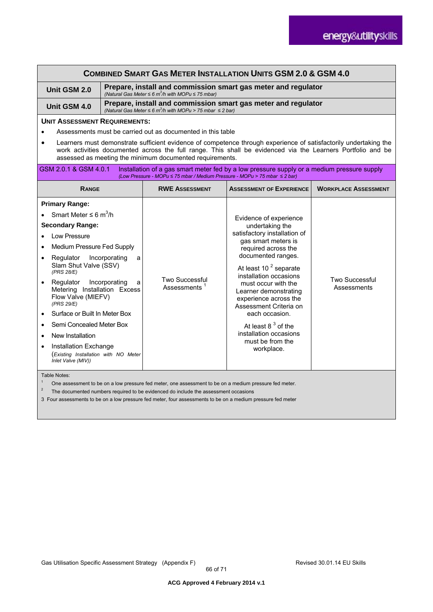| <b>COMBINED SMART GAS METER INSTALLATION UNITS GSM 2.0 &amp; GSM 4.0</b>                                                                                                                                                                                                                                                                                       |                                                                                                                                                  |                                                                            |                                                                                                                                                                                                                                                                                                                                                                                                                       |                                      |
|----------------------------------------------------------------------------------------------------------------------------------------------------------------------------------------------------------------------------------------------------------------------------------------------------------------------------------------------------------------|--------------------------------------------------------------------------------------------------------------------------------------------------|----------------------------------------------------------------------------|-----------------------------------------------------------------------------------------------------------------------------------------------------------------------------------------------------------------------------------------------------------------------------------------------------------------------------------------------------------------------------------------------------------------------|--------------------------------------|
| Unit GSM 2.0                                                                                                                                                                                                                                                                                                                                                   | Prepare, install and commission smart gas meter and regulator<br>(Natural Gas Meter $\leq 6$ m <sup>3</sup> /h with MOPu $\leq 75$ mbar)         |                                                                            |                                                                                                                                                                                                                                                                                                                                                                                                                       |                                      |
| Unit GSM 4.0                                                                                                                                                                                                                                                                                                                                                   | Prepare, install and commission smart gas meter and regulator<br>(Natural Gas Meter $\leq 6$ m <sup>3</sup> /h with MOPu > 75 mbar $\leq 2$ bar) |                                                                            |                                                                                                                                                                                                                                                                                                                                                                                                                       |                                      |
| <b>UNIT ASSESSMENT REQUIREMENTS:</b>                                                                                                                                                                                                                                                                                                                           |                                                                                                                                                  |                                                                            |                                                                                                                                                                                                                                                                                                                                                                                                                       |                                      |
|                                                                                                                                                                                                                                                                                                                                                                |                                                                                                                                                  | Assessments must be carried out as documented in this table                |                                                                                                                                                                                                                                                                                                                                                                                                                       |                                      |
| $\bullet$                                                                                                                                                                                                                                                                                                                                                      |                                                                                                                                                  | assessed as meeting the minimum documented requirements.                   | Learners must demonstrate sufficient evidence of competence through experience of satisfactorily undertaking the<br>work activities documented across the full range. This shall be evidenced via the Learners Portfolio and be                                                                                                                                                                                       |                                      |
| GSM 2.0.1 & GSM 4.0.1                                                                                                                                                                                                                                                                                                                                          |                                                                                                                                                  | (Low Pressure - MOPu ≤ 75 mbar / Medium Pressure - MOPu > 75 mbar ≤ 2 bar) | Installation of a gas smart meter fed by a low pressure supply or a medium pressure supply                                                                                                                                                                                                                                                                                                                            |                                      |
| <b>RANGE</b>                                                                                                                                                                                                                                                                                                                                                   |                                                                                                                                                  | <b>RWE ASSESSMENT</b>                                                      | <b>ASSESSMENT OF EXPERIENCE</b>                                                                                                                                                                                                                                                                                                                                                                                       | <b>WORKPLACE ASSESSMENT</b>          |
| <b>Primary Range:</b>                                                                                                                                                                                                                                                                                                                                          |                                                                                                                                                  |                                                                            |                                                                                                                                                                                                                                                                                                                                                                                                                       |                                      |
| Smart Meter $\leq 6$ m <sup>3</sup> /h                                                                                                                                                                                                                                                                                                                         |                                                                                                                                                  |                                                                            | Evidence of experience<br>undertaking the<br>satisfactory installation of<br>gas smart meters is<br>required across the<br>documented ranges.<br>At least 10 <sup>2</sup> separate<br>installation occasions<br>must occur with the<br>Learner demonstrating<br>experience across the<br>Assessment Criteria on<br>each occasion.<br>At least $83$ of the<br>installation occasions<br>must be from the<br>workplace. |                                      |
| <b>Secondary Range:</b>                                                                                                                                                                                                                                                                                                                                        |                                                                                                                                                  |                                                                            |                                                                                                                                                                                                                                                                                                                                                                                                                       |                                      |
| Low Pressure                                                                                                                                                                                                                                                                                                                                                   |                                                                                                                                                  |                                                                            |                                                                                                                                                                                                                                                                                                                                                                                                                       | <b>Two Successful</b><br>Assessments |
| Medium Pressure Fed Supply<br>$\bullet$                                                                                                                                                                                                                                                                                                                        |                                                                                                                                                  |                                                                            |                                                                                                                                                                                                                                                                                                                                                                                                                       |                                      |
| Regulator<br>$\bullet$<br>Slam Shut Valve (SSV)<br>(PRS 28/E)                                                                                                                                                                                                                                                                                                  | Incorporating<br>a                                                                                                                               | Two Successful<br>Assessments <sup>1</sup>                                 |                                                                                                                                                                                                                                                                                                                                                                                                                       |                                      |
| Regulator Incorporating<br>$\bullet$<br>Metering Installation Excess<br>Flow Valve (MIEFV)<br>(PRS 29/E)                                                                                                                                                                                                                                                       | a                                                                                                                                                |                                                                            |                                                                                                                                                                                                                                                                                                                                                                                                                       |                                      |
| Surface or Built In Meter Box<br>$\bullet$                                                                                                                                                                                                                                                                                                                     |                                                                                                                                                  |                                                                            |                                                                                                                                                                                                                                                                                                                                                                                                                       |                                      |
| Semi Concealed Meter Box<br>$\bullet$                                                                                                                                                                                                                                                                                                                          |                                                                                                                                                  |                                                                            |                                                                                                                                                                                                                                                                                                                                                                                                                       |                                      |
| New Installation<br>$\bullet$                                                                                                                                                                                                                                                                                                                                  |                                                                                                                                                  |                                                                            |                                                                                                                                                                                                                                                                                                                                                                                                                       |                                      |
| Installation Exchange<br>$\bullet$<br>(Existing Installation with NO Meter<br>Inlet Valve (MIV))                                                                                                                                                                                                                                                               |                                                                                                                                                  |                                                                            |                                                                                                                                                                                                                                                                                                                                                                                                                       |                                      |
| Table Notes:<br>$\mathbf{1}$<br>One assessment to be on a low pressure fed meter, one assessment to be on a medium pressure fed meter.<br>$\overline{c}$<br>The documented numbers required to be evidenced do include the assessment occasions<br>3 Four assessments to be on a low pressure fed meter, four assessments to be on a medium pressure fed meter |                                                                                                                                                  |                                                                            |                                                                                                                                                                                                                                                                                                                                                                                                                       |                                      |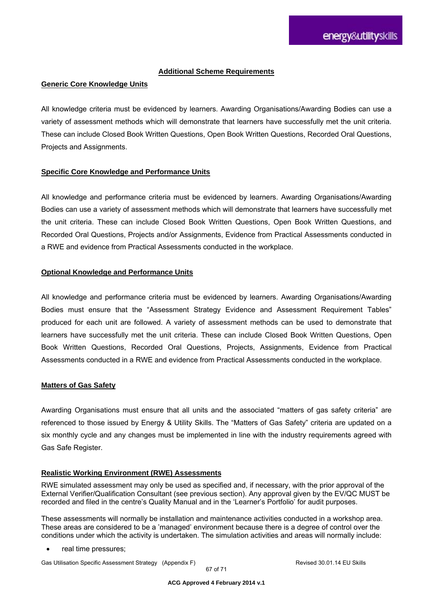#### **Additional Scheme Requirements**

#### **Generic Core Knowledge Units**

All knowledge criteria must be evidenced by learners. Awarding Organisations/Awarding Bodies can use a variety of assessment methods which will demonstrate that learners have successfully met the unit criteria. These can include Closed Book Written Questions, Open Book Written Questions, Recorded Oral Questions, Projects and Assignments.

#### **Specific Core Knowledge and Performance Units**

All knowledge and performance criteria must be evidenced by learners. Awarding Organisations/Awarding Bodies can use a variety of assessment methods which will demonstrate that learners have successfully met the unit criteria. These can include Closed Book Written Questions, Open Book Written Questions, and Recorded Oral Questions, Projects and/or Assignments, Evidence from Practical Assessments conducted in a RWE and evidence from Practical Assessments conducted in the workplace.

#### **Optional Knowledge and Performance Units**

All knowledge and performance criteria must be evidenced by learners. Awarding Organisations/Awarding Bodies must ensure that the "Assessment Strategy Evidence and Assessment Requirement Tables" produced for each unit are followed. A variety of assessment methods can be used to demonstrate that learners have successfully met the unit criteria. These can include Closed Book Written Questions, Open Book Written Questions, Recorded Oral Questions, Projects, Assignments, Evidence from Practical Assessments conducted in a RWE and evidence from Practical Assessments conducted in the workplace.

#### **Matters of Gas Safety**

Awarding Organisations must ensure that all units and the associated "matters of gas safety criteria" are referenced to those issued by Energy & Utility Skills. The "Matters of Gas Safety" criteria are updated on a six monthly cycle and any changes must be implemented in line with the industry requirements agreed with Gas Safe Register.

#### **Realistic Working Environment (RWE) Assessments**

RWE simulated assessment may only be used as specified and, if necessary, with the prior approval of the External Verifier/Qualification Consultant (see previous section). Any approval given by the EV/QC MUST be recorded and filed in the centre's Quality Manual and in the 'Learner's Portfolio' for audit purposes.

These assessments will normally be installation and maintenance activities conducted in a workshop area. These areas are considered to be a 'managed' environment because there is a degree of control over the conditions under which the activity is undertaken. The simulation activities and areas will normally include:

real time pressures;

Gas Utilisation Specific Assessment Strategy (Appendix F) **Revised 30.01.14 EU Skills**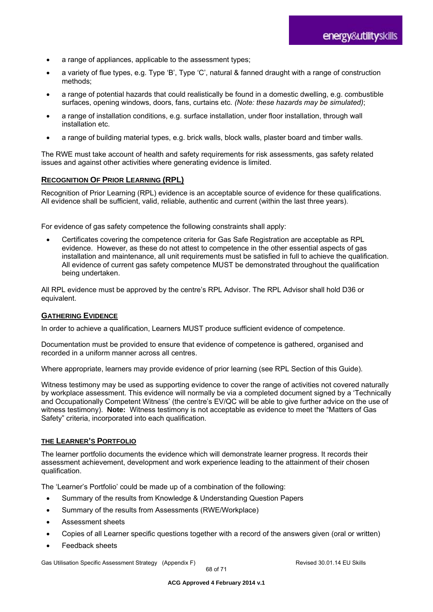- a range of appliances, applicable to the assessment types;
- a variety of flue types, e.g. Type 'B', Type 'C', natural & fanned draught with a range of construction methods;
- a range of potential hazards that could realistically be found in a domestic dwelling, e.g. combustible surfaces, opening windows, doors, fans, curtains etc. *(Note: these hazards may be simulated)*;
- a range of installation conditions, e.g. surface installation, under floor installation, through wall installation etc.
- a range of building material types, e.g. brick walls, block walls, plaster board and timber walls.

The RWE must take account of health and safety requirements for risk assessments, gas safety related issues and against other activities where generating evidence is limited.

#### **RECOGNITION OF PRIOR LEARNING (RPL)**

Recognition of Prior Learning (RPL) evidence is an acceptable source of evidence for these qualifications. All evidence shall be sufficient, valid, reliable, authentic and current (within the last three years).

For evidence of gas safety competence the following constraints shall apply:

 Certificates covering the competence criteria for Gas Safe Registration are acceptable as RPL evidence. However, as these do not attest to competence in the other essential aspects of gas installation and maintenance, all unit requirements must be satisfied in full to achieve the qualification. All evidence of current gas safety competence MUST be demonstrated throughout the qualification being undertaken.

All RPL evidence must be approved by the centre's RPL Advisor. The RPL Advisor shall hold D36 or equivalent.

#### **GATHERING EVIDENCE**

In order to achieve a qualification, Learners MUST produce sufficient evidence of competence.

Documentation must be provided to ensure that evidence of competence is gathered, organised and recorded in a uniform manner across all centres.

Where appropriate, learners may provide evidence of prior learning (see RPL Section of this Guide).

Witness testimony may be used as supporting evidence to cover the range of activities not covered naturally by workplace assessment. This evidence will normally be via a completed document signed by a 'Technically and Occupationally Competent Witness' (the centre's EV/QC will be able to give further advice on the use of witness testimony). **Note:** Witness testimony is not acceptable as evidence to meet the "Matters of Gas Safety" criteria, incorporated into each qualification.

#### **THE LEARNER'S PORTFOLIO**

The learner portfolio documents the evidence which will demonstrate learner progress. It records their assessment achievement, development and work experience leading to the attainment of their chosen qualification.

The 'Learner's Portfolio' could be made up of a combination of the following:

- Summary of the results from Knowledge & Understanding Question Papers
- Summary of the results from Assessments (RWE/Workplace)
- Assessment sheets
- Copies of all Learner specific questions together with a record of the answers given (oral or written)
- Feedback sheets

Gas Utilisation Specific Assessment Strategy (Appendix F) **Revised 30.01.14 EU Skills** Revised 30.01.14 EU Skills

68 of 71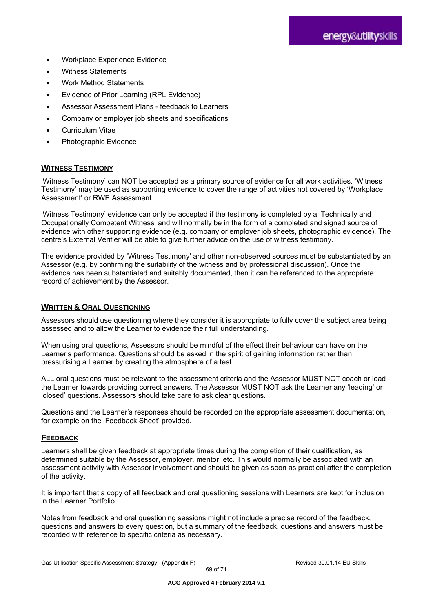- Workplace Experience Evidence
- Witness Statements
- Work Method Statements
- Evidence of Prior Learning (RPL Evidence)
- Assessor Assessment Plans feedback to Learners
- Company or employer job sheets and specifications
- Curriculum Vitae
- Photographic Evidence

#### **WITNESS TESTIMONY**

'Witness Testimony' can NOT be accepted as a primary source of evidence for all work activities. 'Witness Testimony' may be used as supporting evidence to cover the range of activities not covered by 'Workplace Assessment' or RWE Assessment.

'Witness Testimony' evidence can only be accepted if the testimony is completed by a 'Technically and Occupationally Competent Witness' and will normally be in the form of a completed and signed source of evidence with other supporting evidence (e.g. company or employer job sheets, photographic evidence). The centre's External Verifier will be able to give further advice on the use of witness testimony.

The evidence provided by 'Witness Testimony' and other non-observed sources must be substantiated by an Assessor (e.g. by confirming the suitability of the witness and by professional discussion). Once the evidence has been substantiated and suitably documented, then it can be referenced to the appropriate record of achievement by the Assessor.

#### **WRITTEN & ORAL QUESTIONING**

Assessors should use questioning where they consider it is appropriate to fully cover the subject area being assessed and to allow the Learner to evidence their full understanding.

When using oral questions, Assessors should be mindful of the effect their behaviour can have on the Learner's performance. Questions should be asked in the spirit of gaining information rather than pressurising a Learner by creating the atmosphere of a test.

ALL oral questions must be relevant to the assessment criteria and the Assessor MUST NOT coach or lead the Learner towards providing correct answers. The Assessor MUST NOT ask the Learner any 'leading' or 'closed' questions. Assessors should take care to ask clear questions.

Questions and the Learner's responses should be recorded on the appropriate assessment documentation, for example on the 'Feedback Sheet' provided.

#### **FEEDBACK**

Learners shall be given feedback at appropriate times during the completion of their qualification, as determined suitable by the Assessor, employer, mentor, etc. This would normally be associated with an assessment activity with Assessor involvement and should be given as soon as practical after the completion of the activity.

It is important that a copy of all feedback and oral questioning sessions with Learners are kept for inclusion in the Learner Portfolio.

Notes from feedback and oral questioning sessions might not include a precise record of the feedback, questions and answers to every question, but a summary of the feedback, questions and answers must be recorded with reference to specific criteria as necessary.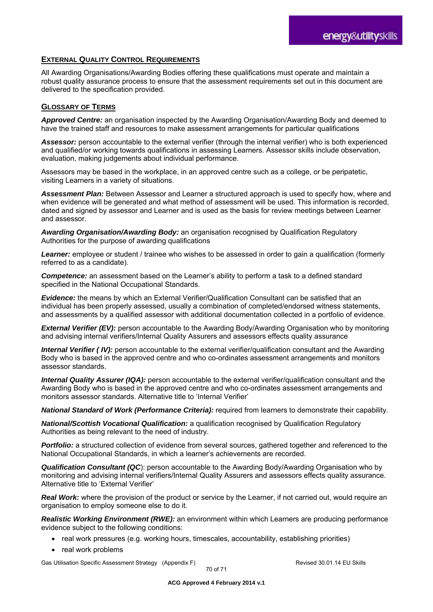### **EXTERNAL QUALITY CONTROL REQUIREMENTS**

All Awarding Organisations/Awarding Bodies offering these qualifications must operate and maintain a robust quality assurance process to ensure that the assessment requirements set out in this document are delivered to the specification provided.

#### **GLOSSARY OF TERMS**

*Approved Centre:* an organisation inspected by the Awarding Organisation/Awarding Body and deemed to have the trained staff and resources to make assessment arrangements for particular qualifications

*Assessor:* person accountable to the external verifier (through the internal verifier) who is both experienced and qualified/or working towards qualifications in assessing Learners. Assessor skills include observation, evaluation, making judgements about individual performance.

Assessors may be based in the workplace, in an approved centre such as a college, or be peripatetic, visiting Learners in a variety of situations.

*Assessment Plan:* Between Assessor and Learner a structured approach is used to specify how, where and when evidence will be generated and what method of assessment will be used. This information is recorded, dated and signed by assessor and Learner and is used as the basis for review meetings between Learner and assessor.

*Awarding Organisation/Awarding Body:* an organisation recognised by Qualification Regulatory Authorities for the purpose of awarding qualifications

*Learner:* employee or student / trainee who wishes to be assessed in order to gain a qualification (formerly referred to as a candidate).

*Competence:* an assessment based on the Learner's ability to perform a task to a defined standard specified in the National Occupational Standards.

*Evidence:* the means by which an External Verifier/Qualification Consultant can be satisfied that an individual has been properly assessed, usually a combination of completed/endorsed witness statements, and assessments by a qualified assessor with additional documentation collected in a portfolio of evidence.

*External Verifier (EV):* person accountable to the Awarding Body/Awarding Organisation who by monitoring and advising internal verifiers/Internal Quality Assurers and assessors effects quality assurance

*Internal Verifier (IV):* person accountable to the external verifier/qualification consultant and the Awarding Body who is based in the approved centre and who co-ordinates assessment arrangements and monitors assessor standards.

*Internal Quality Assurer (IQA):* person accountable to the external verifier/qualification consultant and the Awarding Body who is based in the approved centre and who co-ordinates assessment arrangements and monitors assessor standards. Alternative title to 'Internal Verifier'

*National Standard of Work (Performance Criteria):* required from learners to demonstrate their capability.

*National/Scottish Vocational Qualification:* a qualification recognised by Qualification Regulatory Authorities as being relevant to the need of industry.

**Portfolio:** a structured collection of evidence from several sources, gathered together and referenced to the National Occupational Standards, in which a learner's achievements are recorded.

**Qualification Consultant (QC)**: person accountable to the Awarding Body/Awarding Organisation who by monitoring and advising internal verifiers/Internal Quality Assurers and assessors effects quality assurance. Alternative title to 'External Verifier'

*Real Work:* where the provision of the product or service by the Learner, if not carried out, would require an organisation to employ someone else to do it.

*Realistic Working Environment (RWE):* an environment within which Learners are producing performance evidence subject to the following conditions:

- real work pressures (e.g. working hours, timescales, accountability, establishing priorities)
- real work problems

Gas Utilisation Specific Assessment Strategy (Appendix F) **Revised 30.01.14 EU Skills** Revised 30.01.14 EU Skills

70 of 71